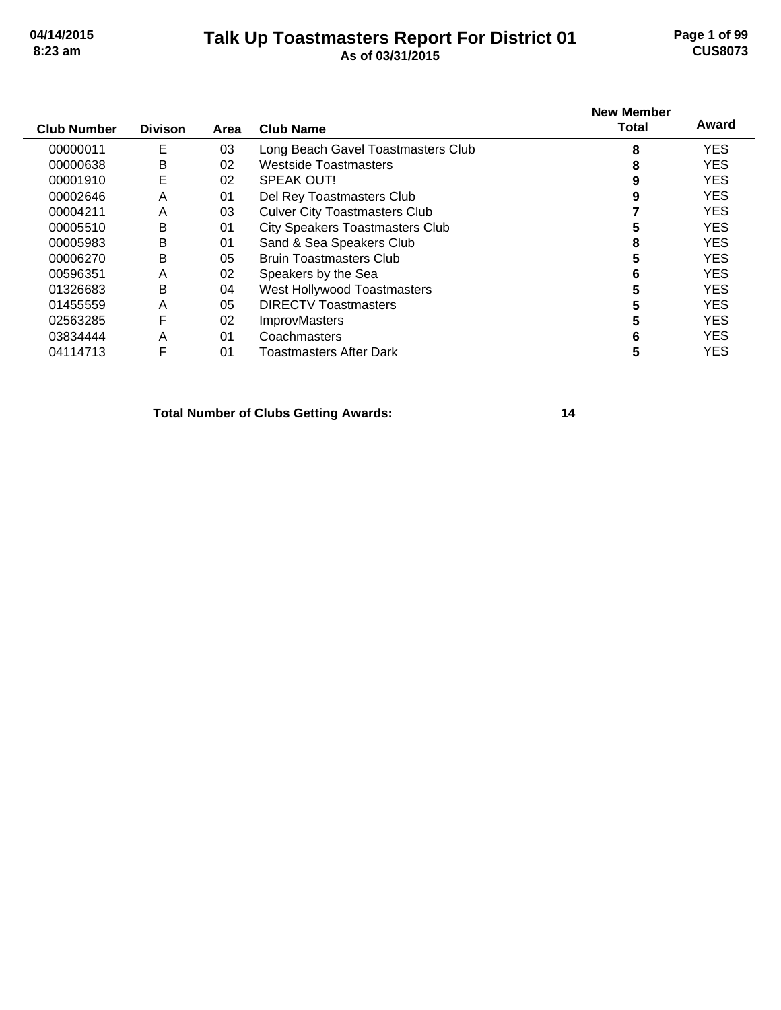#### **Talk Up Toastmasters Report For District 01 04/14/2015 Page 1 of 99 8:23 am As of 03/31/2015 CUS8073**

|                    |                |      |                                        | <b>New Member</b> |            |
|--------------------|----------------|------|----------------------------------------|-------------------|------------|
| <b>Club Number</b> | <b>Divison</b> | Area | <b>Club Name</b>                       | <b>Total</b>      | Award      |
| 00000011           | Е              | 03   | Long Beach Gavel Toastmasters Club     | 8                 | <b>YES</b> |
| 00000638           | B              | 02   | Westside Toastmasters                  | 8                 | <b>YES</b> |
| 00001910           | E              | 02   | SPEAK OUT!                             | 9                 | <b>YES</b> |
| 00002646           | A              | 01   | Del Rey Toastmasters Club              | 9                 | <b>YES</b> |
| 00004211           | A              | 03   | <b>Culver City Toastmasters Club</b>   |                   | <b>YES</b> |
| 00005510           | B              | 01   | <b>City Speakers Toastmasters Club</b> |                   | <b>YES</b> |
| 00005983           | B              | 01   | Sand & Sea Speakers Club               | 8                 | <b>YES</b> |
| 00006270           | B              | 05   | <b>Bruin Toastmasters Club</b>         | 5                 | <b>YES</b> |
| 00596351           | A              | 02   | Speakers by the Sea                    | 6                 | <b>YES</b> |
| 01326683           | B              | 04   | West Hollywood Toastmasters            |                   | <b>YES</b> |
| 01455559           | A              | 05   | <b>DIRECTV Toastmasters</b>            |                   | <b>YES</b> |
| 02563285           | F              | 02   | <b>ImprovMasters</b>                   |                   | <b>YES</b> |
| 03834444           | A              | 01   | Coachmasters                           | 6                 | <b>YES</b> |
| 04114713           | F              | 01   | Toastmasters After Dark                | 5                 | <b>YES</b> |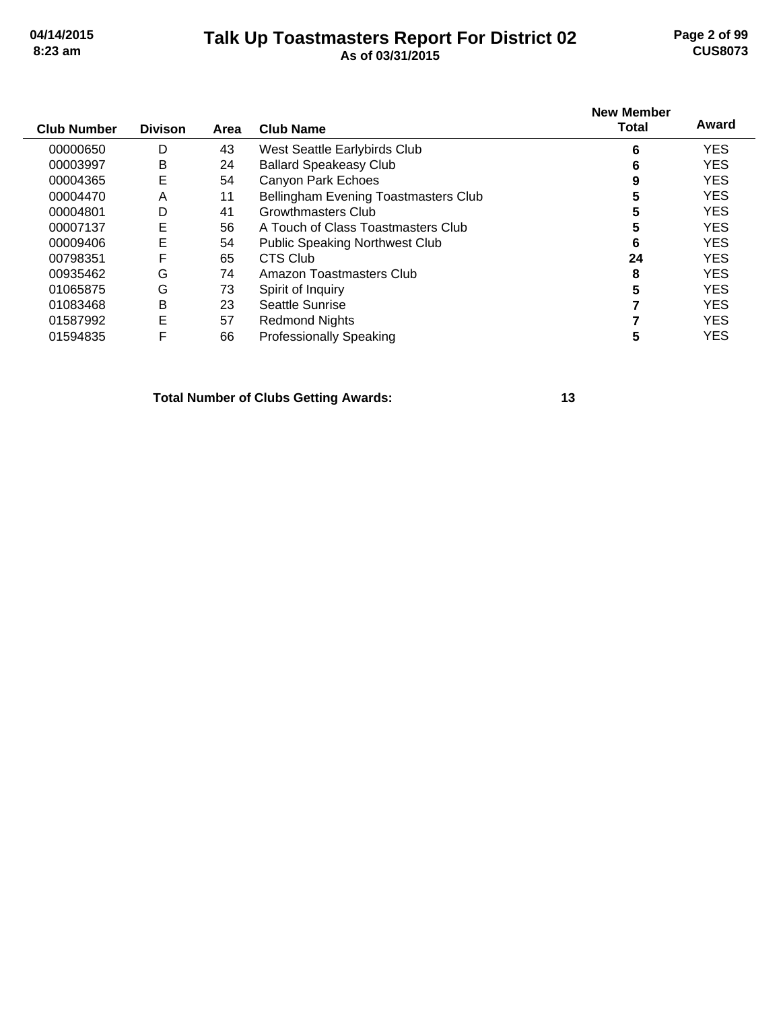### **Talk Up Toastmasters Report For District 02 04/14/2015 Page 2 of 99 8:23 am As of 03/31/2015 CUS8073**

| <b>Club Number</b> | <b>Divison</b> | Area | <b>Club Name</b>                            | <b>New Member</b><br>Total | Award      |
|--------------------|----------------|------|---------------------------------------------|----------------------------|------------|
| 00000650           | D              | 43   | West Seattle Earlybirds Club                | 6                          | <b>YES</b> |
| 00003997           | B              | 24   | <b>Ballard Speakeasy Club</b>               | 6                          | <b>YES</b> |
| 00004365           | E              | 54   | <b>Canyon Park Echoes</b>                   | 9                          | <b>YES</b> |
| 00004470           | A              | 11   | <b>Bellingham Evening Toastmasters Club</b> | 5                          | <b>YES</b> |
| 00004801           | D              | 41   | <b>Growthmasters Club</b>                   | 5                          | <b>YES</b> |
| 00007137           | E              | 56   | A Touch of Class Toastmasters Club          | 5                          | <b>YES</b> |
| 00009406           | E              | 54   | <b>Public Speaking Northwest Club</b>       | 6                          | <b>YES</b> |
| 00798351           | F              | 65   | <b>CTS Club</b>                             | 24                         | <b>YES</b> |
| 00935462           | G              | 74   | Amazon Toastmasters Club                    | 8                          | <b>YES</b> |
| 01065875           | G              | 73   | Spirit of Inquiry                           | 5                          | <b>YES</b> |
| 01083468           | B              | 23   | Seattle Sunrise                             |                            | <b>YES</b> |
| 01587992           | E              | 57   | <b>Redmond Nights</b>                       |                            | <b>YES</b> |
| 01594835           | F              | 66   | <b>Professionally Speaking</b>              | 5                          | <b>YES</b> |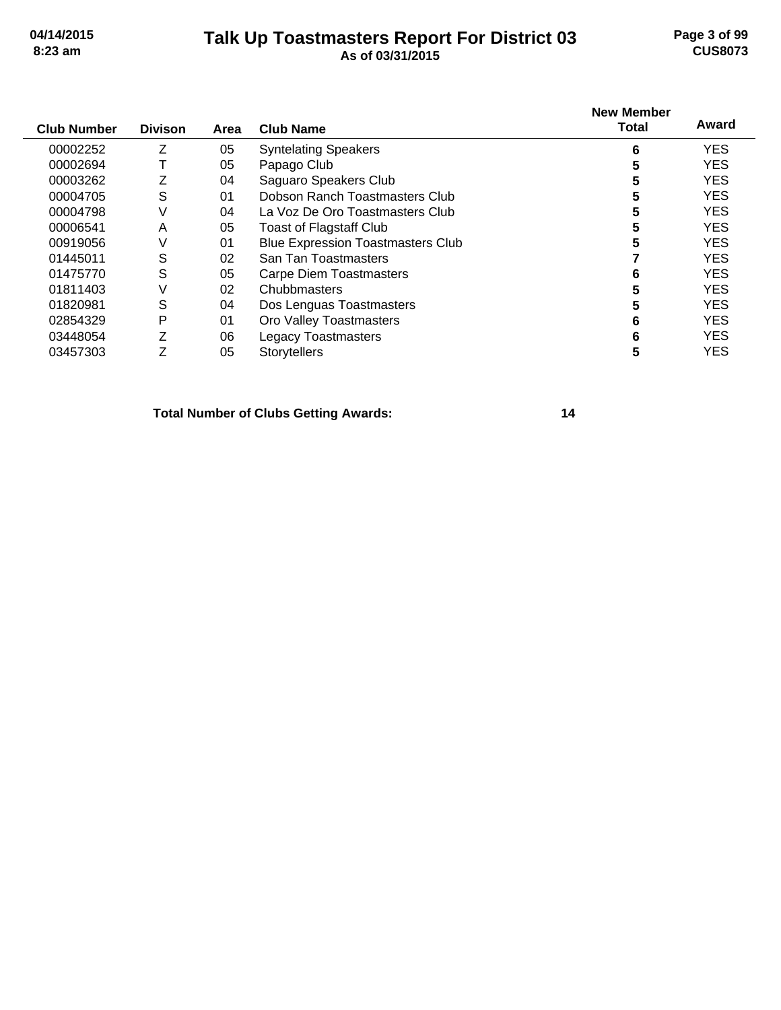# **Talk Up Toastmasters Report For District 03 04/14/2015 Page 3 of 99 8:23 am As of 03/31/2015 CUS8073**

| <b>Club Number</b> | <b>Divison</b> | Area | <b>Club Name</b>                         | <b>New Member</b><br><b>Total</b> | Award      |
|--------------------|----------------|------|------------------------------------------|-----------------------------------|------------|
| 00002252           | Z              | 05   | <b>Syntelating Speakers</b>              | 6                                 | <b>YES</b> |
| 00002694           |                | 05   | Papago Club                              |                                   | <b>YES</b> |
| 00003262           | Z              | 04   | Saguaro Speakers Club                    |                                   | <b>YES</b> |
| 00004705           | S              | 01   | Dobson Ranch Toastmasters Club           |                                   | <b>YES</b> |
| 00004798           | ٧              | 04   | La Voz De Oro Toastmasters Club          |                                   | <b>YES</b> |
| 00006541           | A              | 05   | <b>Toast of Flagstaff Club</b>           |                                   | <b>YES</b> |
| 00919056           | V              | 01   | <b>Blue Expression Toastmasters Club</b> |                                   | <b>YES</b> |
| 01445011           | S              | 02   | San Tan Toastmasters                     |                                   | <b>YES</b> |
| 01475770           | S              | 05   | <b>Carpe Diem Toastmasters</b>           | 6                                 | <b>YES</b> |
| 01811403           | V              | 02   | Chubbmasters                             |                                   | <b>YES</b> |
| 01820981           | S              | 04   | Dos Lenguas Toastmasters                 |                                   | <b>YES</b> |
| 02854329           | P              | 01   | Oro Valley Toastmasters                  | 6                                 | <b>YES</b> |
| 03448054           | 7              | 06   | <b>Legacy Toastmasters</b>               | 6                                 | <b>YES</b> |
| 03457303           | 7              | 05   | <b>Storytellers</b>                      |                                   | <b>YES</b> |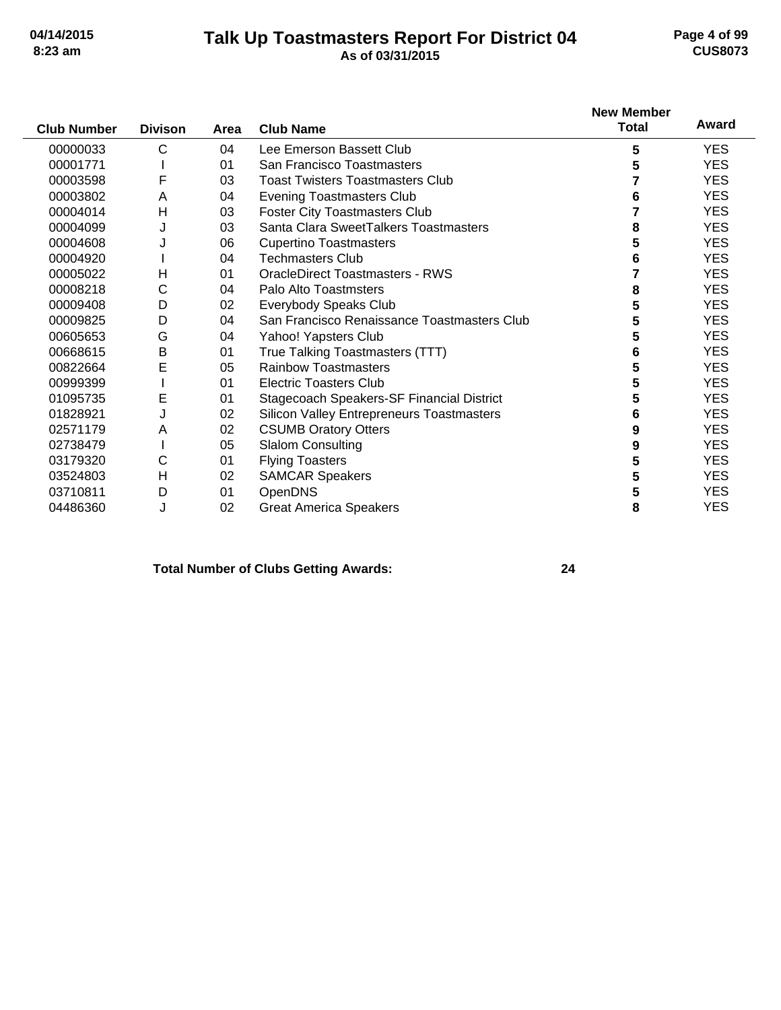### **Talk Up Toastmasters Report For District 04 04/14/2015 Page 4 of 99 8:23 am As of 03/31/2015 CUS8073**

| <b>Club Number</b> | <b>Divison</b> | Area | <b>Club Name</b>                                 | <b>New Member</b><br><b>Total</b> | Award      |
|--------------------|----------------|------|--------------------------------------------------|-----------------------------------|------------|
| 00000033           | C              | 04   | Lee Emerson Bassett Club                         | 5                                 | <b>YES</b> |
| 00001771           |                | 01   | San Francisco Toastmasters                       | 5                                 | <b>YES</b> |
| 00003598           | F              | 03   | <b>Toast Twisters Toastmasters Club</b>          |                                   | <b>YES</b> |
| 00003802           | A              | 04   | <b>Evening Toastmasters Club</b>                 | 6                                 | <b>YES</b> |
| 00004014           | H              | 03   | <b>Foster City Toastmasters Club</b>             |                                   | <b>YES</b> |
| 00004099           | J              | 03   | Santa Clara SweetTalkers Toastmasters            | 8                                 | <b>YES</b> |
| 00004608           | J              | 06   | <b>Cupertino Toastmasters</b>                    | 5                                 | <b>YES</b> |
| 00004920           |                | 04   | <b>Techmasters Club</b>                          | 6                                 | <b>YES</b> |
| 00005022           | H              | 01   | <b>OracleDirect Toastmasters - RWS</b>           |                                   | <b>YES</b> |
| 00008218           | С              | 04   | Palo Alto Toastmsters                            | 8                                 | <b>YES</b> |
| 00009408           | D              | 02   | Everybody Speaks Club                            | 5                                 | <b>YES</b> |
| 00009825           | D              | 04   | San Francisco Renaissance Toastmasters Club      | 5                                 | <b>YES</b> |
| 00605653           | G              | 04   | Yahoo! Yapsters Club                             | 5                                 | <b>YES</b> |
| 00668615           | $\sf B$        | 01   | True Talking Toastmasters (TTT)                  | 6                                 | <b>YES</b> |
| 00822664           | E              | 05   | <b>Rainbow Toastmasters</b>                      | 5                                 | <b>YES</b> |
| 00999399           |                | 01   | <b>Electric Toasters Club</b>                    | 5                                 | <b>YES</b> |
| 01095735           | E              | 01   | Stagecoach Speakers-SF Financial District        | 5                                 | <b>YES</b> |
| 01828921           | J              | 02   | <b>Silicon Valley Entrepreneurs Toastmasters</b> | 6                                 | <b>YES</b> |
| 02571179           | Α              | 02   | <b>CSUMB Oratory Otters</b>                      | 9                                 | <b>YES</b> |
| 02738479           |                | 05   | <b>Slalom Consulting</b>                         | 9                                 | <b>YES</b> |
| 03179320           | С              | 01   | <b>Flying Toasters</b>                           | 5                                 | <b>YES</b> |
| 03524803           | H              | 02   | <b>SAMCAR Speakers</b>                           | 5                                 | <b>YES</b> |
| 03710811           | D              | 01   | OpenDNS                                          | 5                                 | <b>YES</b> |
| 04486360           | J              | 02   | <b>Great America Speakers</b>                    | 8                                 | <b>YES</b> |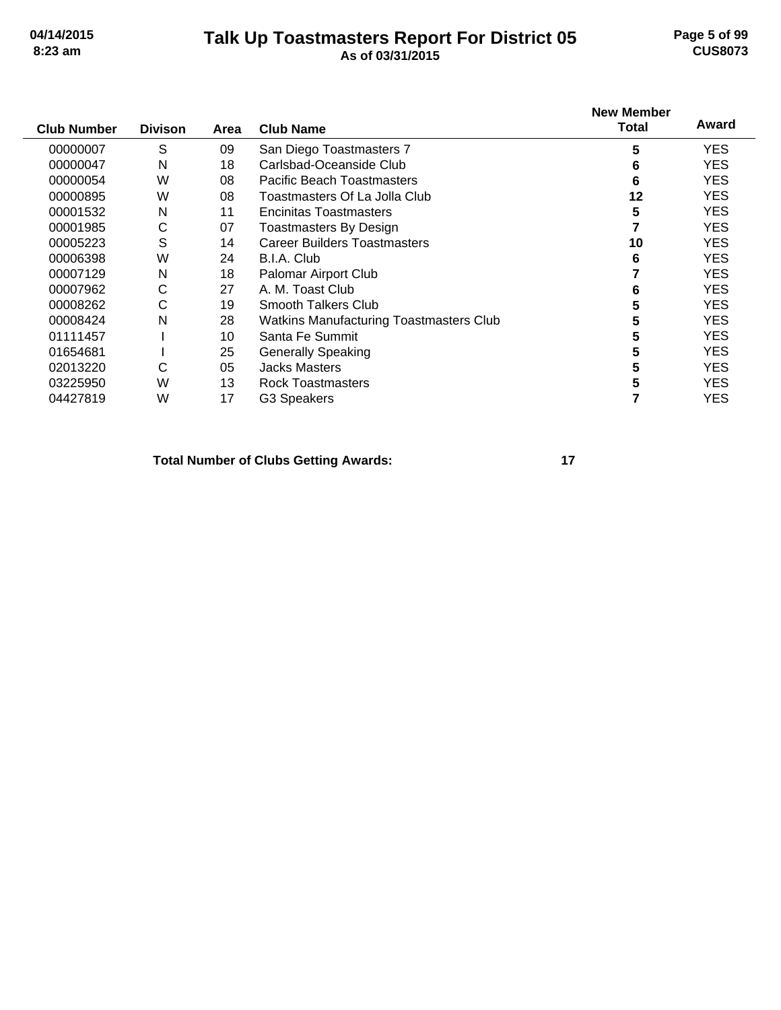# **Talk Up Toastmasters Report For District 05 04/14/2015 Page 5 of 99 8:23 am As of 03/31/2015 CUS8073**

| <b>Club Number</b> | <b>Divison</b> | Area | <b>Club Name</b>                               | <b>New Member</b><br><b>Total</b> | Award      |
|--------------------|----------------|------|------------------------------------------------|-----------------------------------|------------|
| 00000007           | S              | 09   | San Diego Toastmasters 7                       | 5                                 | YES.       |
| 00000047           | Ν              | 18   | Carlsbad-Oceanside Club                        | 6                                 | YES.       |
| 00000054           | W              | 08   | Pacific Beach Toastmasters                     | 6                                 | <b>YES</b> |
| 00000895           | W              | 08   | Toastmasters Of La Jolla Club                  | 12                                | <b>YES</b> |
| 00001532           | N              | 11   | Encinitas Toastmasters                         | 5                                 | YES.       |
| 00001985           | C              | 07   | <b>Toastmasters By Design</b>                  |                                   | YES.       |
| 00005223           | S              | 14   | <b>Career Builders Toastmasters</b>            | 10                                | <b>YES</b> |
| 00006398           | W              | 24   | B.I.A. Club                                    | 6                                 | YES.       |
| 00007129           | N              | 18   | Palomar Airport Club                           |                                   | <b>YES</b> |
| 00007962           | С              | 27   | A. M. Toast Club                               | 6                                 | YES.       |
| 00008262           | С              | 19   | Smooth Talkers Club                            | 5                                 | YES.       |
| 00008424           | N              | 28   | <b>Watkins Manufacturing Toastmasters Club</b> | 5                                 | YES.       |
| 01111457           |                | 10   | Santa Fe Summit                                | 5                                 | <b>YES</b> |
| 01654681           |                | 25   | <b>Generally Speaking</b>                      | 5                                 | <b>YES</b> |
| 02013220           | С              | 05   | <b>Jacks Masters</b>                           | 5                                 | <b>YES</b> |
| 03225950           | W              | 13   | <b>Rock Toastmasters</b>                       | 5                                 | <b>YES</b> |
| 04427819           | W              | 17   | G3 Speakers                                    |                                   | <b>YES</b> |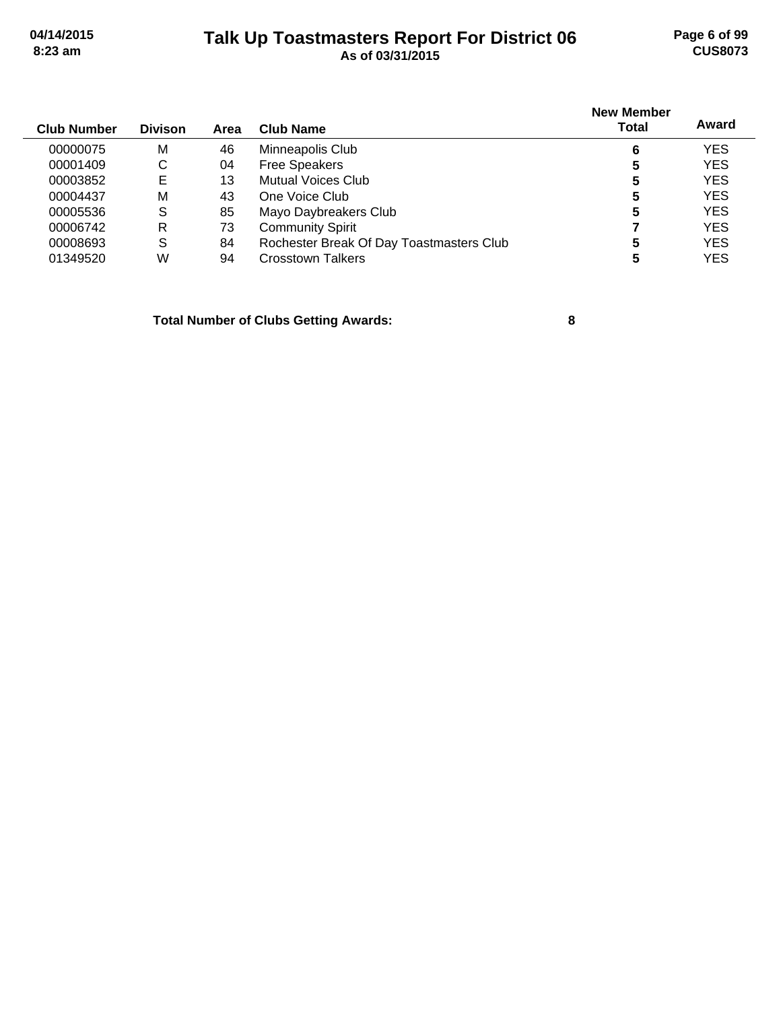# **Talk Up Toastmasters Report For District 06 04/14/2015 Page 6 of 99 8:23 am As of 03/31/2015 CUS8073**

| <b>Club Number</b> | <b>Divison</b> | Area | <b>Club Name</b>                         | <b>New Member</b><br><b>Total</b> | Award      |
|--------------------|----------------|------|------------------------------------------|-----------------------------------|------------|
| 00000075           | M              | 46   | Minneapolis Club                         | 6                                 | <b>YES</b> |
| 00001409           | C              | 04   | <b>Free Speakers</b>                     | 5                                 | <b>YES</b> |
| 00003852           | Е              | 13   | Mutual Voices Club                       | 5                                 | <b>YES</b> |
| 00004437           | M              | 43   | One Voice Club                           | 5                                 | <b>YES</b> |
| 00005536           | S              | 85   | Mayo Daybreakers Club                    | 5                                 | <b>YES</b> |
| 00006742           | R              | 73   | <b>Community Spirit</b>                  |                                   | <b>YES</b> |
| 00008693           | S              | 84   | Rochester Break Of Day Toastmasters Club | 5                                 | <b>YES</b> |
| 01349520           | W              | 94   | <b>Crosstown Talkers</b>                 |                                   | <b>YES</b> |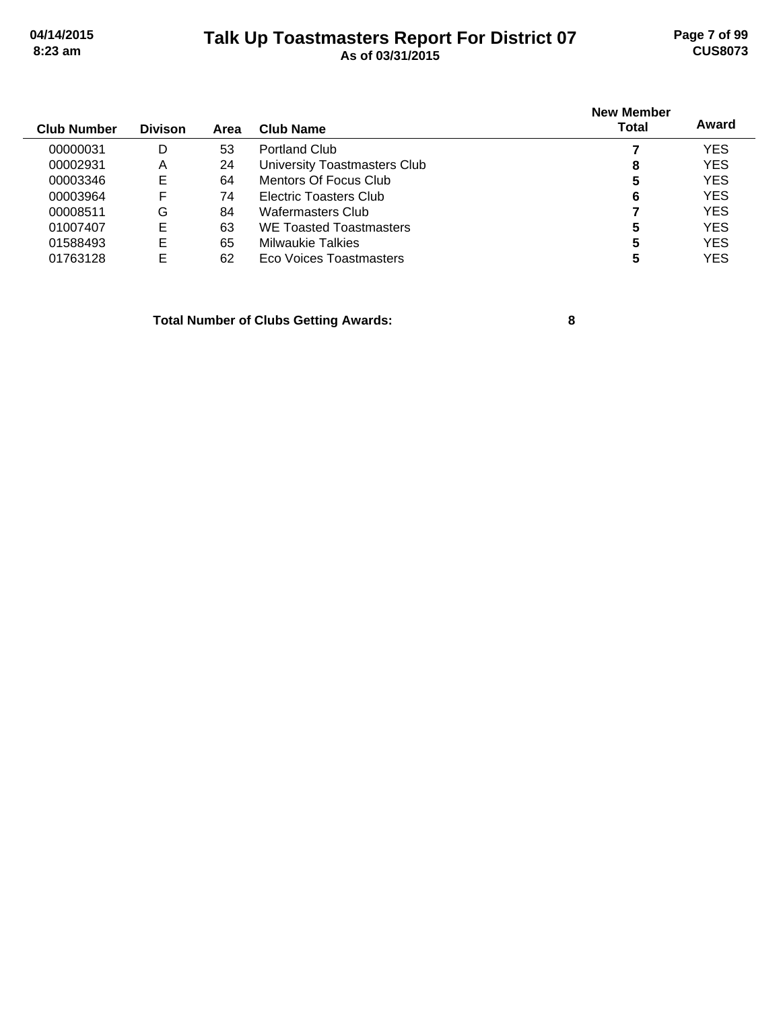# **Talk Up Toastmasters Report For District 07 04/14/2015 Page 7 of 99 8:23 am As of 03/31/2015 CUS8073**

| <b>Club Number</b> | <b>Divison</b> | Area | <b>Club Name</b>               | <b>New Member</b><br>Total | Award      |
|--------------------|----------------|------|--------------------------------|----------------------------|------------|
| 00000031           | D              | 53   | <b>Portland Club</b>           |                            | <b>YES</b> |
| 00002931           | A              | 24   | University Toastmasters Club   | 8                          | <b>YES</b> |
| 00003346           | Е              | 64   | Mentors Of Focus Club          | 5                          | <b>YES</b> |
| 00003964           | F              | 74   | Electric Toasters Club         | 6                          | <b>YES</b> |
| 00008511           | G              | 84   | Wafermasters Club              |                            | <b>YES</b> |
| 01007407           | E              | 63   | <b>WE Toasted Toastmasters</b> | 5                          | <b>YES</b> |
| 01588493           | E              | 65   | Milwaukie Talkies              | 5                          | <b>YES</b> |
| 01763128           | E              | 62   | Eco Voices Toastmasters        | 5                          | <b>YES</b> |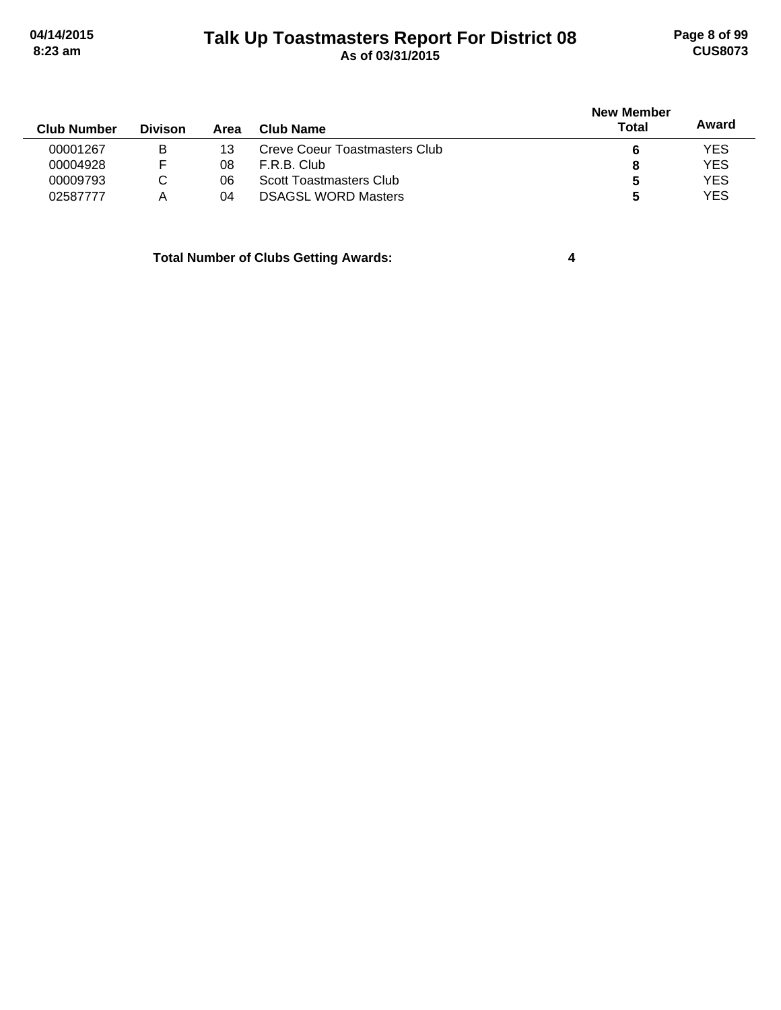# **Talk Up Toastmasters Report For District 08 04/14/2015 Page 8 of 99 8:23 am As of 03/31/2015 CUS8073**

|                    |                |      |                               | <b>New Member</b> |            |  |
|--------------------|----------------|------|-------------------------------|-------------------|------------|--|
| <b>Club Number</b> | <b>Divison</b> | Area | Club Name                     | Total             | Award      |  |
| 00001267           | в              | 13   | Creve Coeur Toastmasters Club |                   | <b>YES</b> |  |
| 00004928           |                | 08   | F.R.B. Club                   | 8                 | <b>YES</b> |  |
| 00009793           | С              | 06   | Scott Toastmasters Club       |                   | <b>YES</b> |  |
| 02587777           | Α              | 04   | <b>DSAGSL WORD Masters</b>    | 5                 | <b>YES</b> |  |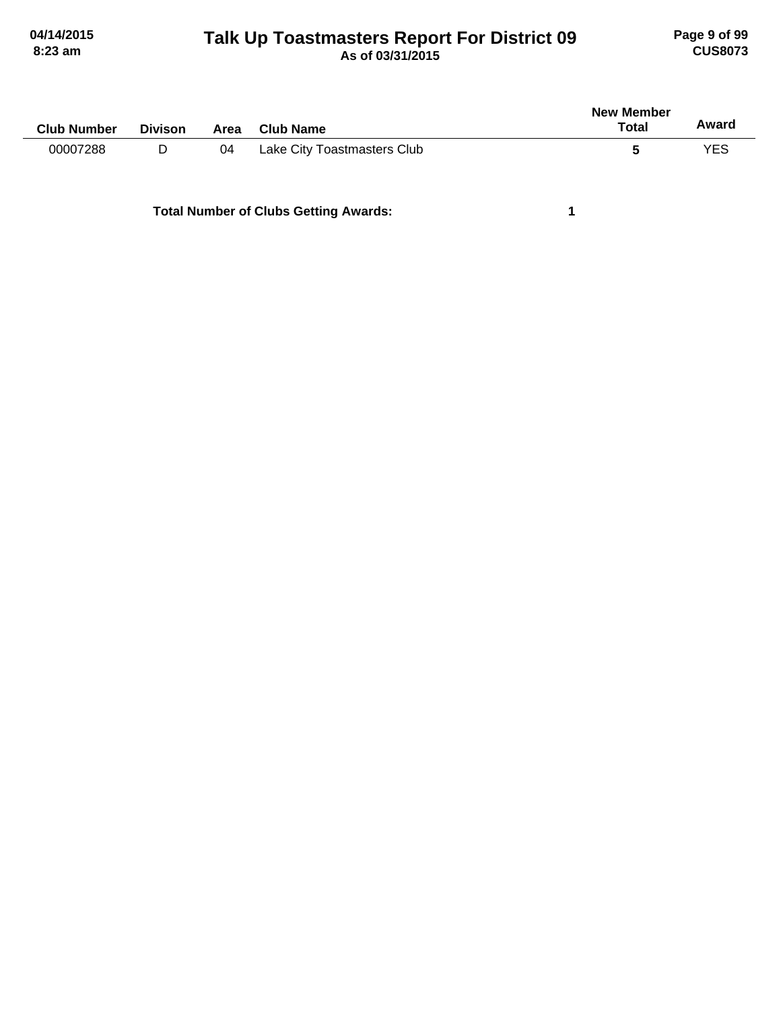# **Talk Up Toastmasters Report For District 09 04/14/2015 Page 9 of 99 8:23 am As of 03/31/2015 CUS8073**

| <b>Club Number</b> | <b>Divison</b> | Area | <b>Club Name</b>            | New Member<br>Total | Award |
|--------------------|----------------|------|-----------------------------|---------------------|-------|
| 00007288           | D              | 04   | Lake City Toastmasters Club | C                   | YES   |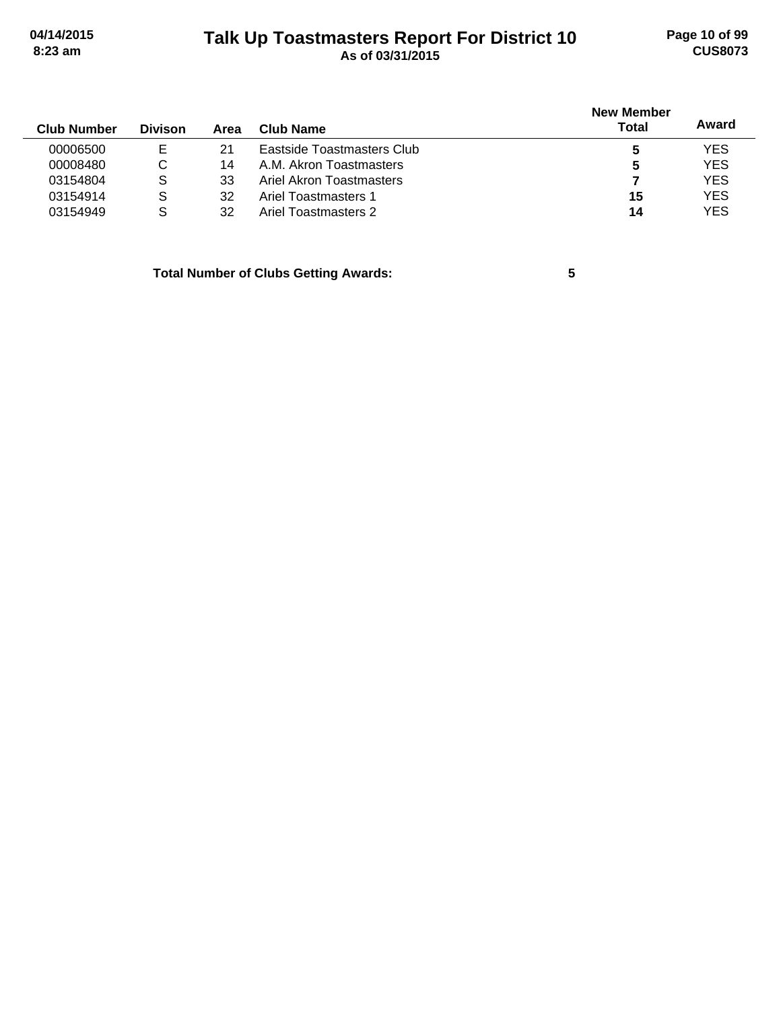# **Talk Up Toastmasters Report For District 10 04/14/2015 Page 10 of 99 8:23 am As of 03/31/2015 CUS8073**

| <b>Club Number</b> | <b>Divison</b> | Area | Club Name                  | <b>New Member</b><br><b>Total</b> | Award      |
|--------------------|----------------|------|----------------------------|-----------------------------------|------------|
| 00006500           | Е              | 21   | Eastside Toastmasters Club |                                   | <b>YES</b> |
| 00008480           | C              | 14   | A.M. Akron Toastmasters    | 5                                 | <b>YES</b> |
| 03154804           | S              | 33   | Ariel Akron Toastmasters   |                                   | <b>YES</b> |
| 03154914           | S              | 32   | Ariel Toastmasters 1       | 15                                | <b>YES</b> |
| 03154949           | S              | 32   | Ariel Toastmasters 2       | 14                                | <b>YES</b> |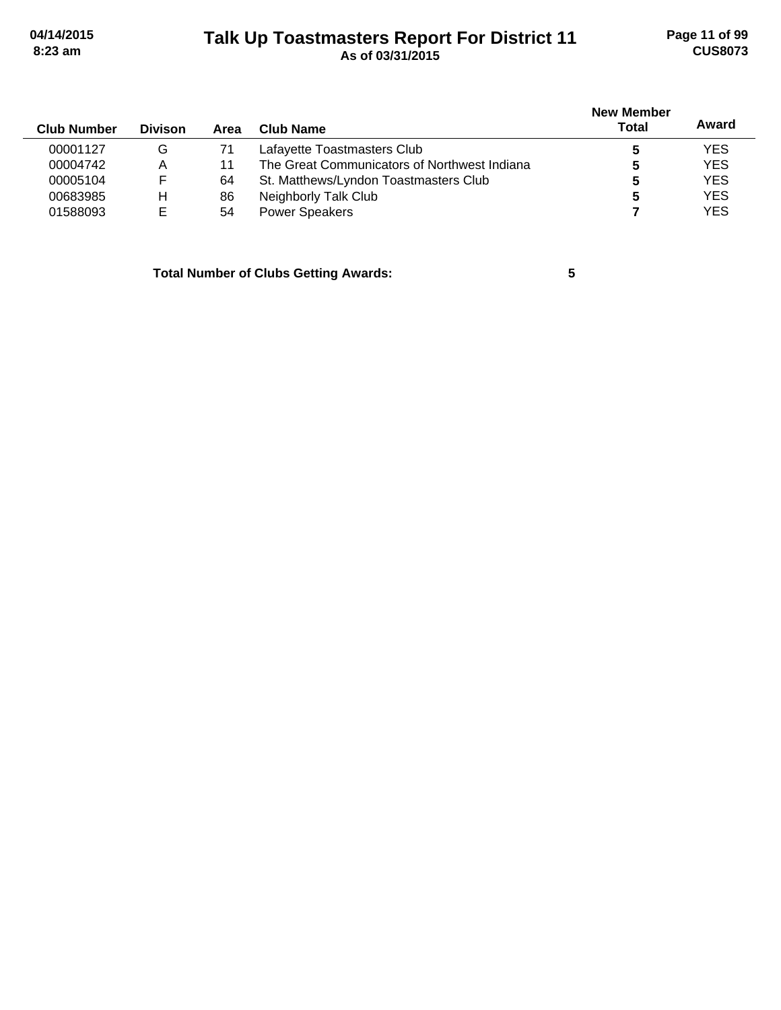# **Talk Up Toastmasters Report For District 11 04/14/2015 Page 11 of 99 8:23 am As of 03/31/2015 CUS8073**

| <b>Club Number</b> | <b>Divison</b> | Area | <b>Club Name</b>                             | <b>New Member</b><br><b>Total</b> | Award      |
|--------------------|----------------|------|----------------------------------------------|-----------------------------------|------------|
| 00001127           | G              | 71   | Lafayette Toastmasters Club                  |                                   | <b>YES</b> |
| 00004742           | Α              | 11   | The Great Communicators of Northwest Indiana |                                   | <b>YES</b> |
| 00005104           | F              | 64   | St. Matthews/Lyndon Toastmasters Club        |                                   | <b>YES</b> |
| 00683985           | н              | 86   | Neighborly Talk Club                         |                                   | <b>YES</b> |
| 01588093           | E              | 54   | <b>Power Speakers</b>                        |                                   | <b>YES</b> |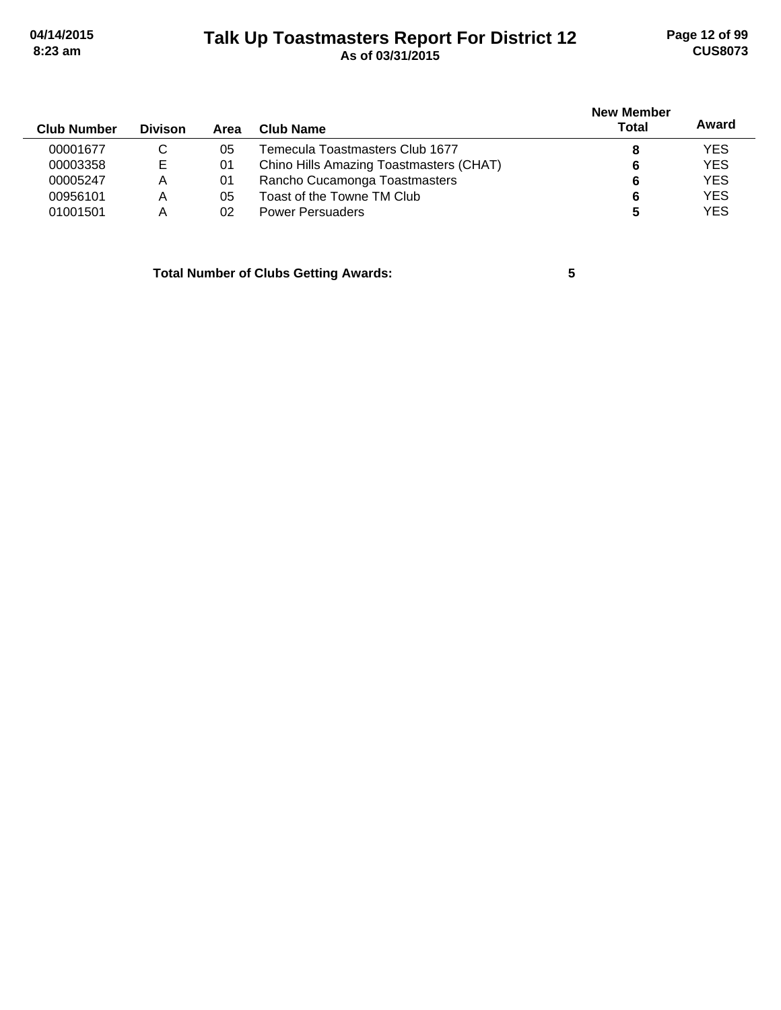# **Talk Up Toastmasters Report For District 12 04/14/2015 Page 12 of 99 8:23 am As of 03/31/2015 CUS8073**

| <b>Club Number</b> | <b>Divison</b> | Area | Club Name                               | <b>New Member</b><br>Total | Award      |
|--------------------|----------------|------|-----------------------------------------|----------------------------|------------|
| 00001677           | C              | 05   | Temecula Toastmasters Club 1677         |                            | <b>YES</b> |
| 00003358           | Е              | 01   | Chino Hills Amazing Toastmasters (CHAT) | 6                          | <b>YES</b> |
| 00005247           | Α              | 01   | Rancho Cucamonga Toastmasters           | 6                          | <b>YES</b> |
| 00956101           | Α              | 05   | Toast of the Towne TM Club              | 6                          | <b>YES</b> |
| 01001501           | А              | 02   | <b>Power Persuaders</b>                 |                            | <b>YES</b> |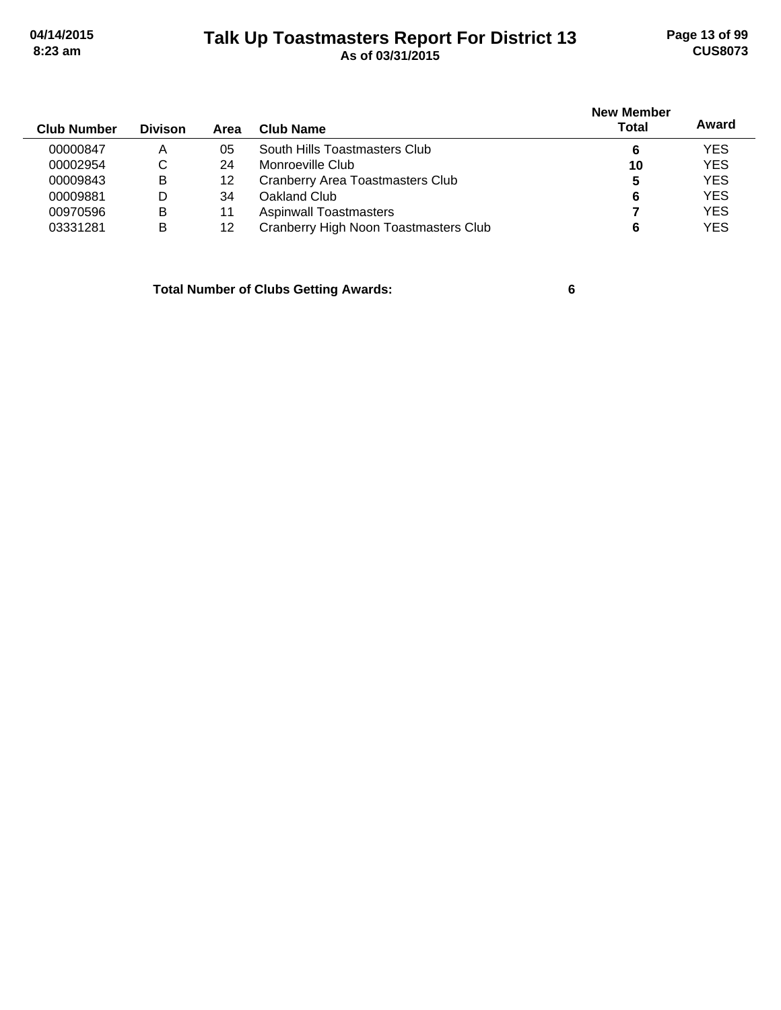# **Talk Up Toastmasters Report For District 13 04/14/2015 Page 13 of 99 8:23 am As of 03/31/2015 CUS8073**

|                    |                |      |                                       | <b>New Member</b> | Award      |
|--------------------|----------------|------|---------------------------------------|-------------------|------------|
| <b>Club Number</b> | <b>Divison</b> | Area | Club Name                             | <b>Total</b>      |            |
| 00000847           | Α              | 05   | South Hills Toastmasters Club         | 6                 | <b>YES</b> |
| 00002954           | C              | 24   | Monroeville Club                      | 10                | <b>YES</b> |
| 00009843           | в              | 12   | Cranberry Area Toastmasters Club      | 5                 | <b>YES</b> |
| 00009881           | D              | 34   | Oakland Club                          | 6                 | <b>YES</b> |
| 00970596           | в              | 11   | <b>Aspinwall Toastmasters</b>         |                   | <b>YES</b> |
| 03331281           | B              | 12   | Cranberry High Noon Toastmasters Club |                   | <b>YES</b> |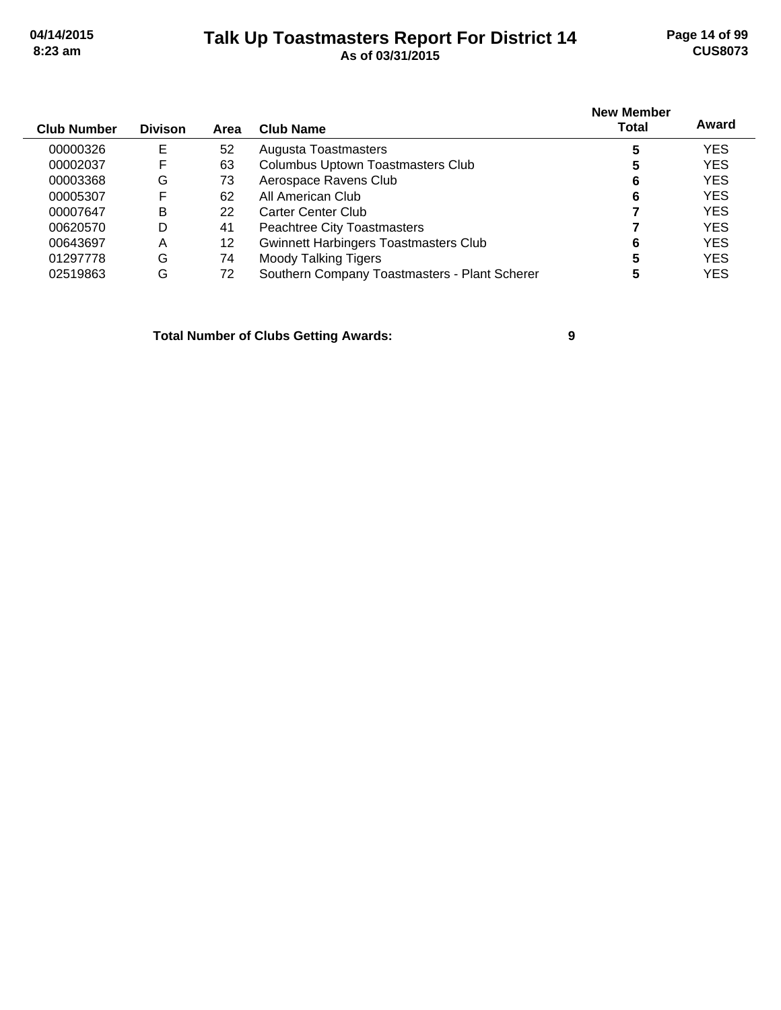# **Talk Up Toastmasters Report For District 14 04/14/2015 Page 14 of 99 8:23 am As of 03/31/2015 CUS8073**

| <b>Club Number</b> | <b>Divison</b> | Area | Club Name                                     | <b>New Member</b><br>Total | Award      |
|--------------------|----------------|------|-----------------------------------------------|----------------------------|------------|
| 00000326           | Е              | 52   | Augusta Toastmasters                          | 5                          | <b>YES</b> |
| 00002037           | F              | 63   | <b>Columbus Uptown Toastmasters Club</b>      | 5                          | <b>YES</b> |
| 00003368           | G              | 73   | Aerospace Ravens Club                         | 6                          | <b>YES</b> |
| 00005307           | F              | 62   | All American Club                             | 6                          | <b>YES</b> |
| 00007647           | в              | 22   | Carter Center Club                            |                            | <b>YES</b> |
| 00620570           | D              | 41   | Peachtree City Toastmasters                   |                            | <b>YES</b> |
| 00643697           | Α              | 12   | Gwinnett Harbingers Toastmasters Club         | 6                          | <b>YES</b> |
| 01297778           | G              | 74   | <b>Moody Talking Tigers</b>                   | 5                          | <b>YES</b> |
| 02519863           | G              | 72   | Southern Company Toastmasters - Plant Scherer | 5                          | <b>YES</b> |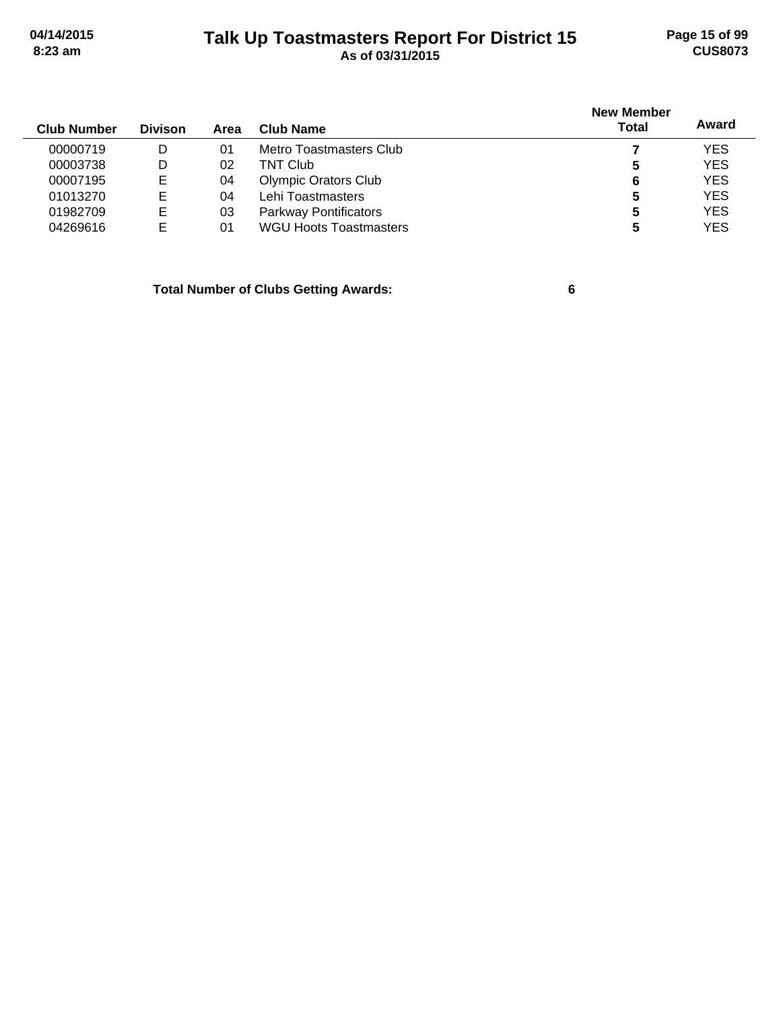# **Talk Up Toastmasters Report For District 15 04/14/2015 Page 15 of 99 8:23 am As of 03/31/2015 CUS8073**

|             |                |      |                               | <b>New Member</b> |            |  |
|-------------|----------------|------|-------------------------------|-------------------|------------|--|
| Club Number | <b>Divison</b> | Area | Club Name                     | <b>Total</b>      | Award      |  |
| 00000719    | D              | 01   | Metro Toastmasters Club       |                   | <b>YES</b> |  |
| 00003738    | D              | 02   | <b>TNT Club</b>               | 5                 | <b>YES</b> |  |
| 00007195    | E              | 04   | <b>Olympic Orators Club</b>   | 6                 | <b>YES</b> |  |
| 01013270    | E              | 04   | Lehi Toastmasters             | 5                 | <b>YES</b> |  |
| 01982709    | Е              | 03   | <b>Parkway Pontificators</b>  | 5                 | <b>YES</b> |  |
| 04269616    | E              | 01   | <b>WGU Hoots Toastmasters</b> |                   | <b>YES</b> |  |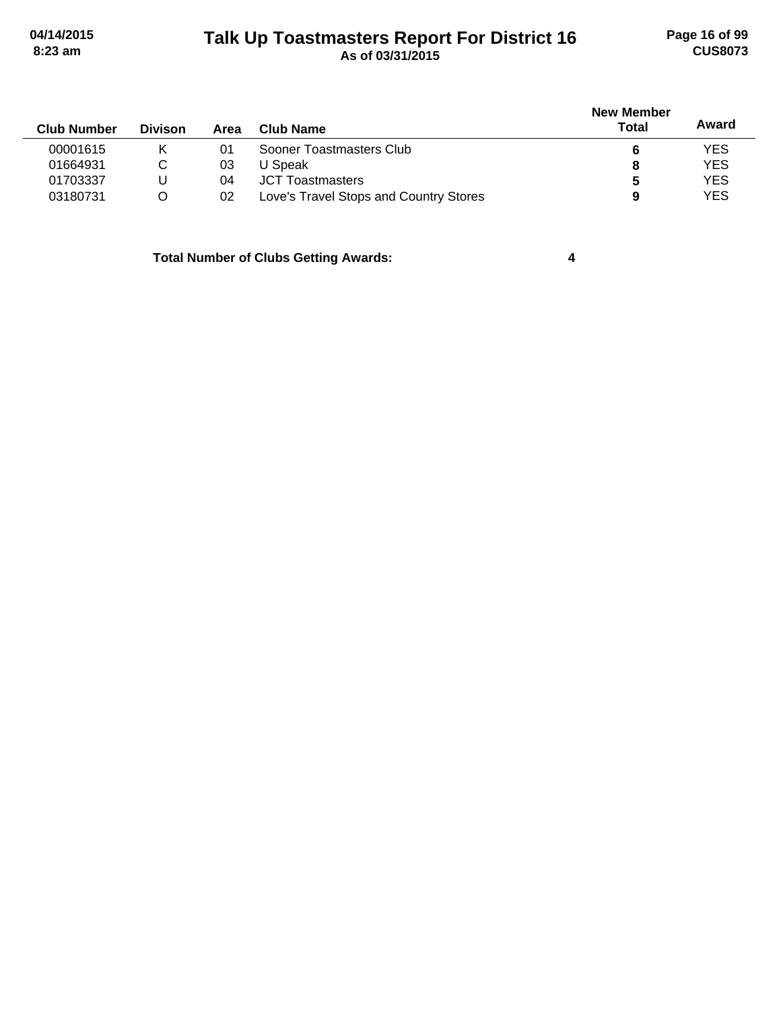# **Talk Up Toastmasters Report For District 16 04/14/2015 Page 16 of 99 8:23 am As of 03/31/2015 CUS8073**

| <b>Club Number</b> | <b>Divison</b> | Area | Club Name                              | <b>New Member</b><br>Total | Award      |
|--------------------|----------------|------|----------------------------------------|----------------------------|------------|
| 00001615           |                | 01   | Sooner Toastmasters Club               |                            | <b>YES</b> |
| 01664931           | С              | 03   | U Speak                                | 8                          | <b>YES</b> |
| 01703337           |                | 04   | <b>JCT Toastmasters</b>                | 5                          | <b>YES</b> |
| 03180731           | O              | 02   | Love's Travel Stops and Country Stores | 9                          | <b>YES</b> |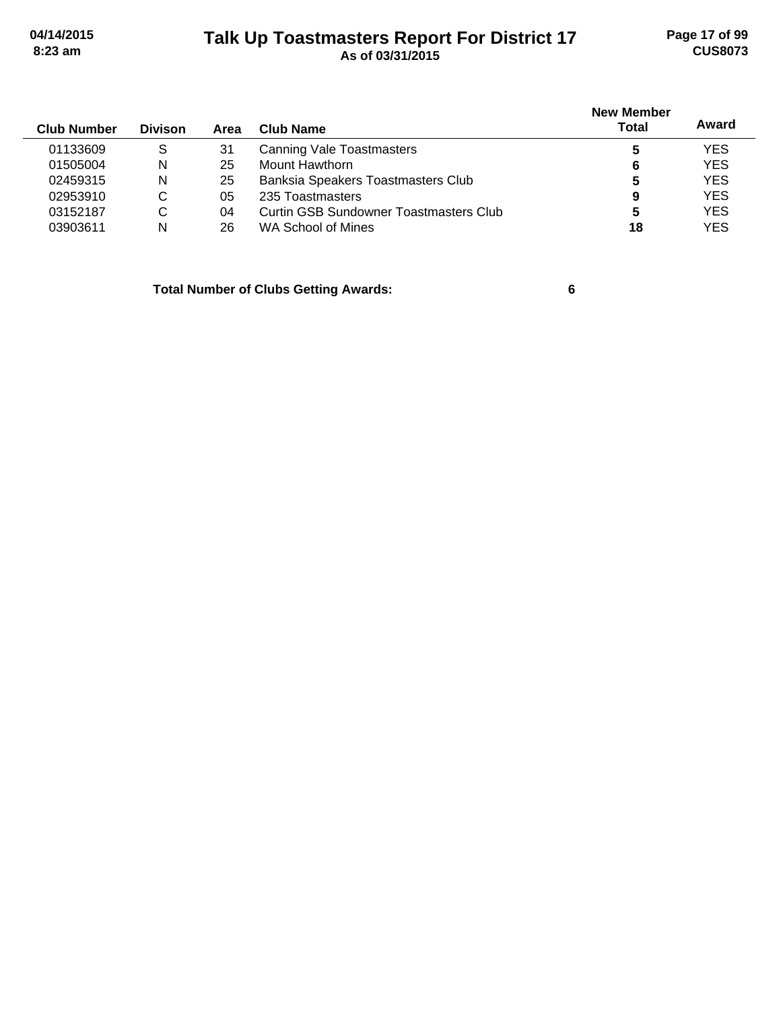# **Talk Up Toastmasters Report For District 17 04/14/2015 Page 17 of 99 8:23 am As of 03/31/2015 CUS8073**

| <b>Club Number</b> | <b>Divison</b> | Area | Club Name                              | <b>New Member</b><br><b>Total</b> | Award      |
|--------------------|----------------|------|----------------------------------------|-----------------------------------|------------|
|                    |                |      |                                        |                                   |            |
| 01133609           | S              | 31   | Canning Vale Toastmasters              |                                   | <b>YES</b> |
| 01505004           | N              | 25   | Mount Hawthorn                         | 6                                 | <b>YES</b> |
| 02459315           | N              | 25   | Banksia Speakers Toastmasters Club     | 5                                 | <b>YES</b> |
| 02953910           | C              | 05   | 235 Toastmasters                       | 9                                 | <b>YES</b> |
| 03152187           | C              | 04   | Curtin GSB Sundowner Toastmasters Club | 5                                 | <b>YES</b> |
| 03903611           | N              | 26   | WA School of Mines                     | 18                                | <b>YES</b> |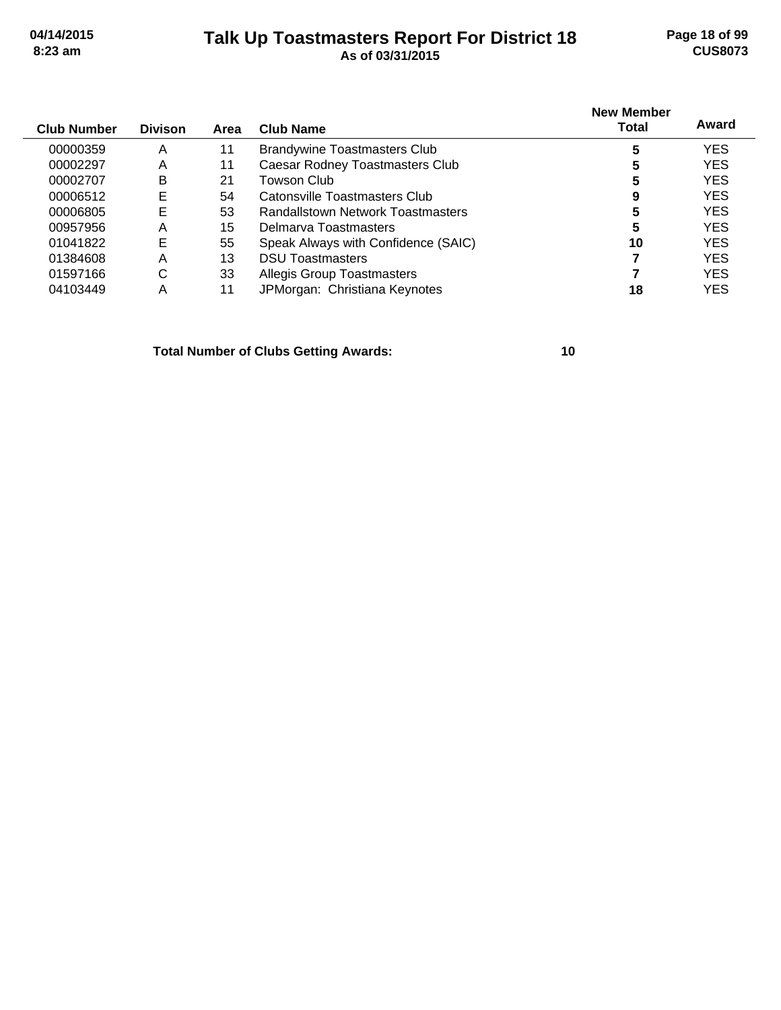# **Talk Up Toastmasters Report For District 18 04/14/2015 Page 18 of 99 8:23 am As of 03/31/2015 CUS8073**

| <b>Club Number</b> | <b>Divison</b> | Area | <b>Club Name</b>                    | <b>New Member</b><br>Total | Award      |
|--------------------|----------------|------|-------------------------------------|----------------------------|------------|
| 00000359           | A              | 11   | <b>Brandywine Toastmasters Club</b> | 5                          | YES        |
| 00002297           | A              | 11   | Caesar Rodney Toastmasters Club     | 5                          | <b>YES</b> |
| 00002707           | B              | 21   | Towson Club                         | 5                          | <b>YES</b> |
| 00006512           | E              | 54   | Catonsville Toastmasters Club       | 9                          | <b>YES</b> |
| 00006805           | E              | 53   | Randallstown Network Toastmasters   | 5                          | <b>YES</b> |
| 00957956           | Α              | 15   | Delmarya Toastmasters               | 5                          | <b>YES</b> |
| 01041822           | E              | 55   | Speak Always with Confidence (SAIC) | 10                         | <b>YES</b> |
| 01384608           | Α              | 13   | <b>DSU Toastmasters</b>             |                            | <b>YES</b> |
| 01597166           | C              | 33   | <b>Allegis Group Toastmasters</b>   |                            | <b>YES</b> |
| 04103449           | Α              | 11   | JPMorgan: Christiana Keynotes       | 18                         | YES        |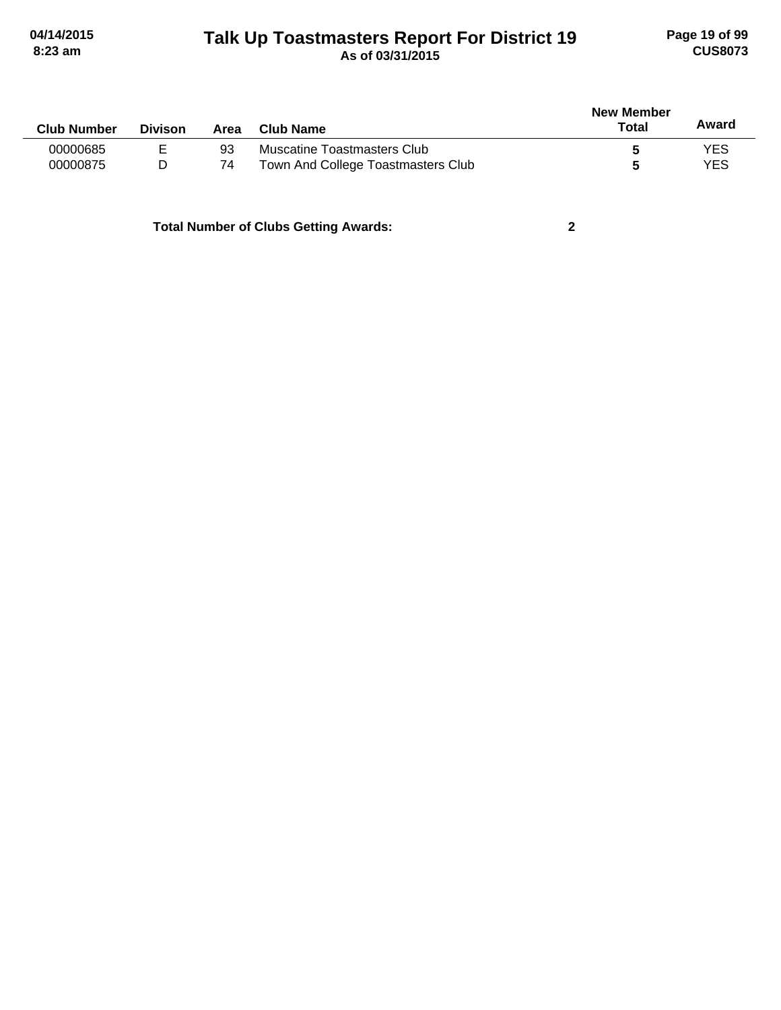# **Talk Up Toastmasters Report For District 19 04/14/2015 Page 19 of 99 8:23 am As of 03/31/2015 CUS8073**

| <b>Club Number</b> | <b>Divison</b> | Area | Club Name                          | <b>New Member</b><br>Total | Award |
|--------------------|----------------|------|------------------------------------|----------------------------|-------|
| 00000685           | Е              | 93   | Muscatine Toastmasters Club        |                            | YES   |
| 00000875           |                | 74   | Town And College Toastmasters Club |                            | YES   |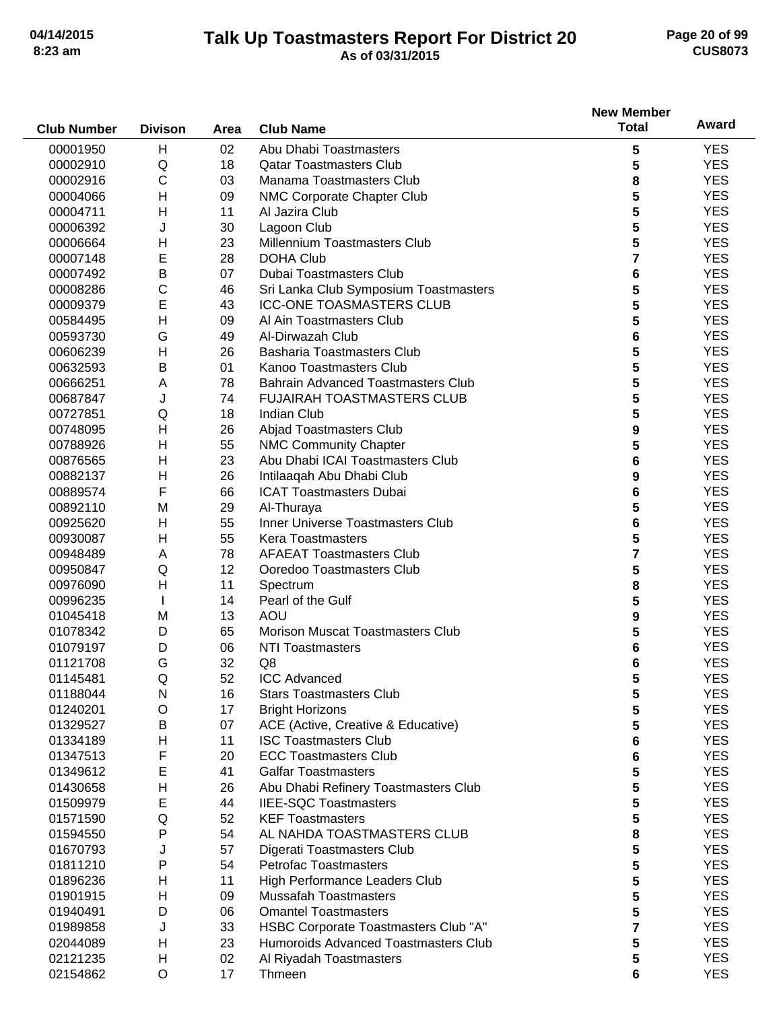# **Talk Up Toastmasters Report For District 20 04/14/2015 Page 20 of 99 8:23 am As of 03/31/2015 CUS8073**

|                    |                |      |                                           | <b>New Member</b> |                          |
|--------------------|----------------|------|-------------------------------------------|-------------------|--------------------------|
| <b>Club Number</b> | <b>Divison</b> | Area | <b>Club Name</b>                          | <b>Total</b>      | Award                    |
| 00001950           | H              | 02   | Abu Dhabi Toastmasters                    | 5                 | <b>YES</b>               |
| 00002910           | Q              | 18   | <b>Qatar Toastmasters Club</b>            | 5                 | <b>YES</b>               |
| 00002916           | C              | 03   | Manama Toastmasters Club                  | 8                 | <b>YES</b>               |
| 00004066           | $\mathsf{H}$   | 09   | NMC Corporate Chapter Club                | 5                 | <b>YES</b>               |
| 00004711           | $\mathsf{H}$   | 11   | Al Jazira Club                            | 5                 | <b>YES</b>               |
| 00006392           | J              | 30   | Lagoon Club                               | 5                 | <b>YES</b>               |
| 00006664           | H              | 23   | Millennium Toastmasters Club              | 5                 | <b>YES</b>               |
| 00007148           | E              | 28   | <b>DOHA Club</b>                          | 7                 | <b>YES</b>               |
| 00007492           | B              | 07   | Dubai Toastmasters Club                   | 6                 | <b>YES</b>               |
| 00008286           | $\mathsf C$    | 46   | Sri Lanka Club Symposium Toastmasters     | 5                 | <b>YES</b>               |
| 00009379           | E              | 43   | <b>ICC-ONE TOASMASTERS CLUB</b>           | 5                 | <b>YES</b>               |
|                    | H              |      |                                           | 5                 |                          |
| 00584495           |                | 09   | Al Ain Toastmasters Club                  |                   | <b>YES</b>               |
| 00593730           | G              | 49   | Al-Dirwazah Club                          | 6                 | <b>YES</b>               |
| 00606239           | H              | 26   | <b>Basharia Toastmasters Club</b>         | 5                 | <b>YES</b>               |
| 00632593           | B              | 01   | Kanoo Toastmasters Club                   | 5                 | <b>YES</b>               |
| 00666251           | A              | 78   | <b>Bahrain Advanced Toastmasters Club</b> | 5                 | <b>YES</b>               |
| 00687847           | J              | 74   | <b>FUJAIRAH TOASTMASTERS CLUB</b>         | 5                 | <b>YES</b>               |
| 00727851           | Q              | 18   | <b>Indian Club</b>                        | 5                 | <b>YES</b>               |
| 00748095           | H              | 26   | Abjad Toastmasters Club                   | 9                 | <b>YES</b>               |
| 00788926           | H              | 55   | <b>NMC Community Chapter</b>              | 5                 | <b>YES</b>               |
| 00876565           | H              | 23   | Abu Dhabi ICAI Toastmasters Club          | 6                 | <b>YES</b>               |
| 00882137           | H              | 26   | Intilaaqah Abu Dhabi Club                 | 9                 | <b>YES</b>               |
| 00889574           | F              | 66   | <b>ICAT Toastmasters Dubai</b>            | 6                 | <b>YES</b>               |
| 00892110           | M              | 29   | Al-Thuraya                                | 5                 | <b>YES</b>               |
| 00925620           | H              | 55   | Inner Universe Toastmasters Club          | 6                 | <b>YES</b>               |
| 00930087           | Н              | 55   | <b>Kera Toastmasters</b>                  | 5                 | <b>YES</b>               |
| 00948489           | A              | 78   | <b>AFAEAT Toastmasters Club</b>           | 7                 | <b>YES</b>               |
| 00950847           | Q              | 12   | Ooredoo Toastmasters Club                 | 5                 | <b>YES</b>               |
| 00976090           | $\mathsf{H}$   | 11   | Spectrum                                  | 8                 | <b>YES</b>               |
| 00996235           |                | 14   | Pearl of the Gulf                         | 5                 | <b>YES</b>               |
| 01045418           | M              | 13   | AOU                                       | 9                 | <b>YES</b>               |
| 01078342           | D              | 65   | <b>Morison Muscat Toastmasters Club</b>   | 5                 | <b>YES</b>               |
| 01079197           | D              | 06   | <b>NTI Toastmasters</b>                   | 6                 | <b>YES</b>               |
| 01121708           | G              | 32   | Q8                                        | 6                 | <b>YES</b>               |
| 01145481           | Q              | 52   | <b>ICC Advanced</b>                       | 5                 | <b>YES</b>               |
| 01188044           | N              | 16   | <b>Stars Toastmasters Club</b>            | 5                 | <b>YES</b>               |
| 01240201           | O              | 17   | <b>Bright Horizons</b>                    | 5                 | <b>YES</b>               |
| 01329527           | B              | 07   | ACE (Active, Creative & Educative)        | 5                 | <b>YES</b>               |
| 01334189           | H              | 11   | <b>ISC Toastmasters Club</b>              |                   | <b>YES</b>               |
|                    | F              |      | <b>ECC Toastmasters Club</b>              | 6                 |                          |
| 01347513           | E              | 20   |                                           | 6                 | <b>YES</b><br><b>YES</b> |
| 01349612           |                | 41   | <b>Galfar Toastmasters</b>                | 5                 |                          |
| 01430658           | H              | 26   | Abu Dhabi Refinery Toastmasters Club      | 5                 | <b>YES</b>               |
| 01509979           | E              | 44   | <b>IIEE-SQC Toastmasters</b>              | 5                 | <b>YES</b>               |
| 01571590           | Q              | 52   | <b>KEF Toastmasters</b>                   | 5                 | <b>YES</b>               |
| 01594550           | $\mathsf{P}$   | 54   | AL NAHDA TOASTMASTERS CLUB                | 8                 | <b>YES</b>               |
| 01670793           | J              | 57   | Digerati Toastmasters Club                | 5                 | <b>YES</b>               |
| 01811210           | P              | 54   | <b>Petrofac Toastmasters</b>              | 5                 | <b>YES</b>               |
| 01896236           | Н              | 11   | High Performance Leaders Club             | 5                 | <b>YES</b>               |
| 01901915           | н              | 09   | <b>Mussafah Toastmasters</b>              | 5                 | <b>YES</b>               |
| 01940491           | D              | 06   | <b>Omantel Toastmasters</b>               | 5                 | <b>YES</b>               |
| 01989858           | J              | 33   | HSBC Corporate Toastmasters Club "A"      | 7                 | <b>YES</b>               |
| 02044089           | H              | 23   | Humoroids Advanced Toastmasters Club      | 5                 | <b>YES</b>               |
| 02121235           | H              | 02   | Al Riyadah Toastmasters                   | 5                 | <b>YES</b>               |
| 02154862           | $\circ$        | 17   | Thmeen                                    | 6                 | <b>YES</b>               |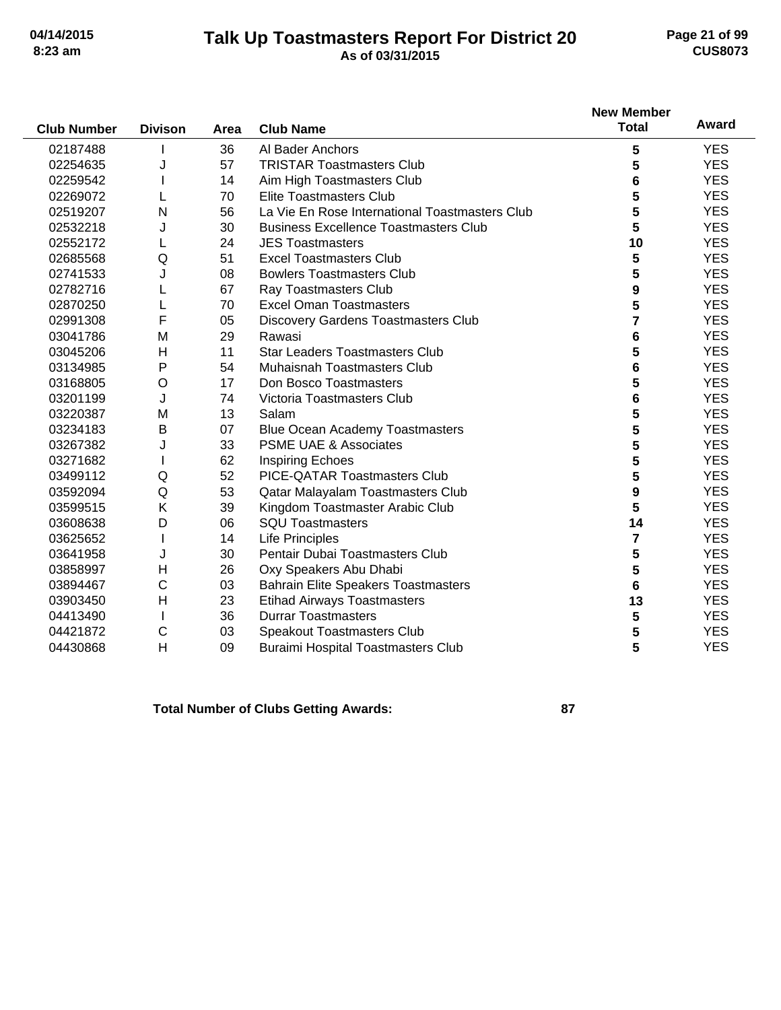# **Talk Up Toastmasters Report For District 20 04/14/2015 Page 21 of 99 8:23 am As of 03/31/2015 CUS8073**

|                    |                |      |                                                | <b>New Member</b> |            |
|--------------------|----------------|------|------------------------------------------------|-------------------|------------|
| <b>Club Number</b> | <b>Divison</b> | Area | <b>Club Name</b>                               | <b>Total</b>      | Award      |
| 02187488           |                | 36   | Al Bader Anchors                               | 5                 | <b>YES</b> |
| 02254635           | J              | 57   | <b>TRISTAR Toastmasters Club</b>               | 5                 | <b>YES</b> |
| 02259542           |                | 14   | Aim High Toastmasters Club                     | 6                 | <b>YES</b> |
| 02269072           |                | 70   | <b>Elite Toastmasters Club</b>                 | 5                 | <b>YES</b> |
| 02519207           | N              | 56   | La Vie En Rose International Toastmasters Club | 5                 | <b>YES</b> |
| 02532218           | J              | 30   | <b>Business Excellence Toastmasters Club</b>   | 5                 | <b>YES</b> |
| 02552172           |                | 24   | <b>JES Toastmasters</b>                        | 10                | <b>YES</b> |
| 02685568           | Q              | 51   | <b>Excel Toastmasters Club</b>                 | 5                 | <b>YES</b> |
| 02741533           | J              | 08   | <b>Bowlers Toastmasters Club</b>               | 5                 | <b>YES</b> |
| 02782716           |                | 67   | <b>Ray Toastmasters Club</b>                   | 9                 | <b>YES</b> |
| 02870250           |                | 70   | <b>Excel Oman Toastmasters</b>                 | 5                 | <b>YES</b> |
| 02991308           | F              | 05   | <b>Discovery Gardens Toastmasters Club</b>     | 7                 | <b>YES</b> |
| 03041786           | M              | 29   | Rawasi                                         | 6                 | <b>YES</b> |
| 03045206           | н              | 11   | <b>Star Leaders Toastmasters Club</b>          | 5                 | <b>YES</b> |
| 03134985           | P              | 54   | <b>Muhaisnah Toastmasters Club</b>             | 6                 | <b>YES</b> |
| 03168805           | O              | 17   | Don Bosco Toastmasters                         | 5                 | <b>YES</b> |
| 03201199           | J              | 74   | Victoria Toastmasters Club                     | 6                 | <b>YES</b> |
| 03220387           | M              | 13   | Salam                                          | 5                 | <b>YES</b> |
| 03234183           | B              | 07   | <b>Blue Ocean Academy Toastmasters</b>         | 5                 | <b>YES</b> |
| 03267382           | J              | 33   | <b>PSME UAE &amp; Associates</b>               | 5                 | <b>YES</b> |
| 03271682           |                | 62   | <b>Inspiring Echoes</b>                        | 5                 | <b>YES</b> |
| 03499112           | Q              | 52   | PICE-QATAR Toastmasters Club                   | 5                 | <b>YES</b> |
| 03592094           | Q              | 53   | Qatar Malayalam Toastmasters Club              | 9                 | <b>YES</b> |
| 03599515           | K              | 39   | Kingdom Toastmaster Arabic Club                | 5                 | <b>YES</b> |
| 03608638           | D              | 06   | <b>SQU Toastmasters</b>                        | 14                | <b>YES</b> |
| 03625652           |                | 14   | <b>Life Principles</b>                         | 7                 | <b>YES</b> |
| 03641958           | J              | 30   | Pentair Dubai Toastmasters Club                | 5                 | <b>YES</b> |
| 03858997           | H              | 26   | Oxy Speakers Abu Dhabi                         | 5                 | <b>YES</b> |
| 03894467           | $\mathsf C$    | 03   | <b>Bahrain Elite Speakers Toastmasters</b>     | 6                 | <b>YES</b> |
| 03903450           | $\mathsf{H}$   | 23   | <b>Etihad Airways Toastmasters</b>             | 13                | <b>YES</b> |
| 04413490           |                | 36   | <b>Durrar Toastmasters</b>                     | 5                 | <b>YES</b> |
| 04421872           | С              | 03   | Speakout Toastmasters Club                     | 5                 | <b>YES</b> |
| 04430868           | H              | 09   | <b>Buraimi Hospital Toastmasters Club</b>      | 5                 | <b>YES</b> |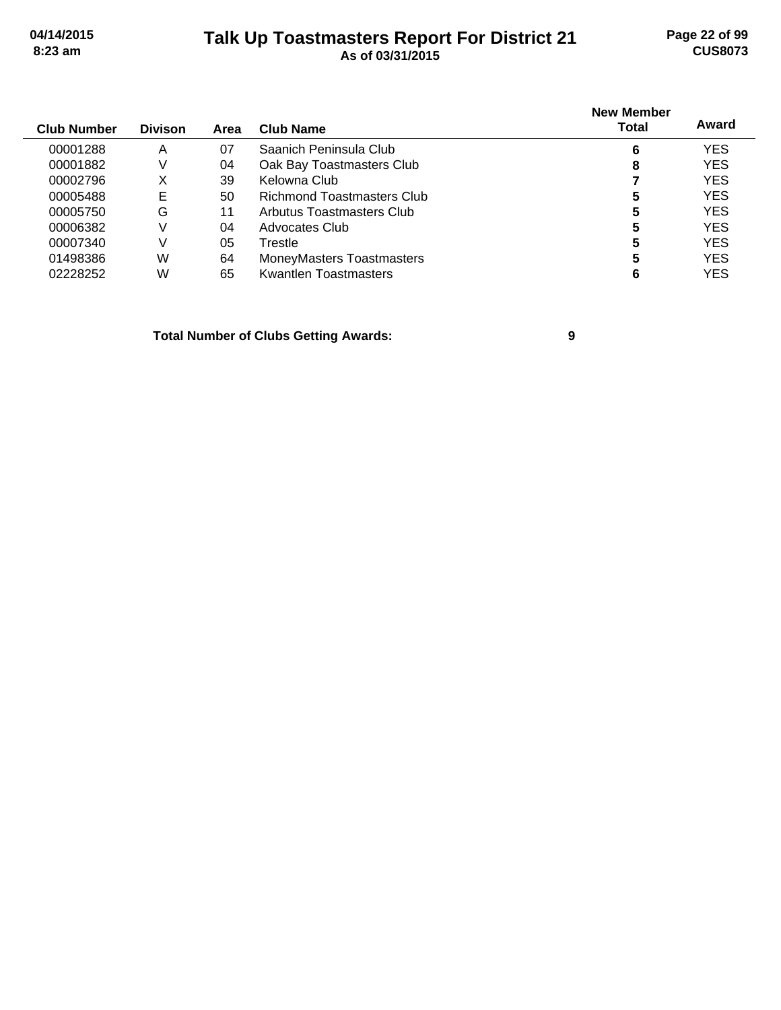# **Talk Up Toastmasters Report For District 21 04/14/2015 Page 22 of 99 8:23 am As of 03/31/2015 CUS8073**

| <b>Club Number</b> | <b>Divison</b> | Area | Club Name                         | <b>New Member</b><br>Total | Award      |
|--------------------|----------------|------|-----------------------------------|----------------------------|------------|
| 00001288           | A              | 07   | Saanich Peninsula Club            | 6                          | <b>YES</b> |
| 00001882           | V              | 04   | Oak Bay Toastmasters Club         | 8                          | <b>YES</b> |
| 00002796           | х              | 39   | Kelowna Club                      |                            | <b>YES</b> |
| 00005488           | Е              | 50   | <b>Richmond Toastmasters Club</b> | 5                          | <b>YES</b> |
| 00005750           | G              | 11   | Arbutus Toastmasters Club         | 5                          | <b>YES</b> |
| 00006382           |                | 04   | Advocates Club                    | 5                          | <b>YES</b> |
| 00007340           | V              | 05   | Trestle                           | 5                          | YES        |
| 01498386           | W              | 64   | MoneyMasters Toastmasters         | 5                          | <b>YES</b> |
| 02228252           | W              | 65   | Kwantlen Toastmasters             | 6                          | YES        |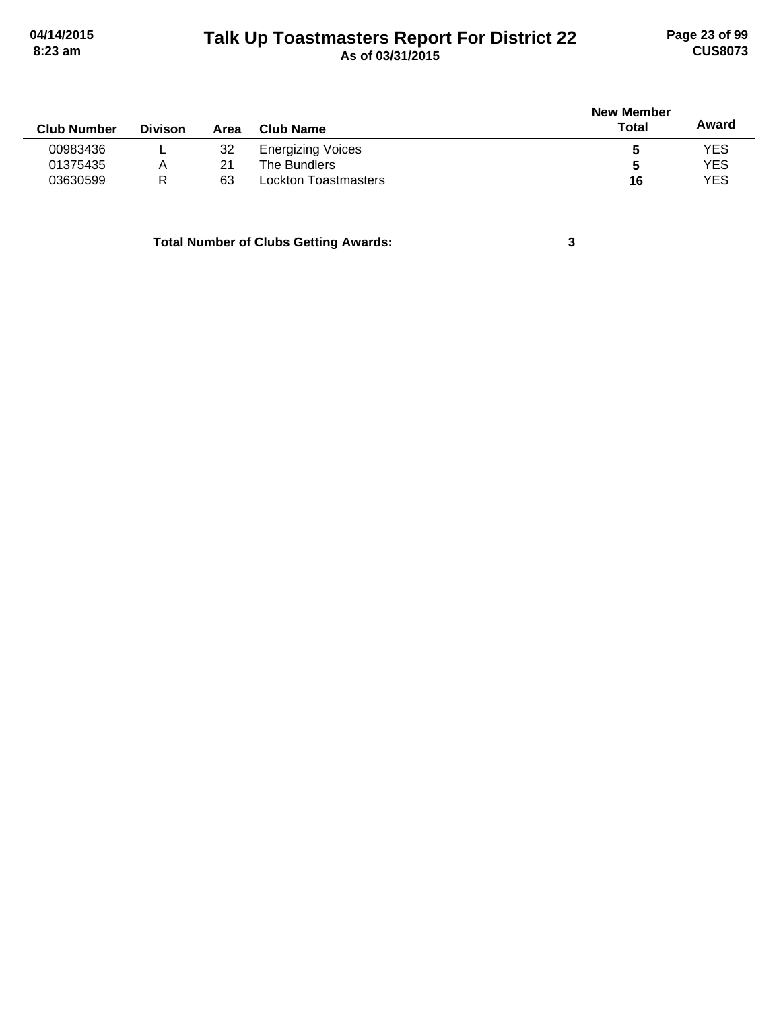# **Talk Up Toastmasters Report For District 22 04/14/2015 Page 23 of 99 8:23 am As of 03/31/2015 CUS8073**

| <b>Club Number</b> | <b>Divison</b> | Area | <b>Club Name</b>         | <b>New Member</b><br>Total | Award |
|--------------------|----------------|------|--------------------------|----------------------------|-------|
| 00983436           |                | 32   | <b>Energizing Voices</b> | 5                          | YES   |
| 01375435           | Α              | 21   | The Bundlers             | 5                          | YES   |
| 03630599           | R              | 63   | Lockton Toastmasters     | 16                         | YES   |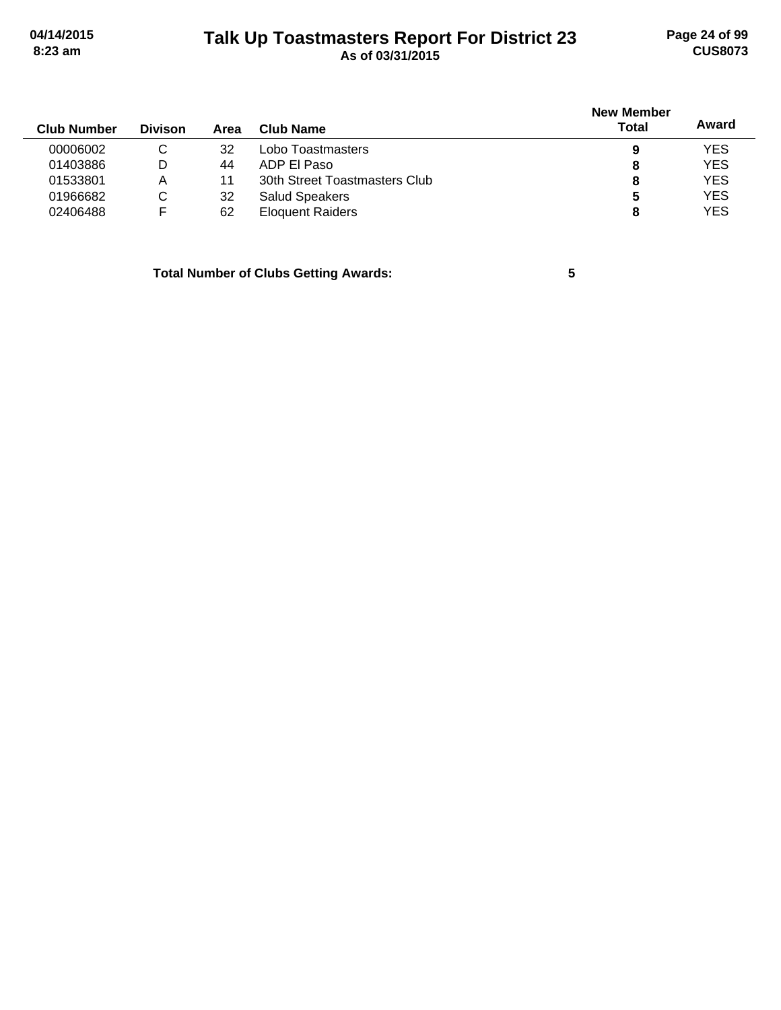# **Talk Up Toastmasters Report For District 23 04/14/2015 Page 24 of 99 8:23 am As of 03/31/2015 CUS8073**

| <b>Club Number</b> | <b>Divison</b> | Area | Club Name                     | <b>New Member</b><br>Total | Award      |
|--------------------|----------------|------|-------------------------------|----------------------------|------------|
| 00006002           |                | 32   | Lobo Toastmasters             | 9                          | <b>YES</b> |
| 01403886           | D              | 44   | ADP EL Paso                   | 8                          | <b>YES</b> |
| 01533801           | A              | 11   | 30th Street Toastmasters Club | 8                          | <b>YES</b> |
| 01966682           | C.             | 32   | <b>Salud Speakers</b>         | 5                          | <b>YES</b> |
| 02406488           |                | 62   | <b>Eloquent Raiders</b>       | 8                          | <b>YES</b> |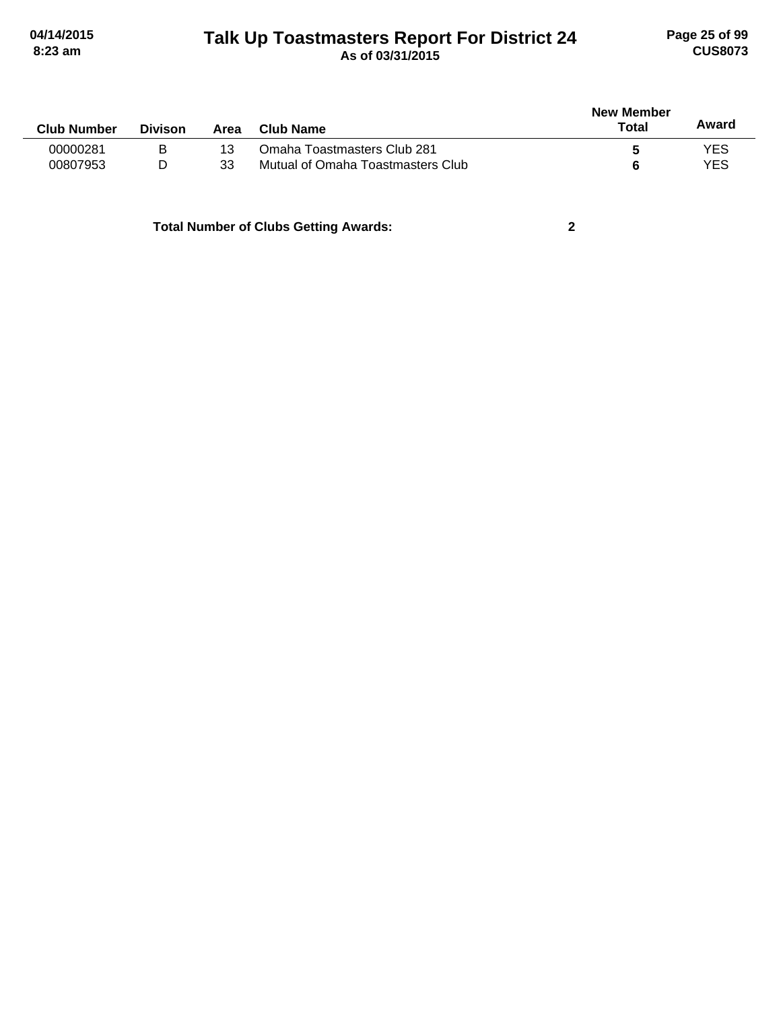# **Talk Up Toastmasters Report For District 24 04/14/2015 Page 25 of 99 8:23 am As of 03/31/2015 CUS8073**

| <b>Club Number</b> | <b>Divison</b> | Area | Club Name                         | <b>New Member</b><br>Total | Award |
|--------------------|----------------|------|-----------------------------------|----------------------------|-------|
| 00000281           | в              | 13   | Omaha Toastmasters Club 281       |                            | YES   |
| 00807953           | D              | 33   | Mutual of Omaha Toastmasters Club |                            | YES   |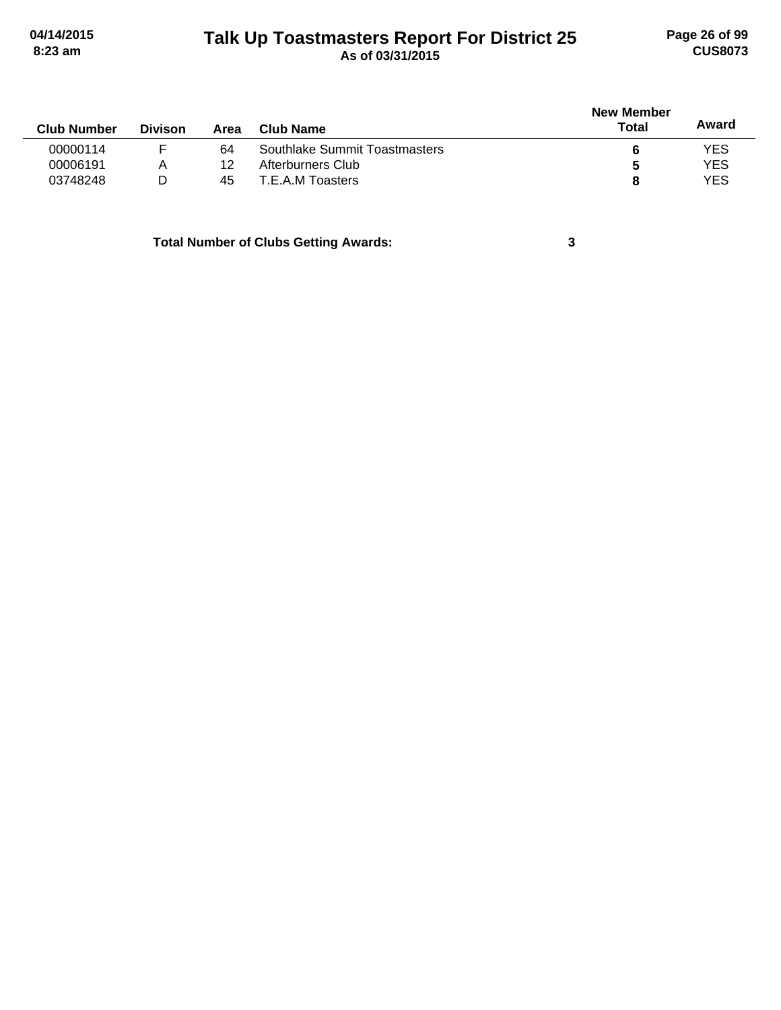# **Talk Up Toastmasters Report For District 25 04/14/2015 Page 26 of 99 8:23 am As of 03/31/2015 CUS8073**

| <b>New Member</b> |            |
|-------------------|------------|
| Total             | Award      |
|                   | <b>YES</b> |
| b                 | <b>YES</b> |
|                   | <b>YES</b> |
|                   |            |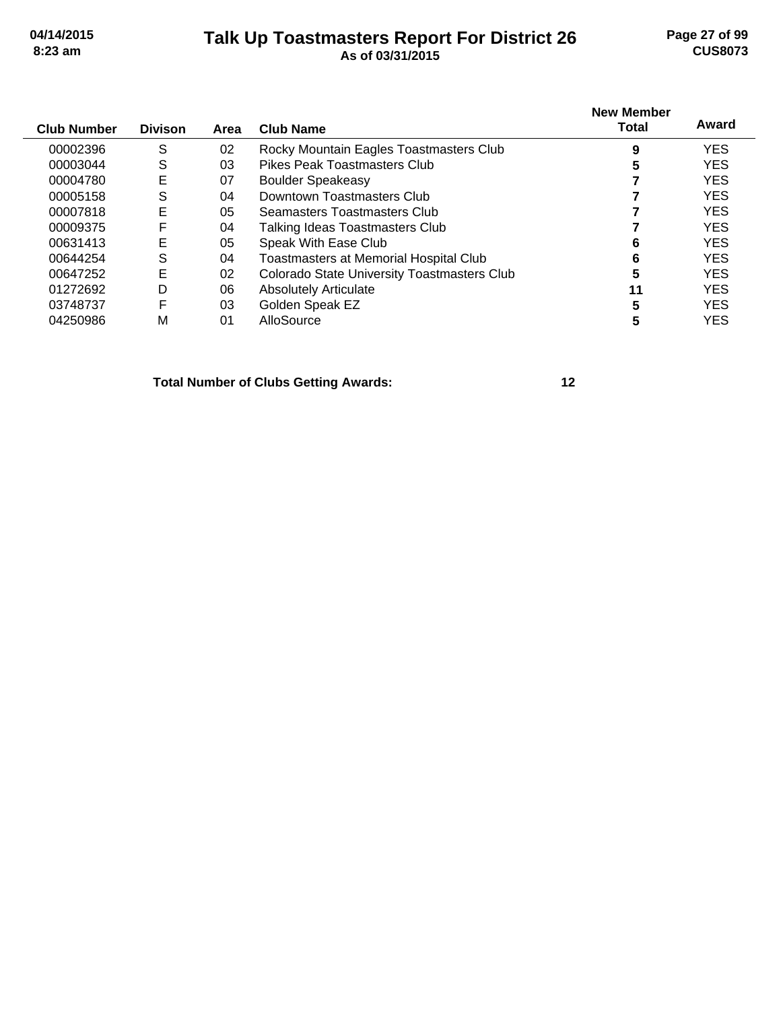## **Talk Up Toastmasters Report For District 26 04/14/2015 Page 27 of 99 8:23 am As of 03/31/2015 CUS8073**

| <b>Club Number</b> | <b>Divison</b> | Area | <b>Club Name</b>                              | <b>New Member</b><br>Total | Award      |
|--------------------|----------------|------|-----------------------------------------------|----------------------------|------------|
| 00002396           | S              | 02   | Rocky Mountain Eagles Toastmasters Club       | 9                          | <b>YES</b> |
| 00003044           | S              | 03   | Pikes Peak Toastmasters Club                  |                            | <b>YES</b> |
| 00004780           | E              | 07   | <b>Boulder Speakeasy</b>                      |                            | <b>YES</b> |
| 00005158           | S              | 04   | Downtown Toastmasters Club                    |                            | <b>YES</b> |
| 00007818           | E              | 05   | Seamasters Toastmasters Club                  |                            | <b>YES</b> |
| 00009375           | F              | 04   | Talking Ideas Toastmasters Club               |                            | <b>YES</b> |
| 00631413           | E              | 05   | Speak With Ease Club                          |                            | <b>YES</b> |
| 00644254           | S              | 04   | <b>Toastmasters at Memorial Hospital Club</b> | 6                          | <b>YES</b> |
| 00647252           | E              | 02   | Colorado State University Toastmasters Club   | 5                          | <b>YES</b> |
| 01272692           | D              | 06   | <b>Absolutely Articulate</b>                  | 11                         | <b>YES</b> |
| 03748737           | F              | 03   | Golden Speak EZ                               |                            | <b>YES</b> |
| 04250986           | М              | 01   | AlloSource                                    |                            | <b>YES</b> |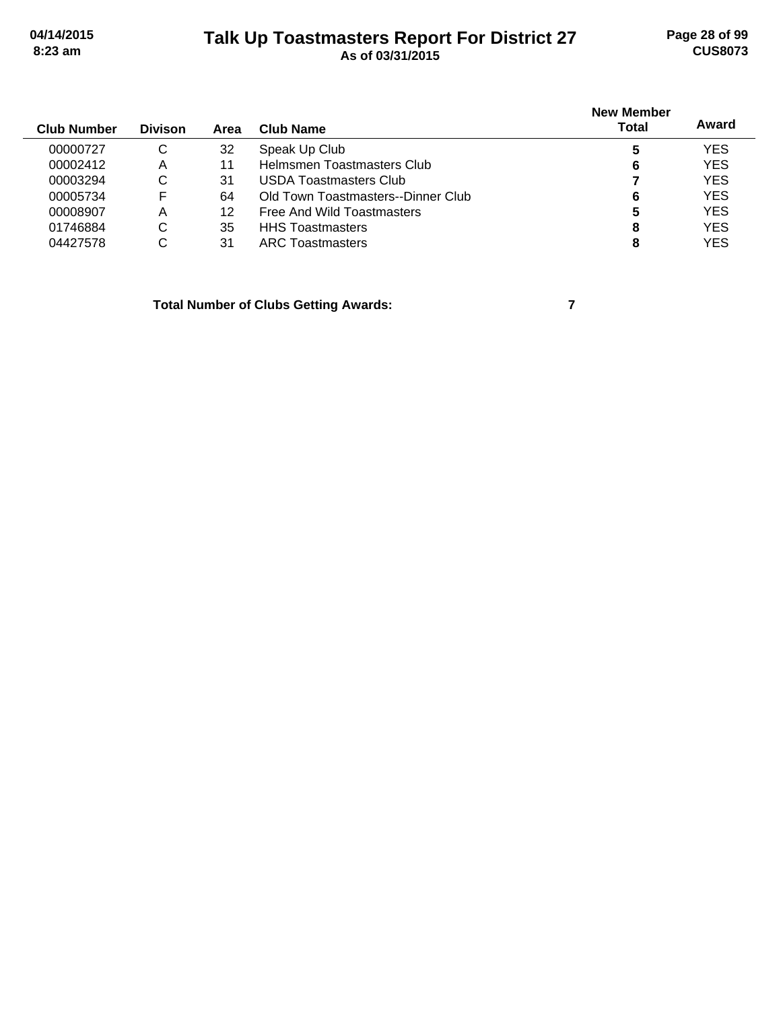# **Talk Up Toastmasters Report For District 27 04/14/2015 Page 28 of 99 8:23 am As of 03/31/2015 CUS8073**

| <b>Club Number</b> | <b>Divison</b> | Area | Club Name                          | <b>New Member</b><br>Total | Award      |
|--------------------|----------------|------|------------------------------------|----------------------------|------------|
| 00000727           | C              | 32   | Speak Up Club                      | 5                          | <b>YES</b> |
| 00002412           | A              | 11   | Helmsmen Toastmasters Club         | 6                          | <b>YES</b> |
| 00003294           | C              | 31   | USDA Toastmasters Club             |                            | <b>YES</b> |
| 00005734           | F              | 64   | Old Town Toastmasters--Dinner Club | 6                          | <b>YES</b> |
| 00008907           | Α              | 12   | Free And Wild Toastmasters         | 5                          | <b>YES</b> |
| 01746884           | C              | 35   | <b>HHS Toastmasters</b>            | 8                          | <b>YES</b> |
| 04427578           | С              | 31   | <b>ARC</b> Toastmasters            | 8                          | <b>YES</b> |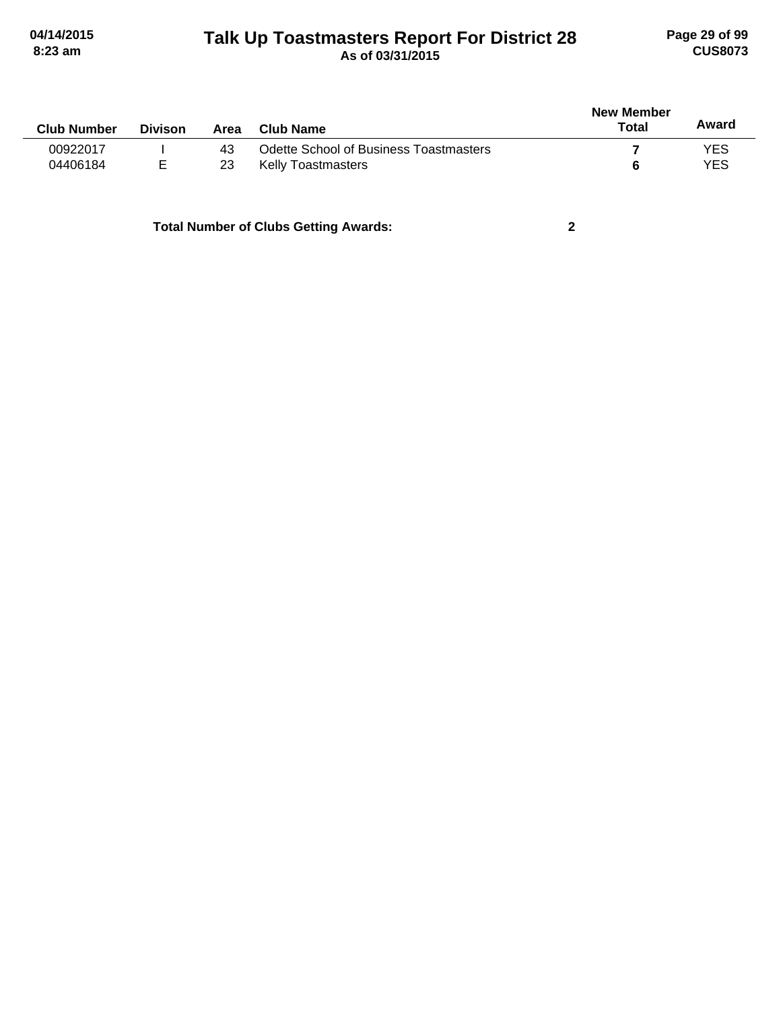# **Talk Up Toastmasters Report For District 28 04/14/2015 Page 29 of 99 8:23 am As of 03/31/2015 CUS8073**

| <b>Club Number</b> | <b>Divison</b> | Area | Club Name                                     | New Member<br>Total | Award      |
|--------------------|----------------|------|-----------------------------------------------|---------------------|------------|
| 00922017           |                | 43   | <b>Odette School of Business Toastmasters</b> |                     | YES        |
| 04406184           | Е              | 23   | <b>Kelly Toastmasters</b>                     |                     | <b>YES</b> |
|                    |                |      |                                               |                     |            |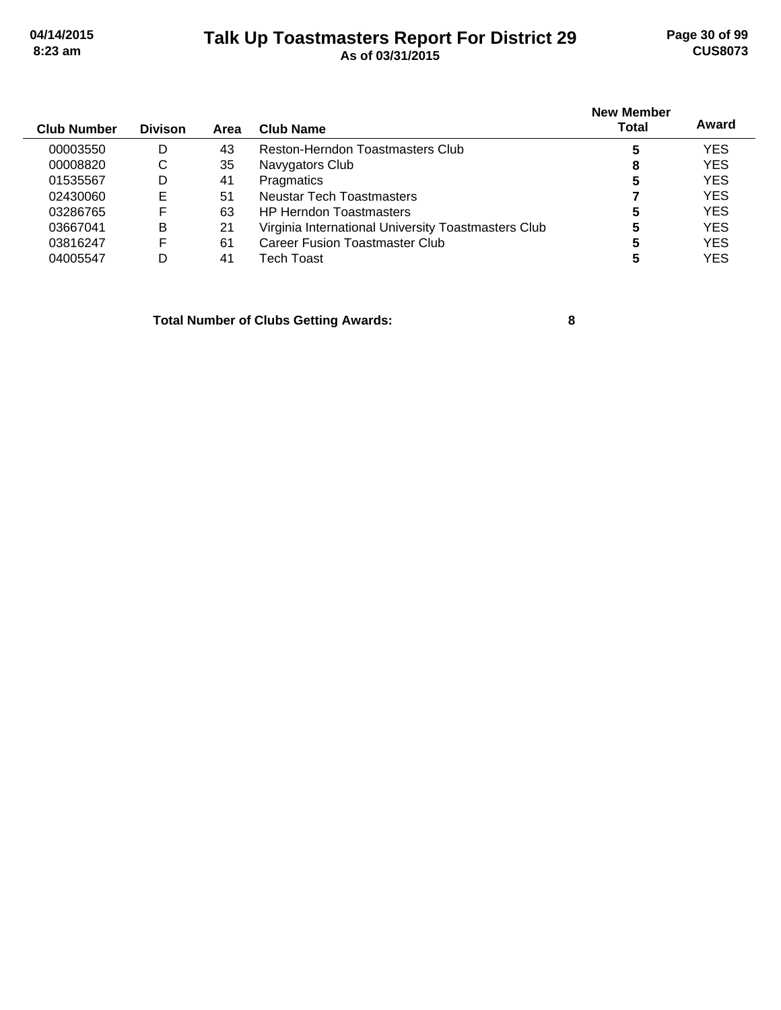# **Talk Up Toastmasters Report For District 29 04/14/2015 Page 30 of 99 8:23 am As of 03/31/2015 CUS8073**

| <b>Club Number</b> | <b>Divison</b> | Area | Club Name                                           | <b>New Member</b><br><b>Total</b> | Award      |
|--------------------|----------------|------|-----------------------------------------------------|-----------------------------------|------------|
| 00003550           | D              | 43   | Reston-Herndon Toastmasters Club                    | 5                                 | <b>YES</b> |
| 00008820           | C              | 35   | Navygators Club                                     | 8                                 | <b>YES</b> |
| 01535567           | D              | 41   | Pragmatics                                          | 5                                 | <b>YES</b> |
| 02430060           | Е              | 51   | Neustar Tech Toastmasters                           |                                   | <b>YES</b> |
| 03286765           | F              | 63   | <b>HP Herndon Toastmasters</b>                      | 5                                 | <b>YES</b> |
| 03667041           | B              | 21   | Virginia International University Toastmasters Club | 5                                 | <b>YES</b> |
| 03816247           | F              | 61   | Career Fusion Toastmaster Club                      | 5                                 | <b>YES</b> |
| 04005547           | D              | 41   | Tech Toast                                          | 5                                 | <b>YES</b> |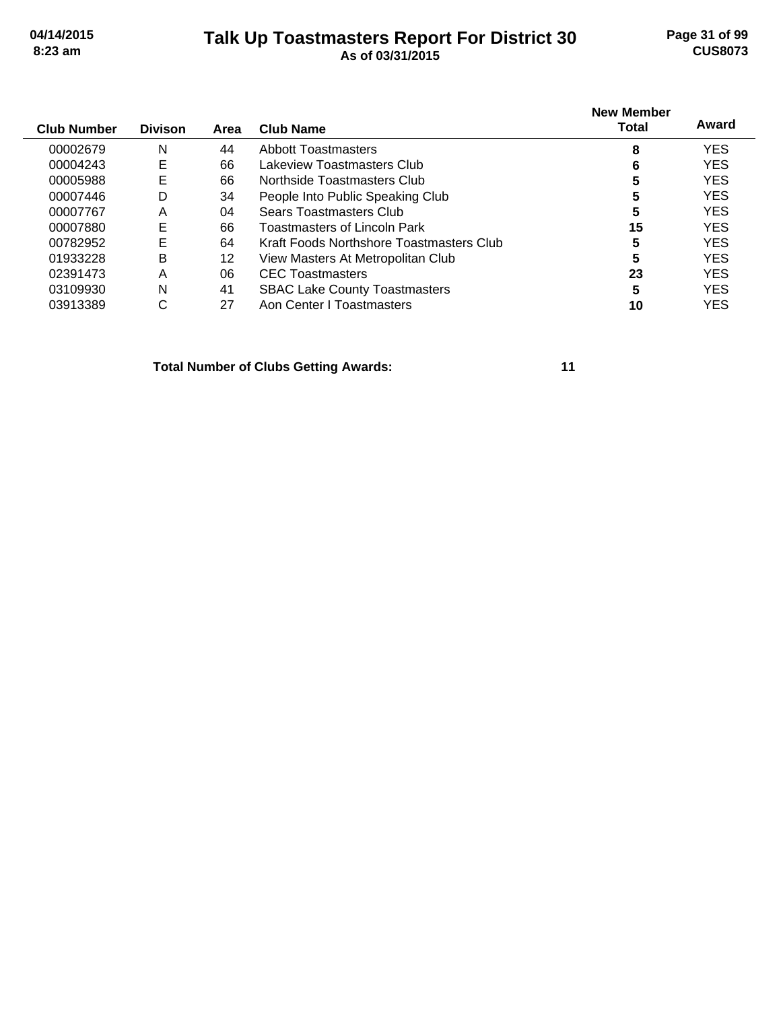# **Talk Up Toastmasters Report For District 30 04/14/2015 Page 31 of 99 8:23 am As of 03/31/2015 CUS8073**

| <b>Club Number</b> | <b>Divison</b> | Area | <b>Club Name</b>                         | <b>New Member</b><br>Total | Award      |
|--------------------|----------------|------|------------------------------------------|----------------------------|------------|
| 00002679           | N              | 44   | <b>Abbott Toastmasters</b>               | 8                          | <b>YES</b> |
| 00004243           | Е              | 66   | Lakeview Toastmasters Club               | 6                          | <b>YES</b> |
| 00005988           | Е              | 66   | Northside Toastmasters Club              | 5                          | <b>YES</b> |
| 00007446           | D              | 34   | People Into Public Speaking Club         | 5                          | <b>YES</b> |
| 00007767           | Α              | 04   | Sears Toastmasters Club                  | 5                          | <b>YES</b> |
| 00007880           | Е              | 66   | Toastmasters of Lincoln Park             | 15                         | <b>YES</b> |
| 00782952           | Е              | 64   | Kraft Foods Northshore Toastmasters Club | 5                          | <b>YES</b> |
| 01933228           | B              | 12   | View Masters At Metropolitan Club        | 5                          | <b>YES</b> |
| 02391473           | A              | 06   | <b>CEC</b> Toastmasters                  | 23                         | <b>YES</b> |
| 03109930           | N              | 41   | <b>SBAC Lake County Toastmasters</b>     | 5                          | <b>YES</b> |
| 03913389           | С              | 27   | Aon Center   Toastmasters                | 10                         | YES        |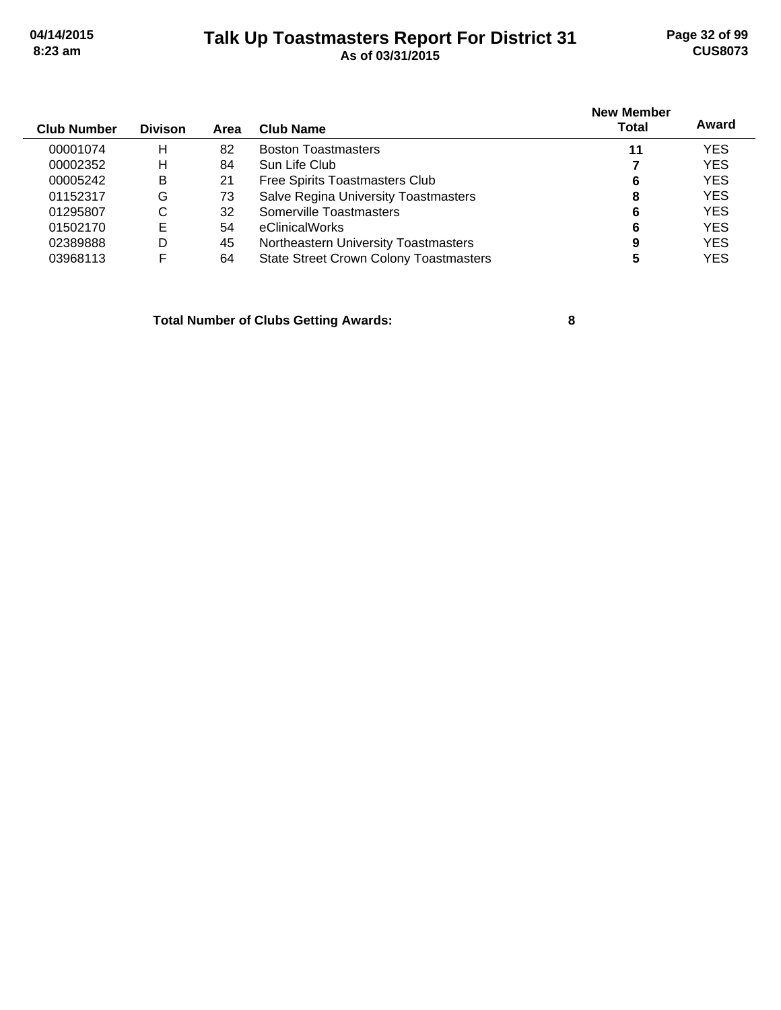# **Talk Up Toastmasters Report For District 31 04/14/2015 Page 32 of 99 8:23 am As of 03/31/2015 CUS8073**

| <b>Club Number</b> | <b>Divison</b> | Area | <b>Club Name</b>                              | <b>New Member</b><br><b>Total</b> | Award      |
|--------------------|----------------|------|-----------------------------------------------|-----------------------------------|------------|
| 00001074           | н              | 82   | <b>Boston Toastmasters</b>                    | 11                                | <b>YES</b> |
| 00002352           | н              | 84   | Sun Life Club                                 |                                   | <b>YES</b> |
| 00005242           | B              | 21   | Free Spirits Toastmasters Club                | 6                                 | <b>YES</b> |
| 01152317           | G              | 73   | <b>Salve Regina University Toastmasters</b>   | 8                                 | <b>YES</b> |
| 01295807           | С              | 32   | Somerville Toastmasters                       | 6                                 | <b>YES</b> |
| 01502170           | Е              | 54   | eClinicalWorks                                | 6                                 | <b>YES</b> |
| 02389888           | D              | 45   | Northeastern University Toastmasters          | 9                                 | <b>YES</b> |
| 03968113           | F              | 64   | <b>State Street Crown Colony Toastmasters</b> |                                   | <b>YES</b> |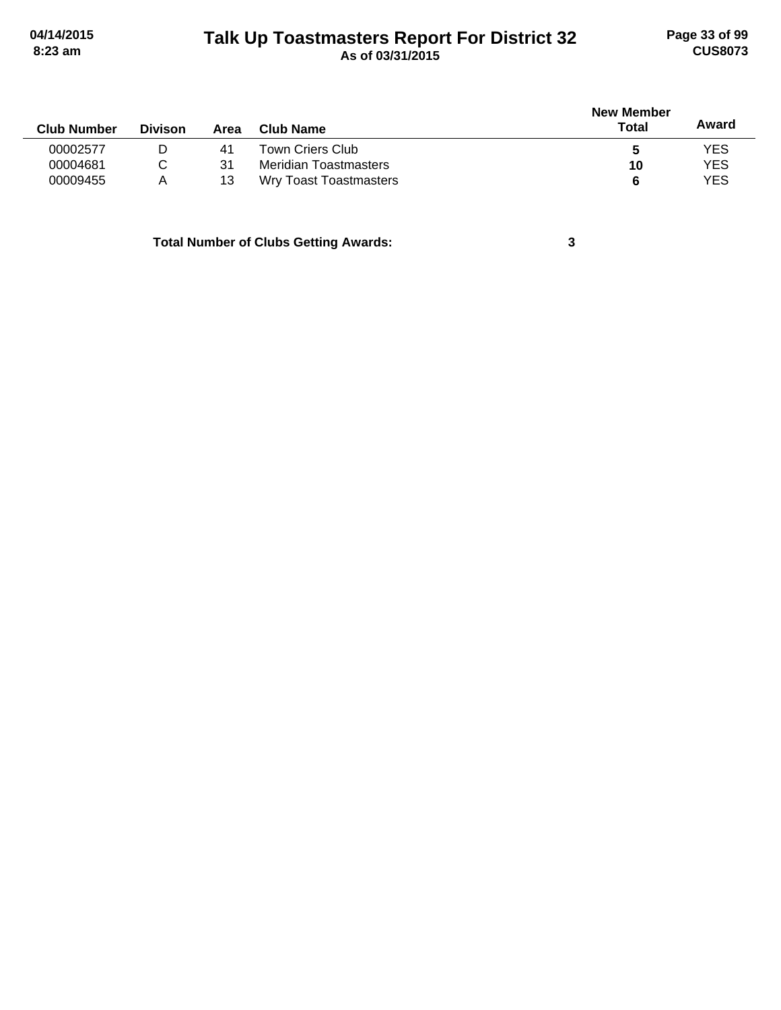# **Talk Up Toastmasters Report For District 32 04/14/2015 Page 33 of 99 8:23 am As of 03/31/2015 CUS8073**

|                    |                |      |                               | <b>New Member</b> |            |  |
|--------------------|----------------|------|-------------------------------|-------------------|------------|--|
| <b>Club Number</b> | <b>Divison</b> | Area | Club Name                     | Total             | Award      |  |
| 00002577           | D              | 41   | Town Criers Club              | C                 | YES        |  |
| 00004681           |                | 31   | Meridian Toastmasters         | 10                | <b>YES</b> |  |
| 00009455           | Α              | 13   | <b>Wry Toast Toastmasters</b> |                   | <b>YES</b> |  |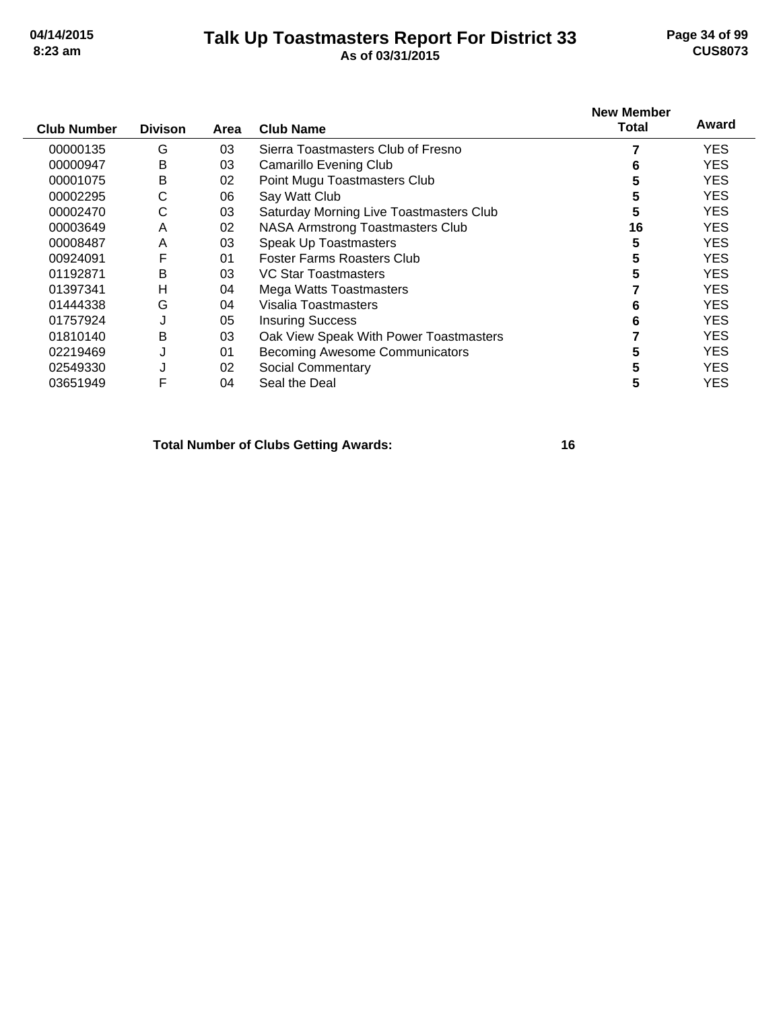#### **Talk Up Toastmasters Report For District 33 04/14/2015 Page 34 of 99 8:23 am As of 03/31/2015 CUS8073**

| <b>Club Number</b> | <b>Divison</b> | Area | <b>Club Name</b>                        | <b>New Member</b><br>Total | Award      |
|--------------------|----------------|------|-----------------------------------------|----------------------------|------------|
|                    |                |      |                                         |                            |            |
| 00000135           | G              | 03   | Sierra Toastmasters Club of Fresno      |                            | <b>YES</b> |
| 00000947           | B              | 03   | <b>Camarillo Evening Club</b>           | 6                          | YES.       |
| 00001075           | B              | 02   | Point Mugu Toastmasters Club            | 5                          | YES.       |
| 00002295           | С              | 06   | Say Watt Club                           | 5                          | YES.       |
| 00002470           | С              | 03   | Saturday Morning Live Toastmasters Club | 5                          | YES.       |
| 00003649           | A              | 02   | <b>NASA Armstrong Toastmasters Club</b> | 16                         | <b>YES</b> |
| 00008487           | A              | 03   | Speak Up Toastmasters                   | 5                          | <b>YES</b> |
| 00924091           | F              | 01   | Foster Farms Roasters Club              | 5                          | <b>YES</b> |
| 01192871           | B              | 03   | VC Star Toastmasters                    | 5                          | <b>YES</b> |
| 01397341           | Н              | 04   | Mega Watts Toastmasters                 |                            | <b>YES</b> |
| 01444338           | G              | 04   | Visalia Toastmasters                    |                            | <b>YES</b> |
| 01757924           | J              | 05   | <b>Insuring Success</b>                 | 6                          | <b>YES</b> |
| 01810140           | B              | 03   | Oak View Speak With Power Toastmasters  |                            | <b>YES</b> |
| 02219469           | J              | 01   | <b>Becoming Awesome Communicators</b>   | 5                          | <b>YES</b> |
| 02549330           | J              | 02   | <b>Social Commentary</b>                | 5                          | <b>YES</b> |
| 03651949           | F              | 04   | Seal the Deal                           | 5                          | <b>YES</b> |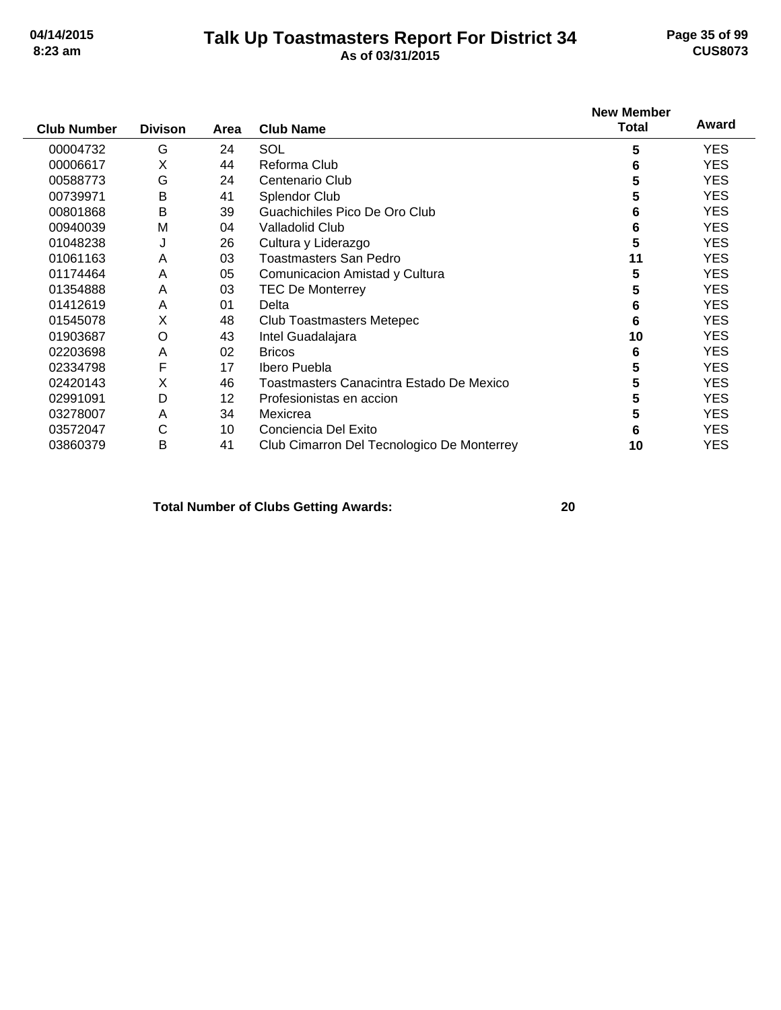# **Talk Up Toastmasters Report For District 34 04/14/2015 Page 35 of 99 8:23 am As of 03/31/2015 CUS8073**

| <b>Club Number</b> | <b>Divison</b> | Area | <b>Club Name</b>                           | <b>New Member</b><br><b>Total</b> | Award      |
|--------------------|----------------|------|--------------------------------------------|-----------------------------------|------------|
|                    |                |      |                                            |                                   |            |
| 00004732           | G              | 24   | SOL                                        | 5                                 | <b>YES</b> |
| 00006617           | X              | 44   | Reforma Club                               | 6                                 | <b>YES</b> |
| 00588773           | G              | 24   | Centenario Club                            | 5                                 | <b>YES</b> |
| 00739971           | B              | 41   | <b>Splendor Club</b>                       | 5                                 | <b>YES</b> |
| 00801868           | B              | 39   | Guachichiles Pico De Oro Club              | 6                                 | <b>YES</b> |
| 00940039           | M              | 04   | Valladolid Club                            | 6                                 | <b>YES</b> |
| 01048238           | J              | 26   | Cultura y Liderazgo                        | 5                                 | <b>YES</b> |
| 01061163           | Α              | 03   | Toastmasters San Pedro                     | 11                                | <b>YES</b> |
| 01174464           | A              | 05   | Comunicacion Amistad y Cultura             | 5                                 | <b>YES</b> |
| 01354888           | A              | 03   | <b>TEC De Monterrey</b>                    | 5                                 | <b>YES</b> |
| 01412619           | A              | 01   | Delta                                      | 6                                 | <b>YES</b> |
| 01545078           | Χ              | 48   | Club Toastmasters Metepec                  | 6                                 | <b>YES</b> |
| 01903687           | $\circ$        | 43   | Intel Guadalajara                          | 10                                | <b>YES</b> |
| 02203698           | A              | 02   | <b>Bricos</b>                              | 6                                 | <b>YES</b> |
| 02334798           | F              | 17   | Ibero Puebla                               | 5                                 | <b>YES</b> |
| 02420143           | Χ              | 46   | Toastmasters Canacintra Estado De Mexico   | 5                                 | <b>YES</b> |
| 02991091           | D              | 12   | Profesionistas en accion                   | 5                                 | <b>YES</b> |
| 03278007           | Α              | 34   | Mexicrea                                   | 5                                 | <b>YES</b> |
| 03572047           | С              | 10   | Conciencia Del Exito                       | 6                                 | <b>YES</b> |
| 03860379           | B              | 41   | Club Cimarron Del Tecnologico De Monterrey | 10                                | <b>YES</b> |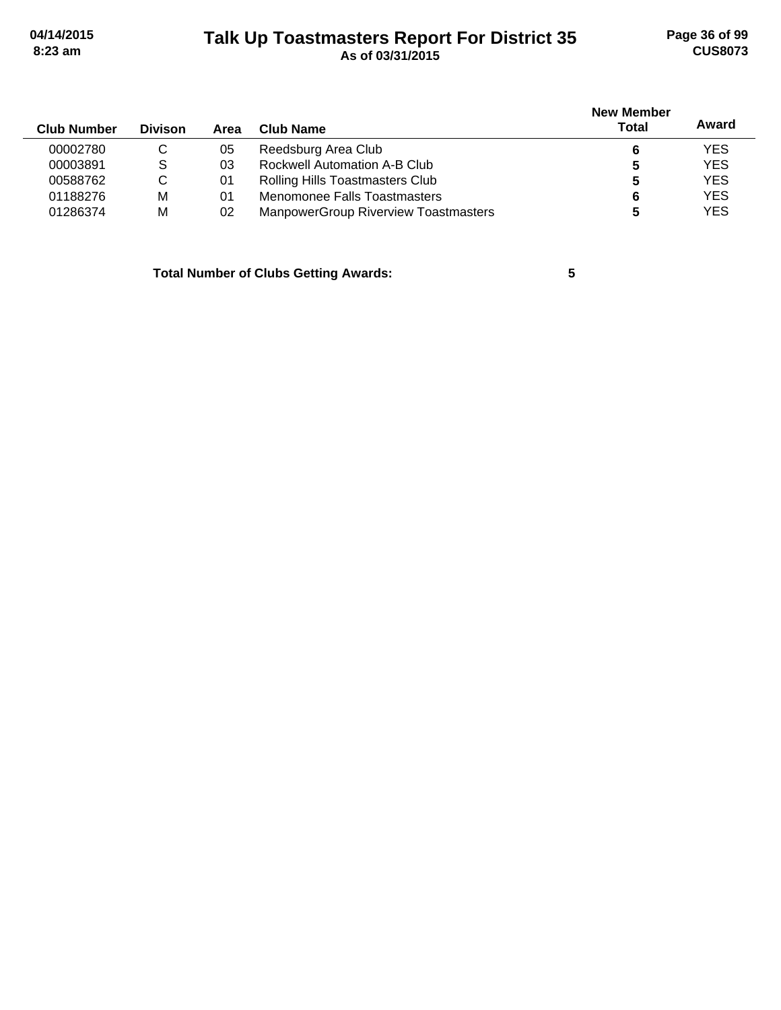# **Talk Up Toastmasters Report For District 35 04/14/2015 Page 36 of 99 8:23 am As of 03/31/2015 CUS8073**

| <b>Club Number</b> | <b>Divison</b> | Area | Club Name                                   | <b>New Member</b><br>Total | Award      |
|--------------------|----------------|------|---------------------------------------------|----------------------------|------------|
| 00002780           | C              | 05   | Reedsburg Area Club                         |                            | <b>YES</b> |
| 00003891           | <sub>S</sub>   | 03   | Rockwell Automation A-B Club                | 5                          | <b>YES</b> |
| 00588762           | C              | -01  | Rolling Hills Toastmasters Club             | 5                          | <b>YES</b> |
| 01188276           | M              | 01   | Menomonee Falls Toastmasters                | 6                          | <b>YES</b> |
| 01286374           | M              | 02   | <b>ManpowerGroup Riverview Toastmasters</b> |                            | <b>YES</b> |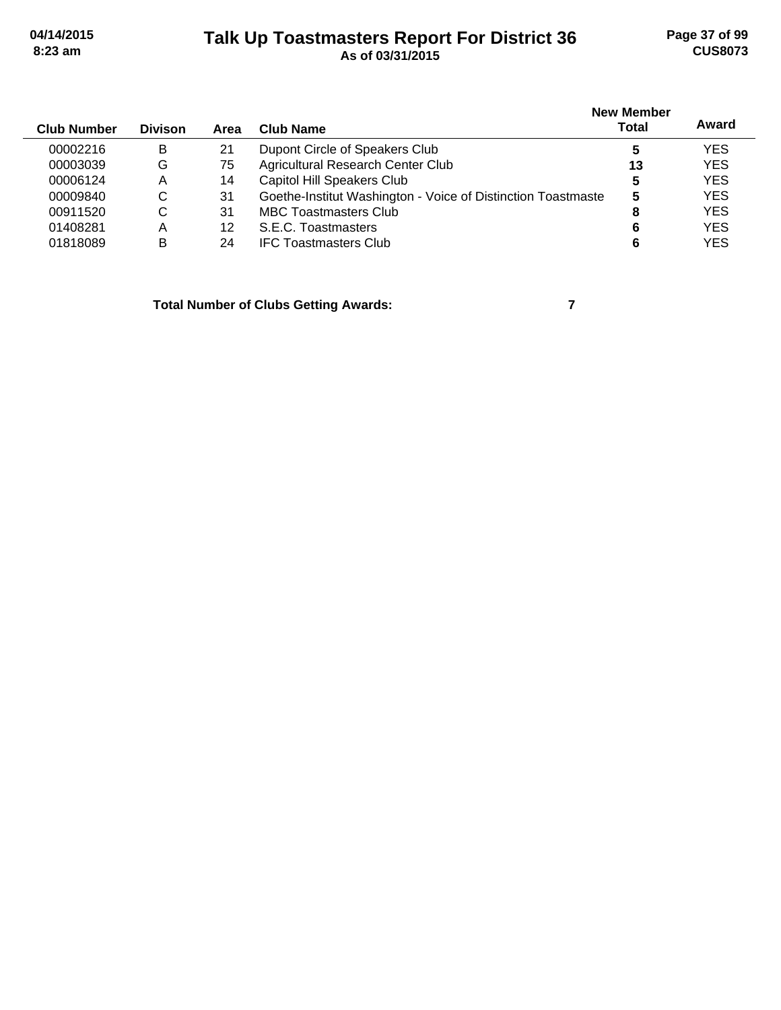## **Talk Up Toastmasters Report For District 36 04/14/2015 Page 37 of 99 8:23 am As of 03/31/2015 CUS8073**

| <b>Club Number</b> | <b>Divison</b> | Area | <b>Club Name</b>                                             | <b>New Member</b><br><b>Total</b> | Award      |
|--------------------|----------------|------|--------------------------------------------------------------|-----------------------------------|------------|
| 00002216           | B              | 21   | Dupont Circle of Speakers Club                               | 5                                 | <b>YES</b> |
| 00003039           | G              | 75   | Agricultural Research Center Club                            | 13                                | <b>YES</b> |
| 00006124           | A              | 14   | <b>Capitol Hill Speakers Club</b>                            | 5                                 | <b>YES</b> |
| 00009840           | C              | 31   | Goethe-Institut Washington - Voice of Distinction Toastmaste | 5                                 | <b>YES</b> |
| 00911520           | C              | 31   | <b>MBC Toastmasters Club</b>                                 |                                   | <b>YES</b> |
| 01408281           | Α              | 12   | S.E.C. Toastmasters                                          | 6                                 | <b>YES</b> |
| 01818089           | B              | 24   | <b>IFC Toastmasters Club</b>                                 |                                   | <b>YES</b> |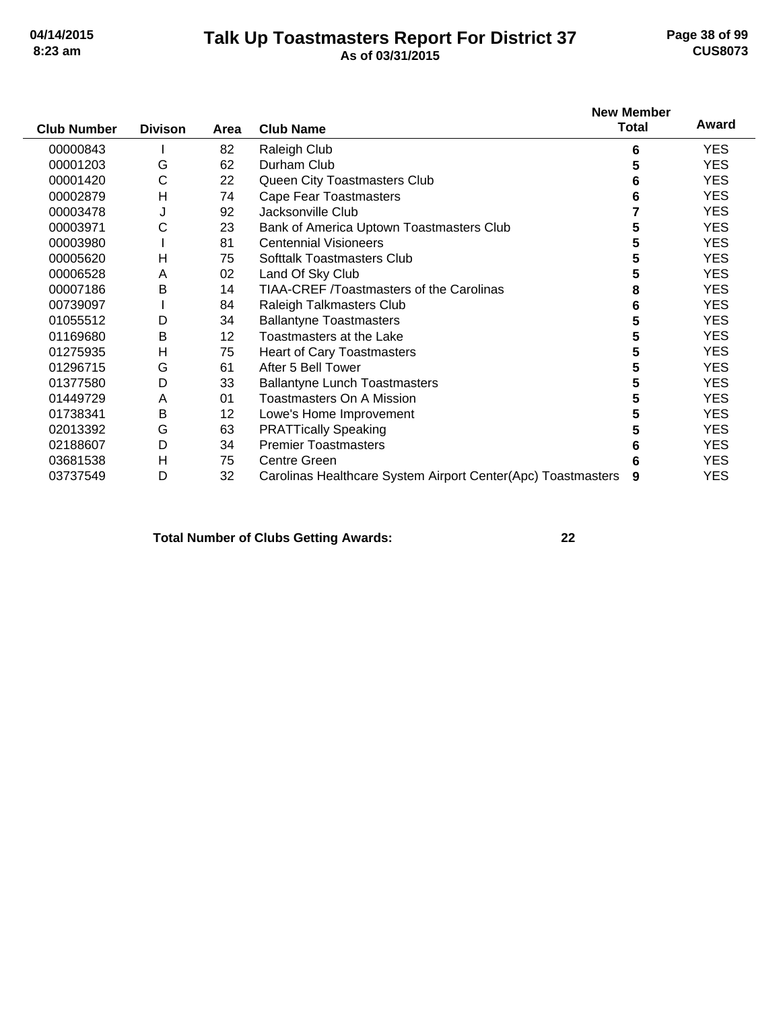### **Talk Up Toastmasters Report For District 37 04/14/2015 Page 38 of 99 8:23 am As of 03/31/2015 CUS8073**

|                    |                |      |                                                              | <b>New Member</b> | Award      |
|--------------------|----------------|------|--------------------------------------------------------------|-------------------|------------|
| <b>Club Number</b> | <b>Divison</b> | Area | <b>Club Name</b>                                             | <b>Total</b>      |            |
| 00000843           |                | 82   | Raleigh Club                                                 | 6                 | <b>YES</b> |
| 00001203           | G              | 62   | Durham Club                                                  | 5                 | <b>YES</b> |
| 00001420           | C              | 22   | Queen City Toastmasters Club                                 | 6                 | <b>YES</b> |
| 00002879           | H              | 74   | <b>Cape Fear Toastmasters</b>                                | 6                 | <b>YES</b> |
| 00003478           | J              | 92   | Jacksonville Club                                            |                   | <b>YES</b> |
| 00003971           | С              | 23   | Bank of America Uptown Toastmasters Club                     | 5                 | <b>YES</b> |
| 00003980           |                | 81   | <b>Centennial Visioneers</b>                                 |                   | <b>YES</b> |
| 00005620           | H              | 75   | <b>Softtalk Toastmasters Club</b>                            | 5                 | <b>YES</b> |
| 00006528           | A              | 02   | Land Of Sky Club                                             | 5                 | <b>YES</b> |
| 00007186           | B              | 14   | <b>TIAA-CREF /Toastmasters of the Carolinas</b>              | 8                 | <b>YES</b> |
| 00739097           |                | 84   | <b>Raleigh Talkmasters Club</b>                              | 6                 | <b>YES</b> |
| 01055512           | D              | 34   | <b>Ballantyne Toastmasters</b>                               | 5                 | <b>YES</b> |
| 01169680           | B              | 12   | Toastmasters at the Lake                                     | 5                 | <b>YES</b> |
| 01275935           | H              | 75   | <b>Heart of Cary Toastmasters</b>                            | 5                 | <b>YES</b> |
| 01296715           | G              | 61   | After 5 Bell Tower                                           | 5                 | <b>YES</b> |
| 01377580           | D              | 33   | <b>Ballantyne Lunch Toastmasters</b>                         | 5                 | <b>YES</b> |
| 01449729           | A              | 01   | Toastmasters On A Mission                                    | 5                 | <b>YES</b> |
| 01738341           | B              | 12   | Lowe's Home Improvement                                      | 5                 | <b>YES</b> |
| 02013392           | G              | 63   | <b>PRATTically Speaking</b>                                  | 5                 | <b>YES</b> |
| 02188607           | D              | 34   | <b>Premier Toastmasters</b>                                  | 6                 | <b>YES</b> |
| 03681538           | Н              | 75   | <b>Centre Green</b>                                          |                   | <b>YES</b> |
| 03737549           | D              | 32   | Carolinas Healthcare System Airport Center(Apc) Toastmasters | 9                 | <b>YES</b> |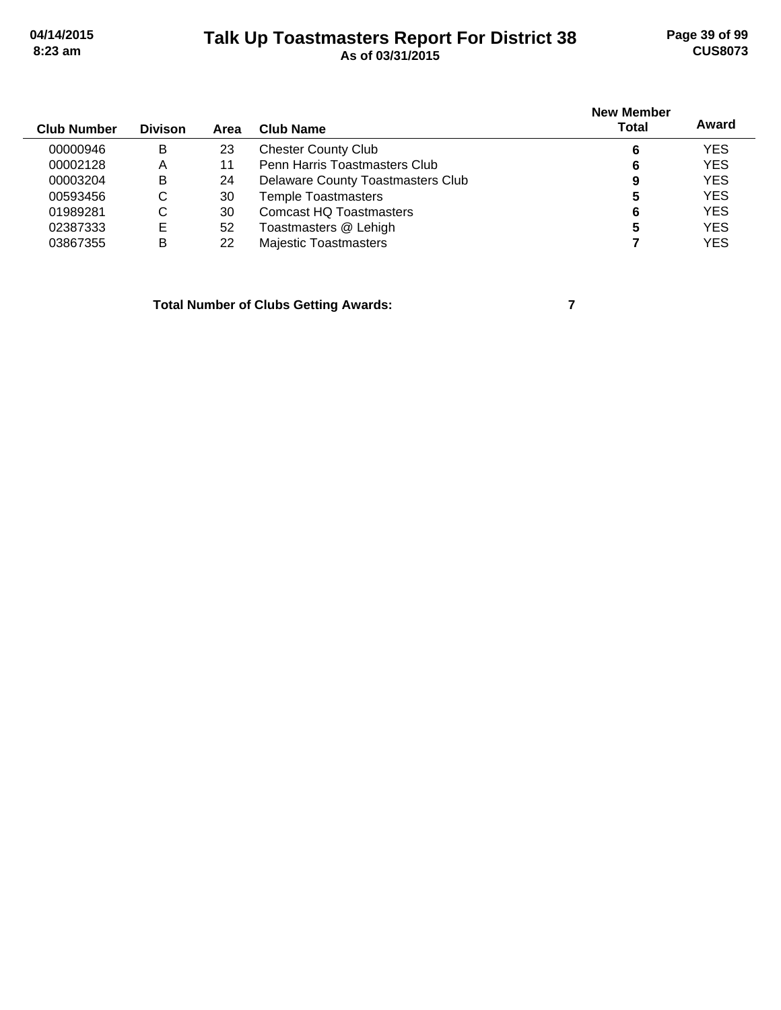### **Talk Up Toastmasters Report For District 38 04/14/2015 Page 39 of 99 8:23 am As of 03/31/2015 CUS8073**

| <b>Club Number</b> | <b>Divison</b> | Area | Club Name                         | <b>New Member</b><br><b>Total</b> | Award      |
|--------------------|----------------|------|-----------------------------------|-----------------------------------|------------|
| 00000946           | в              | 23   | <b>Chester County Club</b>        | 6                                 | <b>YES</b> |
| 00002128           | A              | 11   | Penn Harris Toastmasters Club     | 6                                 | <b>YES</b> |
| 00003204           | B              | 24   | Delaware County Toastmasters Club | 9                                 | <b>YES</b> |
| 00593456           | С              | 30   | <b>Temple Toastmasters</b>        | 5                                 | <b>YES</b> |
| 01989281           | С              | 30   | <b>Comcast HQ Toastmasters</b>    | 6                                 | <b>YES</b> |
| 02387333           | Ε              | 52   | Toastmasters @ Lehigh             | 5                                 | <b>YES</b> |
| 03867355           | в              | 22   | <b>Majestic Toastmasters</b>      |                                   | <b>YES</b> |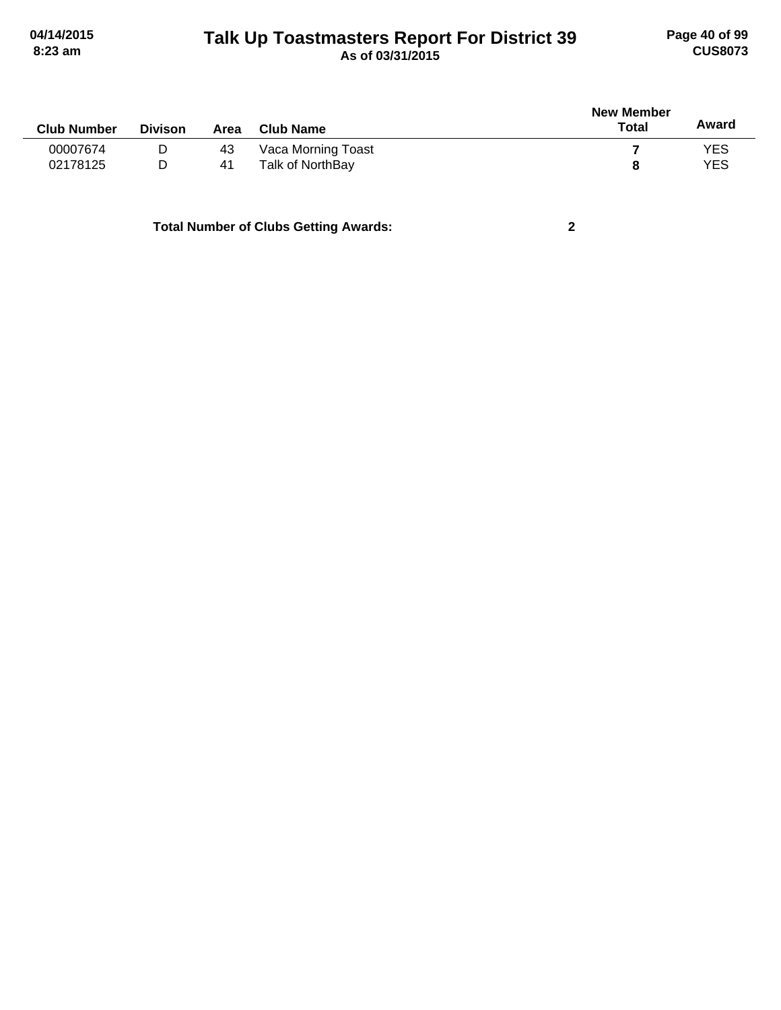# **Talk Up Toastmasters Report For District 39 04/14/2015 Page 40 of 99 8:23 am As of 03/31/2015 CUS8073**

| <b>Club Number</b> | <b>Divison</b> | Area | <b>Club Name</b>   | <b>New Member</b><br><b>Total</b> | Award |
|--------------------|----------------|------|--------------------|-----------------------------------|-------|
| 00007674           | D              | 43   | Vaca Morning Toast |                                   | YES   |
| 02178125           | D              | 41   | Talk of NorthBay   | 8                                 | YES   |
|                    |                |      |                    |                                   |       |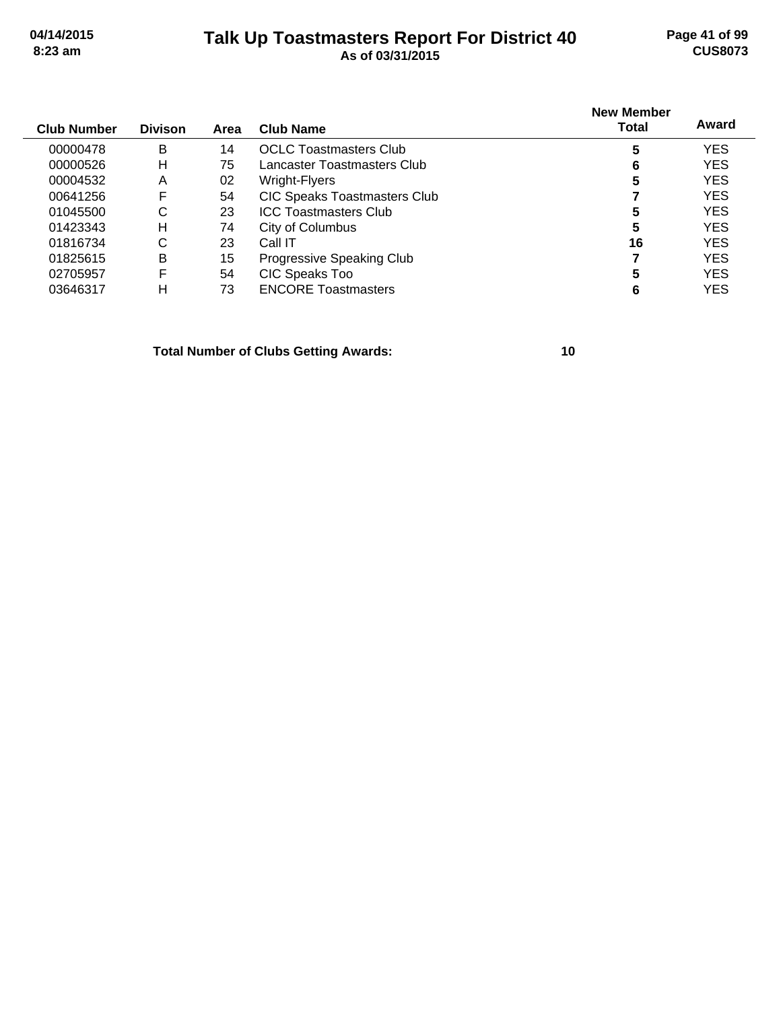### **Talk Up Toastmasters Report For District 40 04/14/2015 Page 41 of 99 8:23 am As of 03/31/2015 CUS8073**

| <b>Club Number</b> | <b>Divison</b> | Area | <b>Club Name</b>                    | <b>New Member</b><br>Total | Award      |
|--------------------|----------------|------|-------------------------------------|----------------------------|------------|
| 00000478           | B              | 14   | <b>OCLC Toastmasters Club</b>       | 5                          | <b>YES</b> |
| 00000526           | Н              | 75   | Lancaster Toastmasters Club.        | 6                          | <b>YES</b> |
| 00004532           | A              | 02   | Wright-Flyers                       | 5                          | <b>YES</b> |
| 00641256           | F              | 54   | <b>CIC Speaks Toastmasters Club</b> |                            | <b>YES</b> |
| 01045500           | С              | 23   | <b>ICC Toastmasters Club</b>        | 5                          | <b>YES</b> |
| 01423343           | н              | 74   | City of Columbus                    | 5                          | <b>YES</b> |
| 01816734           | С              | 23   | Call IT                             | 16                         | <b>YES</b> |
| 01825615           | B              | 15   | Progressive Speaking Club           |                            | <b>YES</b> |
| 02705957           | F              | 54   | CIC Speaks Too                      | 5                          | <b>YES</b> |
| 03646317           | н              | 73   | <b>ENCORE Toastmasters</b>          | 6                          | YES        |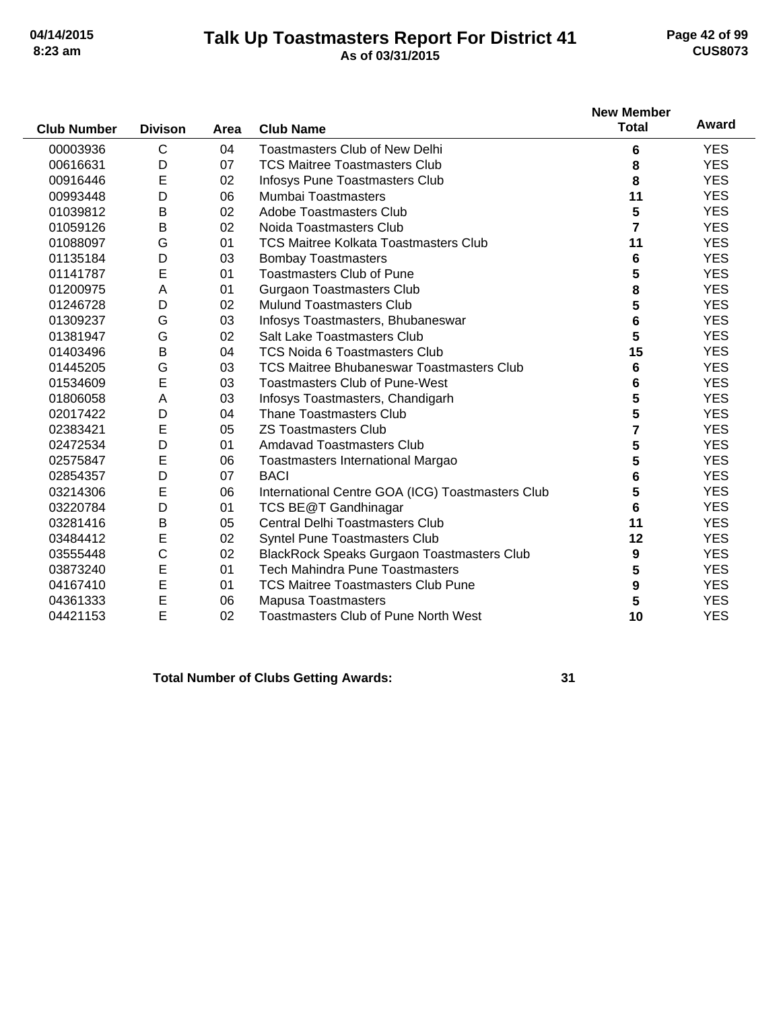### **Talk Up Toastmasters Report For District 41 04/14/2015 Page 42 of 99 8:23 am As of 03/31/2015 CUS8073**

| <b>Club Number</b> | <b>Divison</b> | Area | <b>Club Name</b>                                  | <b>New Member</b><br><b>Total</b> | Award      |
|--------------------|----------------|------|---------------------------------------------------|-----------------------------------|------------|
| 00003936           | $\mathsf{C}$   | 04   | <b>Toastmasters Club of New Delhi</b>             | 6                                 | <b>YES</b> |
| 00616631           | D              | 07   | <b>TCS Maitree Toastmasters Club</b>              | 8                                 | <b>YES</b> |
| 00916446           | E              | 02   | Infosys Pune Toastmasters Club                    | 8                                 | <b>YES</b> |
| 00993448           | D              | 06   | <b>Mumbai Toastmasters</b>                        | 11                                | <b>YES</b> |
| 01039812           | B              | 02   | Adobe Toastmasters Club                           | 5                                 | <b>YES</b> |
| 01059126           | B              | 02   | Noida Toastmasters Club                           | $\overline{7}$                    | <b>YES</b> |
| 01088097           | G              | 01   | <b>TCS Maitree Kolkata Toastmasters Club</b>      | 11                                | <b>YES</b> |
| 01135184           | D              | 03   | <b>Bombay Toastmasters</b>                        | 6                                 | <b>YES</b> |
| 01141787           | E              | 01   | <b>Toastmasters Club of Pune</b>                  | 5                                 | <b>YES</b> |
| 01200975           | Α              | 01   | <b>Gurgaon Toastmasters Club</b>                  | 8                                 | <b>YES</b> |
| 01246728           | D              | 02   | Mulund Toastmasters Club                          | 5                                 | <b>YES</b> |
| 01309237           | G              | 03   | Infosys Toastmasters, Bhubaneswar                 | 6                                 | <b>YES</b> |
| 01381947           | G              | 02   | Salt Lake Toastmasters Club                       | 5                                 | <b>YES</b> |
| 01403496           | B              | 04   | <b>TCS Noida 6 Toastmasters Club</b>              | 15                                | <b>YES</b> |
| 01445205           | G              | 03   | <b>TCS Maitree Bhubaneswar Toastmasters Club</b>  | 6                                 | <b>YES</b> |
| 01534609           | E              | 03   | <b>Toastmasters Club of Pune-West</b>             | 6                                 | <b>YES</b> |
| 01806058           | A              | 03   | Infosys Toastmasters, Chandigarh                  | 5                                 | <b>YES</b> |
| 02017422           | D              | 04   | <b>Thane Toastmasters Club</b>                    | 5                                 | <b>YES</b> |
| 02383421           | E              | 05   | <b>ZS Toastmasters Club</b>                       | 7                                 | <b>YES</b> |
| 02472534           | D              | 01   | <b>Amdavad Toastmasters Club</b>                  | 5                                 | <b>YES</b> |
| 02575847           | Е              | 06   | Toastmasters International Margao                 | 5                                 | <b>YES</b> |
| 02854357           | D              | 07   | <b>BACI</b>                                       | 6                                 | <b>YES</b> |
| 03214306           | E              | 06   | International Centre GOA (ICG) Toastmasters Club  | 5                                 | <b>YES</b> |
| 03220784           | D              | 01   | TCS BE@T Gandhinagar                              | 6                                 | <b>YES</b> |
| 03281416           | B              | 05   | <b>Central Delhi Toastmasters Club</b>            | 11                                | <b>YES</b> |
| 03484412           | E              | 02   | Syntel Pune Toastmasters Club                     | 12                                | <b>YES</b> |
| 03555448           | C              | 02   | <b>BlackRock Speaks Gurgaon Toastmasters Club</b> | 9                                 | <b>YES</b> |
| 03873240           | E              | 01   | <b>Tech Mahindra Pune Toastmasters</b>            | 5                                 | <b>YES</b> |
| 04167410           | E              | 01   | <b>TCS Maitree Toastmasters Club Pune</b>         | 9                                 | <b>YES</b> |
| 04361333           | E              | 06   | <b>Mapusa Toastmasters</b>                        | 5                                 | <b>YES</b> |
| 04421153           | E              | 02   | <b>Toastmasters Club of Pune North West</b>       | 10                                | <b>YES</b> |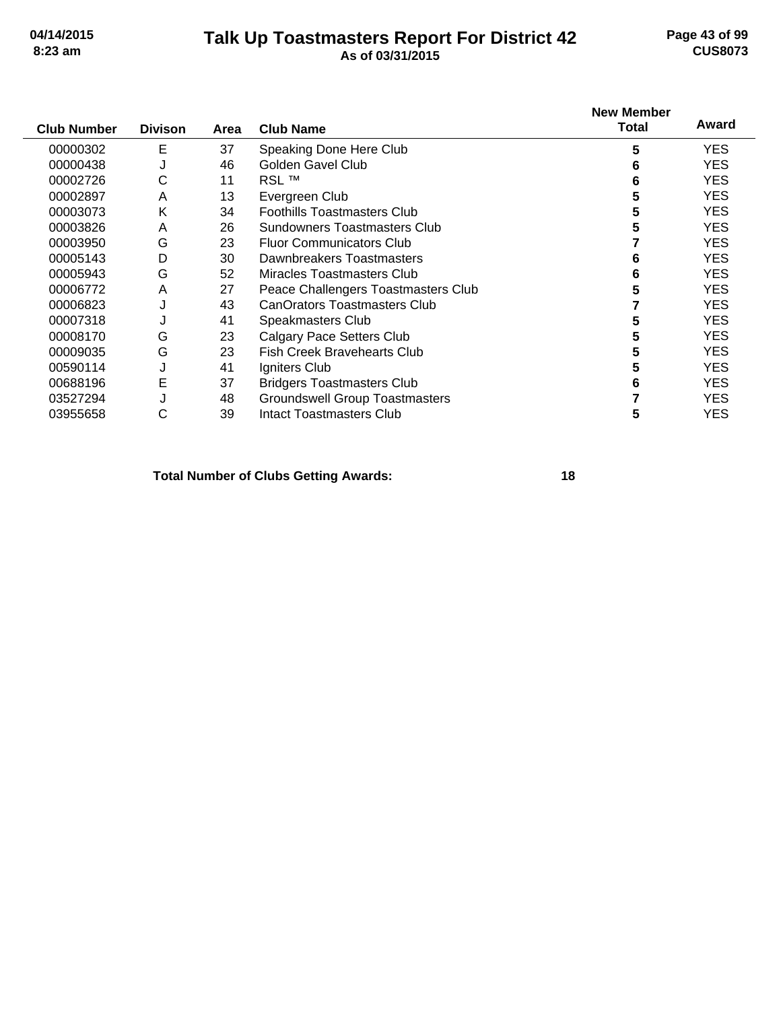### **Talk Up Toastmasters Report For District 42 04/14/2015 Page 43 of 99 8:23 am As of 03/31/2015 CUS8073**

| <b>Club Number</b> | <b>Divison</b> | Area | <b>Club Name</b>                      | <b>New Member</b><br><b>Total</b> | Award      |
|--------------------|----------------|------|---------------------------------------|-----------------------------------|------------|
| 00000302           | Ε              | 37   | Speaking Done Here Club               | 5                                 | <b>YES</b> |
| 00000438           | J              | 46   | Golden Gavel Club                     | 6                                 | <b>YES</b> |
| 00002726           | С              | 11   | <b>RSL™</b>                           | 6                                 | YES.       |
| 00002897           | A              | 13   | Evergreen Club                        | 5                                 | YES.       |
| 00003073           | Κ              | 34   | <b>Foothills Toastmasters Club</b>    | 5                                 | <b>YES</b> |
| 00003826           | A              | 26   | Sundowners Toastmasters Club          |                                   | <b>YES</b> |
| 00003950           | G              | 23   | <b>Fluor Communicators Club</b>       |                                   | YES.       |
| 00005143           | D              | 30   | Dawnbreakers Toastmasters             |                                   | YES.       |
| 00005943           | G              | 52   | Miracles Toastmasters Club            |                                   | YES.       |
| 00006772           | A              | 27   | Peace Challengers Toastmasters Club   | 5                                 | YES.       |
| 00006823           | J              | 43   | <b>CanOrators Toastmasters Club</b>   |                                   | <b>YES</b> |
| 00007318           |                | 41   | Speakmasters Club                     |                                   | <b>YES</b> |
| 00008170           | G              | 23   | <b>Calgary Pace Setters Club</b>      | 5                                 | <b>YES</b> |
| 00009035           | G              | 23   | <b>Fish Creek Bravehearts Club</b>    |                                   | <b>YES</b> |
| 00590114           | J              | 41   | Igniters Club                         |                                   | YES.       |
| 00688196           | E              | 37   | <b>Bridgers Toastmasters Club</b>     | 6                                 | <b>YES</b> |
| 03527294           |                | 48   | <b>Groundswell Group Toastmasters</b> |                                   | <b>YES</b> |
| 03955658           | С              | 39   | Intact Toastmasters Club              | 5                                 | <b>YES</b> |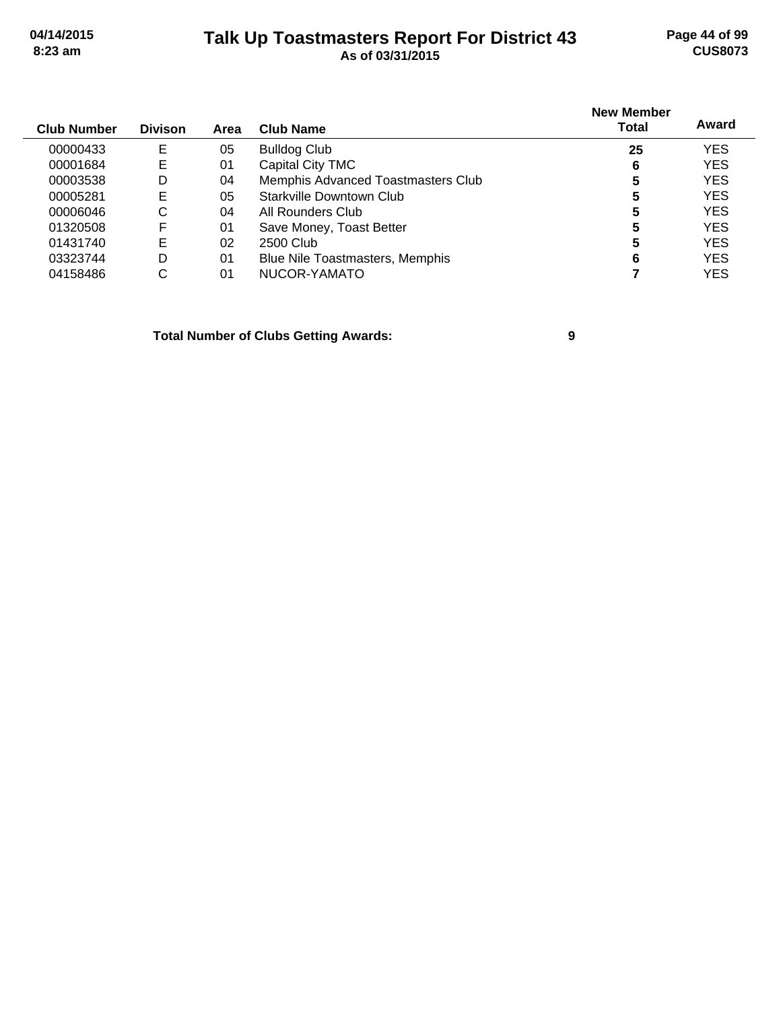### **Talk Up Toastmasters Report For District 43 04/14/2015 Page 44 of 99 8:23 am As of 03/31/2015 CUS8073**

| <b>Club Number</b> | <b>Divison</b> | Area | Club Name                              | <b>New Member</b><br>Total | Award      |
|--------------------|----------------|------|----------------------------------------|----------------------------|------------|
| 00000433           | Е              | 05   | <b>Bulldog Club</b>                    | 25                         | <b>YES</b> |
| 00001684           | Е              | 01   | Capital City TMC                       | 6                          | <b>YES</b> |
| 00003538           | D              | 04   | Memphis Advanced Toastmasters Club     | 5                          | <b>YES</b> |
| 00005281           | Е              | 05   | Starkville Downtown Club               | 5                          | <b>YES</b> |
| 00006046           | С              | 04   | All Rounders Club                      | 5                          | <b>YES</b> |
| 01320508           | F              | 01   | Save Money, Toast Better               | 5                          | <b>YES</b> |
| 01431740           | Е              | 02   | 2500 Club                              | 5                          | <b>YES</b> |
| 03323744           | D              | 01   | <b>Blue Nile Toastmasters, Memphis</b> | 6                          | <b>YES</b> |
| 04158486           | С              | 01   | NUCOR-YAMATO                           |                            | <b>YES</b> |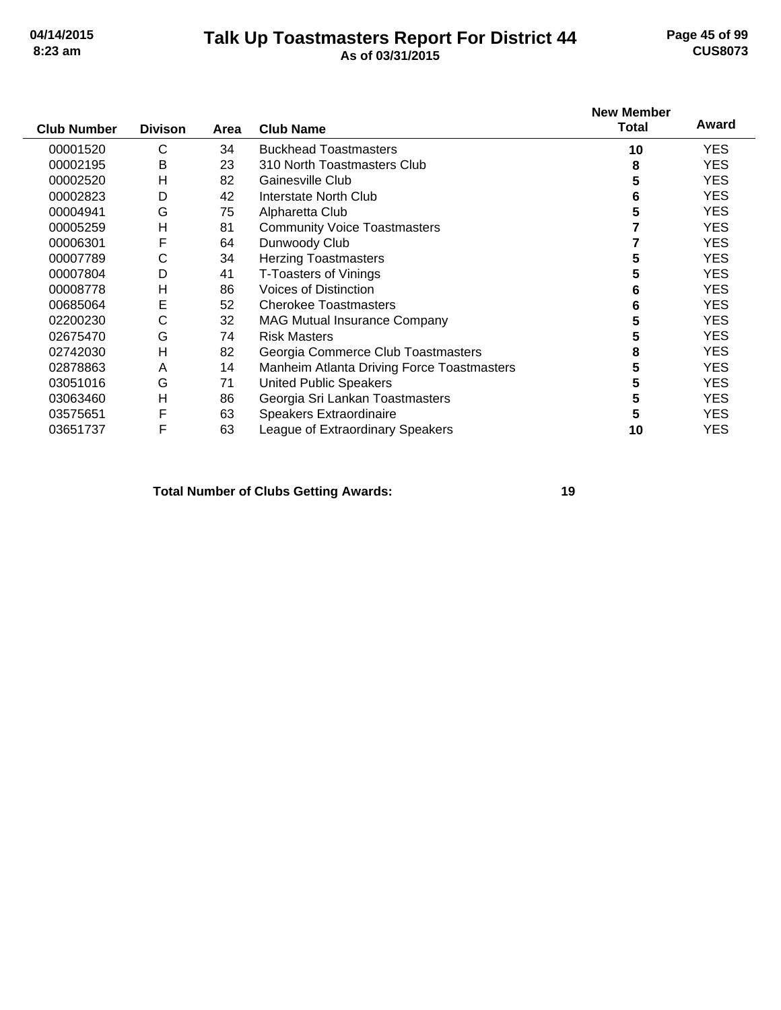### **Talk Up Toastmasters Report For District 44 04/14/2015 Page 45 of 99 8:23 am As of 03/31/2015 CUS8073**

| <b>Club Number</b> | <b>Divison</b> | Area | <b>Club Name</b>                                  | <b>New Member</b><br>Total | Award      |
|--------------------|----------------|------|---------------------------------------------------|----------------------------|------------|
| 00001520           | C              | 34   | <b>Buckhead Toastmasters</b>                      | 10                         | <b>YES</b> |
| 00002195           | B              | 23   | 310 North Toastmasters Club                       | 8                          | YES.       |
| 00002520           | Н              | 82   | Gainesville Club                                  | 5                          | <b>YES</b> |
| 00002823           | D              | 42   | Interstate North Club                             | 6                          | <b>YES</b> |
| 00004941           | G              | 75   | Alpharetta Club                                   | 5                          | YES.       |
| 00005259           | Н              | 81   | <b>Community Voice Toastmasters</b>               |                            | <b>YES</b> |
| 00006301           | F              | 64   | Dunwoody Club                                     |                            | <b>YES</b> |
| 00007789           | С              | 34   | <b>Herzing Toastmasters</b>                       | 5                          | <b>YES</b> |
| 00007804           | D              | 41   | <b>T-Toasters of Vinings</b>                      | 5                          | YES.       |
| 00008778           | Н              | 86   | <b>Voices of Distinction</b>                      | 6                          | YES.       |
| 00685064           | Ε              | 52   | <b>Cherokee Toastmasters</b>                      | 6                          | <b>YES</b> |
| 02200230           | С              | 32   | <b>MAG Mutual Insurance Company</b>               | 5                          | <b>YES</b> |
| 02675470           | G              | 74   | <b>Risk Masters</b>                               | 5                          | YES.       |
| 02742030           | H              | 82   | Georgia Commerce Club Toastmasters                | 8                          | <b>YES</b> |
| 02878863           | A              | 14   | <b>Manheim Atlanta Driving Force Toastmasters</b> | 5                          | <b>YES</b> |
| 03051016           | G              | 71   | <b>United Public Speakers</b>                     | 5                          | <b>YES</b> |
| 03063460           | H              | 86   | Georgia Sri Lankan Toastmasters                   | 5                          | YES.       |
| 03575651           | F              | 63   | Speakers Extraordinaire                           | 5                          | YES.       |
| 03651737           | F              | 63   | League of Extraordinary Speakers                  | 10                         | <b>YES</b> |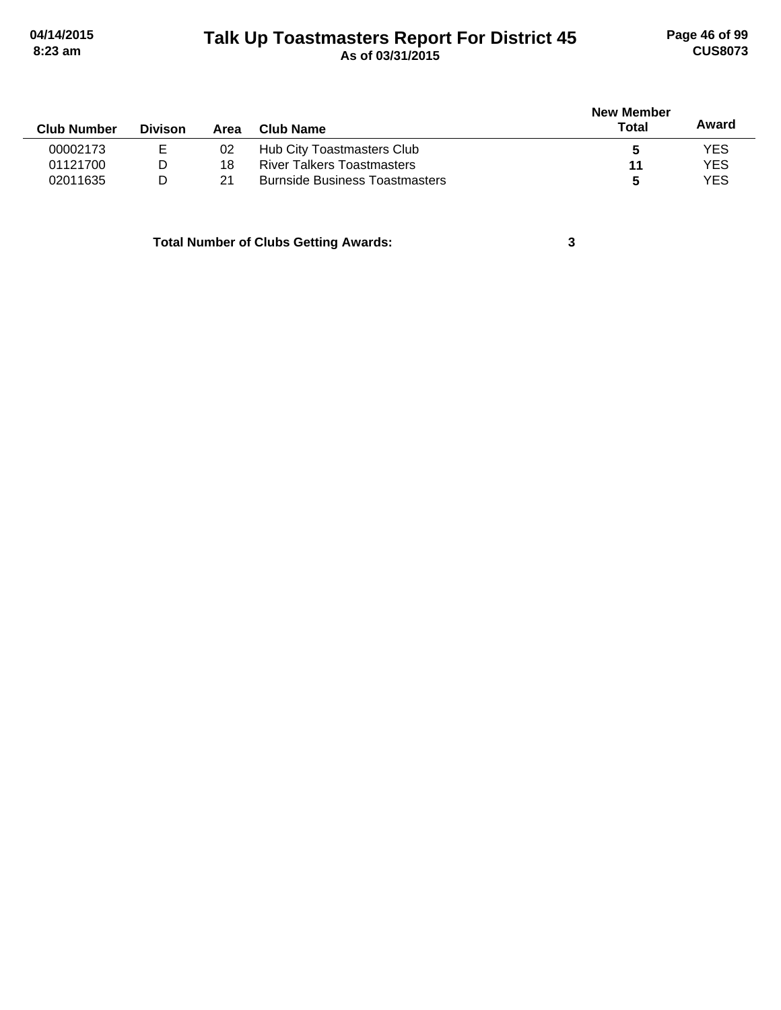# **Talk Up Toastmasters Report For District 45 04/14/2015 Page 46 of 99 8:23 am As of 03/31/2015 CUS8073**

|                    |                |      |                                       | <b>New Member</b> |            |
|--------------------|----------------|------|---------------------------------------|-------------------|------------|
| <b>Club Number</b> | <b>Divison</b> | Area | Club Name                             | Total             | Award      |
| 00002173           | Е              | 02   | Hub City Toastmasters Club            |                   | <b>YES</b> |
| 01121700           | D              | 18   | <b>River Talkers Toastmasters</b>     | 11                | <b>YES</b> |
| 02011635           | D              | 21   | <b>Burnside Business Toastmasters</b> | 5                 | <b>YES</b> |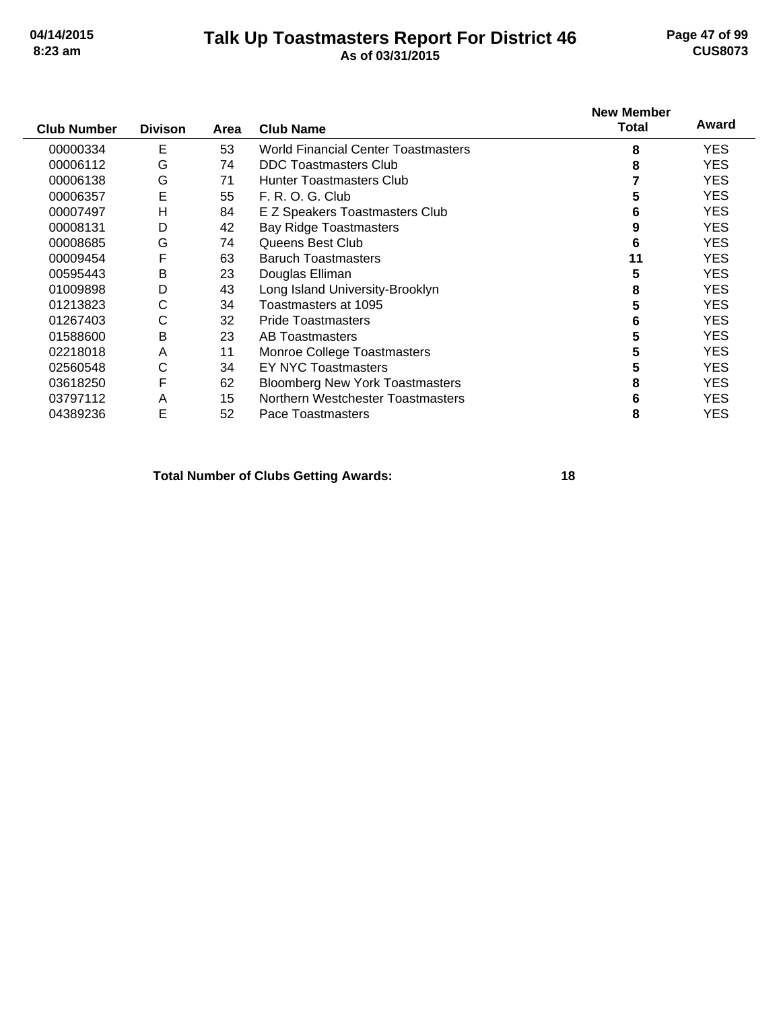### **Talk Up Toastmasters Report For District 46 04/14/2015 Page 47 of 99 8:23 am As of 03/31/2015 CUS8073**

| <b>Club Number</b> | <b>Divison</b> | Area | <b>Club Name</b>                           | <b>New Member</b><br><b>Total</b> | Award      |
|--------------------|----------------|------|--------------------------------------------|-----------------------------------|------------|
| 00000334           | Е              | 53   | <b>World Financial Center Toastmasters</b> | 8                                 | <b>YES</b> |
| 00006112           | G              | 74   | <b>DDC Toastmasters Club</b>               | 8                                 | <b>YES</b> |
| 00006138           | G              | 71   | <b>Hunter Toastmasters Club</b>            |                                   | <b>YES</b> |
| 00006357           | E              | 55   | F. R. O. G. Club                           | 5                                 | <b>YES</b> |
| 00007497           | H              | 84   | E Z Speakers Toastmasters Club             | 6                                 | <b>YES</b> |
| 00008131           | D              | 42   | <b>Bay Ridge Toastmasters</b>              | 9                                 | <b>YES</b> |
| 00008685           | G              | 74   | Queens Best Club                           | 6                                 | YES.       |
| 00009454           | F              | 63   | <b>Baruch Toastmasters</b>                 | 11                                | <b>YES</b> |
| 00595443           | Β              | 23   | Douglas Elliman                            | 5                                 | <b>YES</b> |
| 01009898           | D              | 43   | Long Island University-Brooklyn            | 8                                 | <b>YES</b> |
| 01213823           | С              | 34   | Toastmasters at 1095                       | 5                                 | <b>YES</b> |
| 01267403           | С              | 32   | <b>Pride Toastmasters</b>                  | 6                                 | YES.       |
| 01588600           | В              | 23   | <b>AB Toastmasters</b>                     | 5                                 | <b>YES</b> |
| 02218018           | A              | 11   | Monroe College Toastmasters                | 5                                 | <b>YES</b> |
| 02560548           | С              | 34   | <b>EY NYC Toastmasters</b>                 | 5                                 | <b>YES</b> |
| 03618250           | F              | 62   | <b>Bloomberg New York Toastmasters</b>     | 8                                 | <b>YES</b> |
| 03797112           | A              | 15   | Northern Westchester Toastmasters          | 6                                 | YES.       |
| 04389236           | Ε              | 52   | Pace Toastmasters                          | 8                                 | YES        |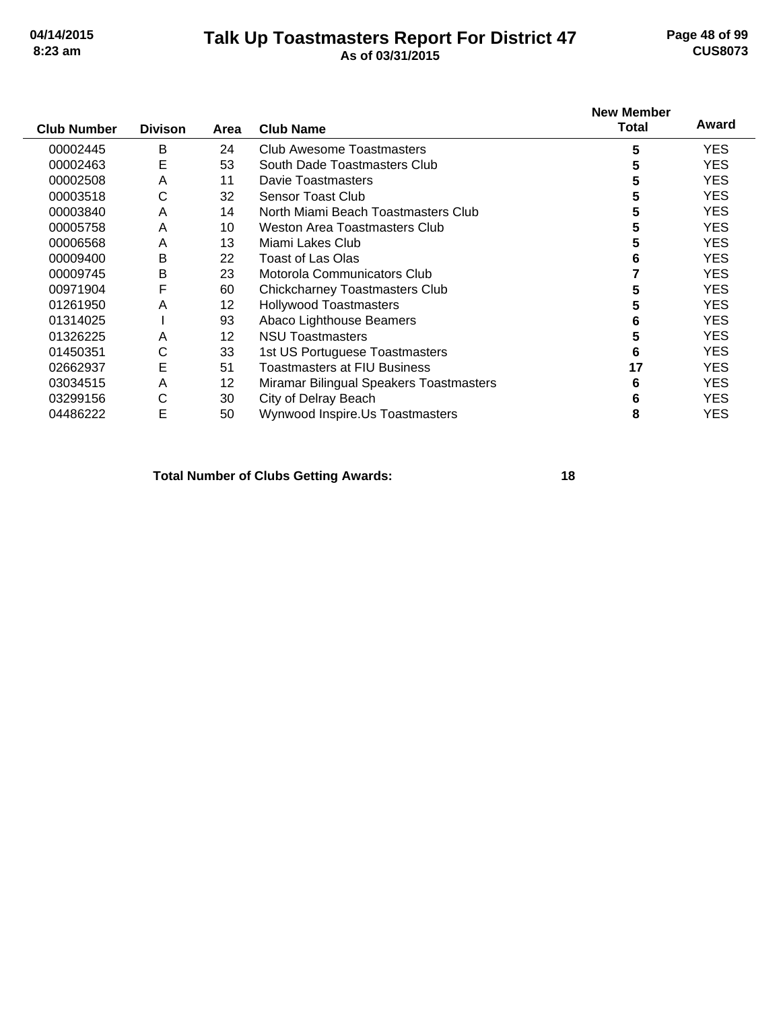### **Talk Up Toastmasters Report For District 47 04/14/2015 Page 48 of 99 8:23 am As of 03/31/2015 CUS8073**

| <b>Club Number</b> | <b>Divison</b> | Area              | <b>Club Name</b>                        | <b>New Member</b><br>Total | Award      |
|--------------------|----------------|-------------------|-----------------------------------------|----------------------------|------------|
| 00002445           | B              | 24                | Club Awesome Toastmasters               | 5                          | <b>YES</b> |
| 00002463           | Е              | 53                | South Dade Toastmasters Club            | 5                          | YES.       |
| 00002508           | A              | 11                | <b>Davie Toastmasters</b>               | 5                          | <b>YES</b> |
| 00003518           | С              | 32                | Sensor Toast Club                       | 5                          | YES.       |
| 00003840           | A              | 14                | North Miami Beach Toastmasters Club     | 5                          | <b>YES</b> |
| 00005758           | A              | 10                | Weston Area Toastmasters Club           | 5                          | <b>YES</b> |
| 00006568           | A              | 13                | Miami Lakes Club                        | 5                          | YES.       |
| 00009400           | B              | 22                | <b>Toast of Las Olas</b>                | 6                          | <b>YES</b> |
| 00009745           | B              | 23                | Motorola Communicators Club             |                            | YES.       |
| 00971904           | F              | 60                | <b>Chickcharney Toastmasters Club</b>   | 5                          | <b>YES</b> |
| 01261950           | A              | 12                | <b>Hollywood Toastmasters</b>           | 5                          | YES.       |
| 01314025           |                | 93                | Abaco Lighthouse Beamers                | 6                          | YES.       |
| 01326225           | A              | $12 \overline{ }$ | <b>NSU Toastmasters</b>                 | 5                          | <b>YES</b> |
| 01450351           | С              | 33                | 1st US Portuguese Toastmasters          | 6                          | <b>YES</b> |
| 02662937           | E              | 51                | Toastmasters at FIU Business            | 17                         | <b>YES</b> |
| 03034515           | A              | 12                | Miramar Bilingual Speakers Toastmasters | 6                          | YES.       |
| 03299156           | С              | 30                | City of Delray Beach                    | 6                          | YES.       |
| 04486222           | Е              | 50                | Wynwood Inspire.Us Toastmasters         | 8                          | <b>YES</b> |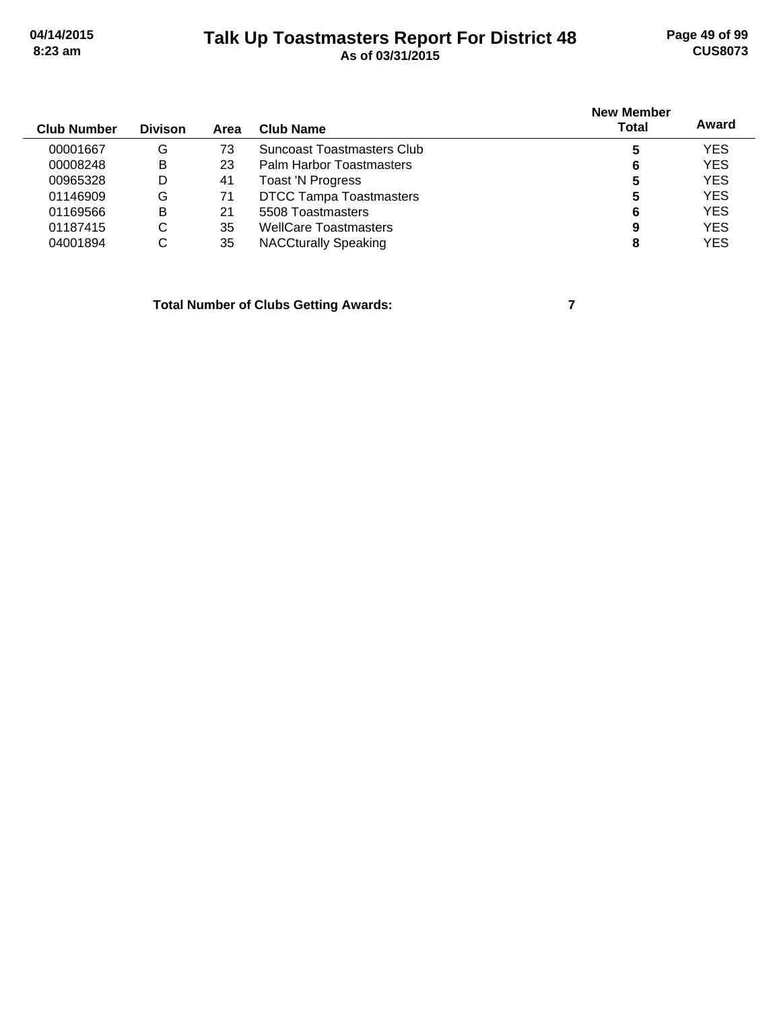### **Talk Up Toastmasters Report For District 48 04/14/2015 Page 49 of 99 8:23 am As of 03/31/2015 CUS8073**

| <b>Club Number</b> | <b>Divison</b> | Area | Club Name                      | <b>New Member</b><br><b>Total</b> | Award      |
|--------------------|----------------|------|--------------------------------|-----------------------------------|------------|
| 00001667           | G              | 73   | Suncoast Toastmasters Club     | 5                                 | <b>YES</b> |
| 00008248           | В              | 23   | Palm Harbor Toastmasters       | 6                                 | <b>YES</b> |
| 00965328           | D              | 41   | Toast 'N Progress              | 5                                 | <b>YES</b> |
| 01146909           | G              | 71   | <b>DTCC Tampa Toastmasters</b> | 5                                 | <b>YES</b> |
| 01169566           | В              | 21   | 5508 Toastmasters              | 6                                 | <b>YES</b> |
| 01187415           | С              | 35   | <b>WellCare Toastmasters</b>   | 9                                 | <b>YES</b> |
| 04001894           | С              | 35   | <b>NACCturally Speaking</b>    | 8                                 | <b>YES</b> |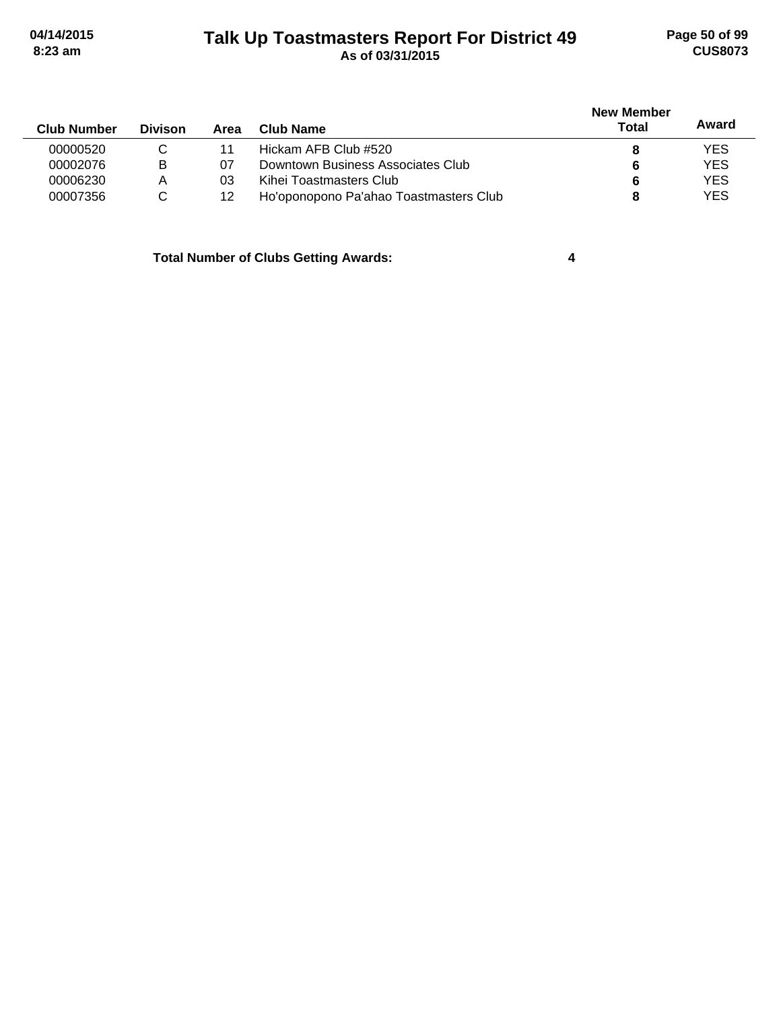# **Talk Up Toastmasters Report For District 49 04/14/2015 Page 50 of 99 8:23 am As of 03/31/2015 CUS8073**

| <b>Club Number</b> | <b>Divison</b> | Area | Club Name                              | New Member<br>Total | Award      |
|--------------------|----------------|------|----------------------------------------|---------------------|------------|
| 00000520           | С              |      | Hickam AFB Club #520                   |                     | <b>YES</b> |
| 00002076           | В              | 07   | Downtown Business Associates Club      | 6                   | <b>YES</b> |
| 00006230           | Α              | 03   | Kihei Toastmasters Club                | 6                   | <b>YES</b> |
| 00007356           | C              | 12   | Ho'oponopono Pa'ahao Toastmasters Club |                     | <b>YES</b> |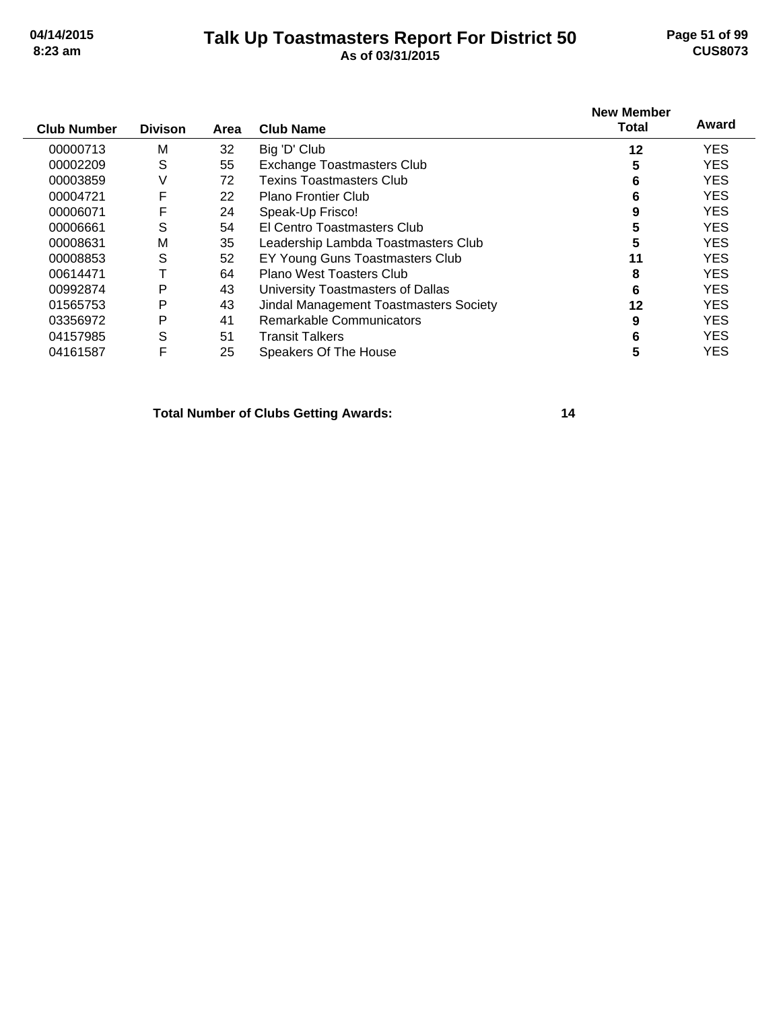### **Talk Up Toastmasters Report For District 50 04/14/2015 Page 51 of 99 8:23 am As of 03/31/2015 CUS8073**

| <b>Club Number</b> | <b>Divison</b> | Area | <b>Club Name</b>                              | <b>New Member</b><br><b>Total</b> | Award      |
|--------------------|----------------|------|-----------------------------------------------|-----------------------------------|------------|
| 00000713           | M              | 32   | Big 'D' Club                                  | 12                                | <b>YES</b> |
| 00002209           | S              | 55   | Exchange Toastmasters Club                    | 5                                 | <b>YES</b> |
| 00003859           | V              | 72   | Texins Toastmasters Club.                     | 6                                 | <b>YES</b> |
| 00004721           | F              | 22   | <b>Plano Frontier Club</b>                    | 6                                 | <b>YES</b> |
| 00006071           | F              | 24   | Speak-Up Frisco!                              | 9                                 | <b>YES</b> |
| 00006661           | S              | 54   | El Centro Toastmasters Club                   | 5                                 | <b>YES</b> |
| 00008631           | M              | 35   | Leadership Lambda Toastmasters Club           | 5                                 | <b>YES</b> |
| 00008853           | S              | 52   | EY Young Guns Toastmasters Club               | 11                                | <b>YES</b> |
| 00614471           |                | 64   | Plano West Toasters Club                      | 8                                 | <b>YES</b> |
| 00992874           | P              | 43   | University Toastmasters of Dallas             | 6                                 | <b>YES</b> |
| 01565753           | Ρ              | 43   | <b>Jindal Management Toastmasters Society</b> | 12                                | <b>YES</b> |
| 03356972           | P              | 41   | Remarkable Communicators                      | 9                                 | <b>YES</b> |
| 04157985           | S              | 51   | <b>Transit Talkers</b>                        | 6                                 | <b>YES</b> |
| 04161587           | F              | 25   | Speakers Of The House                         | 5                                 | <b>YES</b> |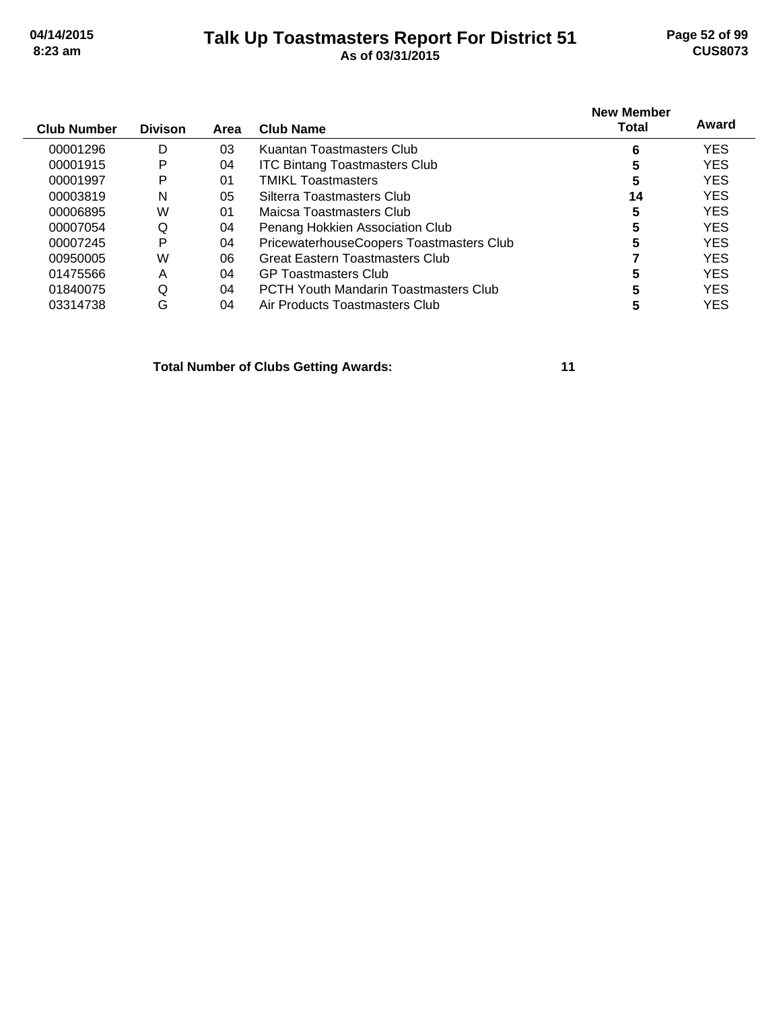÷,

### **Talk Up Toastmasters Report For District 51 04/14/2015 Page 52 of 99 8:23 am As of 03/31/2015 CUS8073**

| <b>Club Number</b> | <b>Divison</b> | Area | <b>Club Name</b>                             | <b>New Member</b><br><b>Total</b> | Award      |
|--------------------|----------------|------|----------------------------------------------|-----------------------------------|------------|
| 00001296           | D              | 03   | Kuantan Toastmasters Club                    | 6                                 | <b>YES</b> |
| 00001915           | P              | 04   | <b>ITC Bintang Toastmasters Club</b>         | 5                                 | <b>YES</b> |
| 00001997           | P              | 01   | <b>TMIKL Toastmasters</b>                    | 5                                 | <b>YES</b> |
| 00003819           | N              | 05   | Silterra Toastmasters Club                   | 14                                | <b>YES</b> |
| 00006895           | W              | 01   | Maicsa Toastmasters Club                     | 5                                 | <b>YES</b> |
| 00007054           | Q              | 04   | Penang Hokkien Association Club              | 5                                 | <b>YES</b> |
| 00007245           | P              | 04   | PricewaterhouseCoopers Toastmasters Club     | 5                                 | <b>YES</b> |
| 00950005           | W              | 06   | <b>Great Eastern Toastmasters Club</b>       |                                   | <b>YES</b> |
| 01475566           | Α              | 04   | <b>GP Toastmasters Club</b>                  | 5                                 | <b>YES</b> |
| 01840075           | Q              | 04   | <b>PCTH Youth Mandarin Toastmasters Club</b> | 5                                 | <b>YES</b> |
| 03314738           | G              | 04   | Air Products Toastmasters Club               | 5                                 | YES        |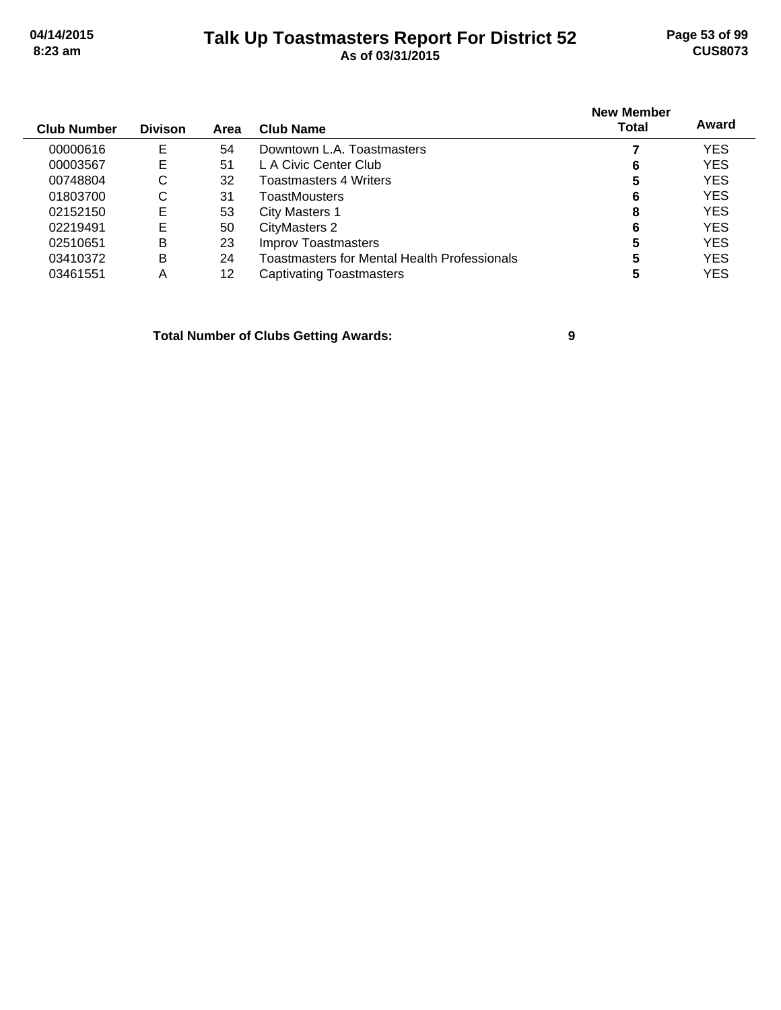### **Talk Up Toastmasters Report For District 52 04/14/2015 Page 53 of 99 8:23 am As of 03/31/2015 CUS8073**

| <b>Divison</b> | Area | Club Name                                    | <b>New Member</b><br>Total | Award      |
|----------------|------|----------------------------------------------|----------------------------|------------|
| E              | 54   | Downtown L.A. Toastmasters                   |                            | <b>YES</b> |
| E              | 51   | L A Civic Center Club                        | 6                          | <b>YES</b> |
| С              | 32   | Toastmasters 4 Writers                       | 5                          | <b>YES</b> |
| C              | 31   | ToastMousters                                | 6                          | <b>YES</b> |
| E              | 53   | City Masters 1                               | 8                          | <b>YES</b> |
| E              | 50   | <b>CityMasters 2</b>                         | 6                          | <b>YES</b> |
| B              | 23   | <b>Improv Toastmasters</b>                   | 5                          | <b>YES</b> |
| B              | 24   | Toastmasters for Mental Health Professionals | 5                          | <b>YES</b> |
| Α              | 12   | <b>Captivating Toastmasters</b>              | 5                          | <b>YES</b> |
|                |      |                                              |                            |            |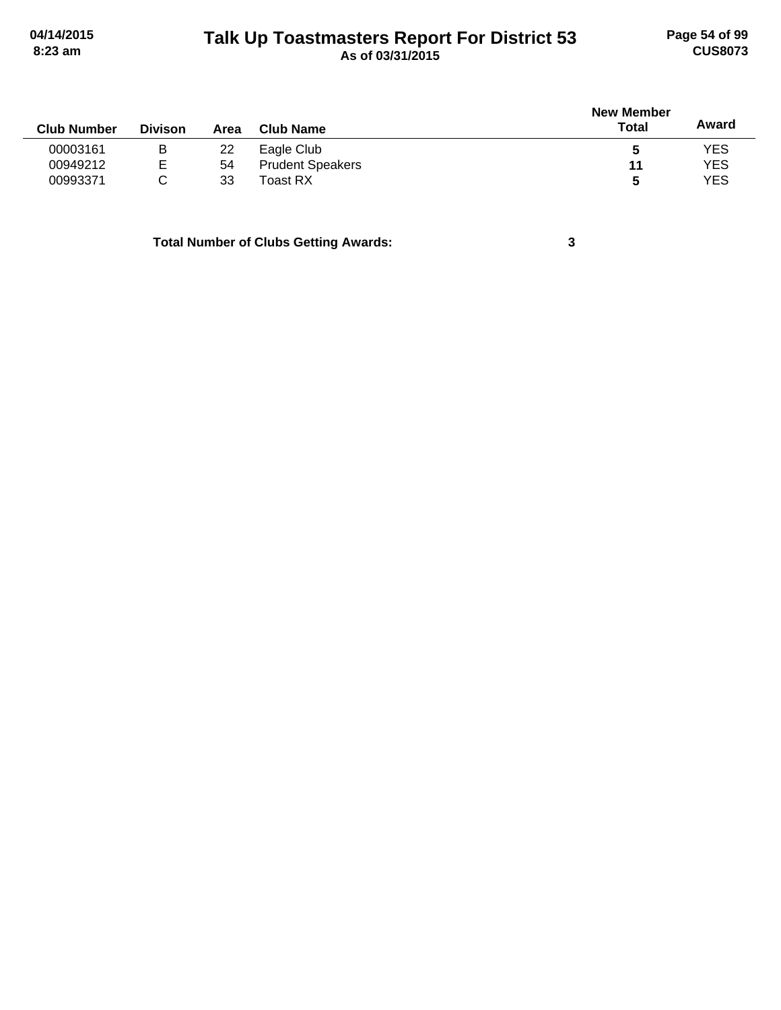# **Talk Up Toastmasters Report For District 53 04/14/2015 Page 54 of 99 8:23 am As of 03/31/2015 CUS8073**

| <b>Club Number</b> | <b>Divison</b> | Area | <b>Club Name</b>        | <b>New Member</b><br><b>Total</b> | Award      |
|--------------------|----------------|------|-------------------------|-----------------------------------|------------|
| 00003161           | B              | 22   | Eagle Club              | b                                 | <b>YES</b> |
| 00949212           | E              | 54   | <b>Prudent Speakers</b> | 11                                | <b>YES</b> |
| 00993371           | C              | 33   | Toast RX                | 5                                 | <b>YES</b> |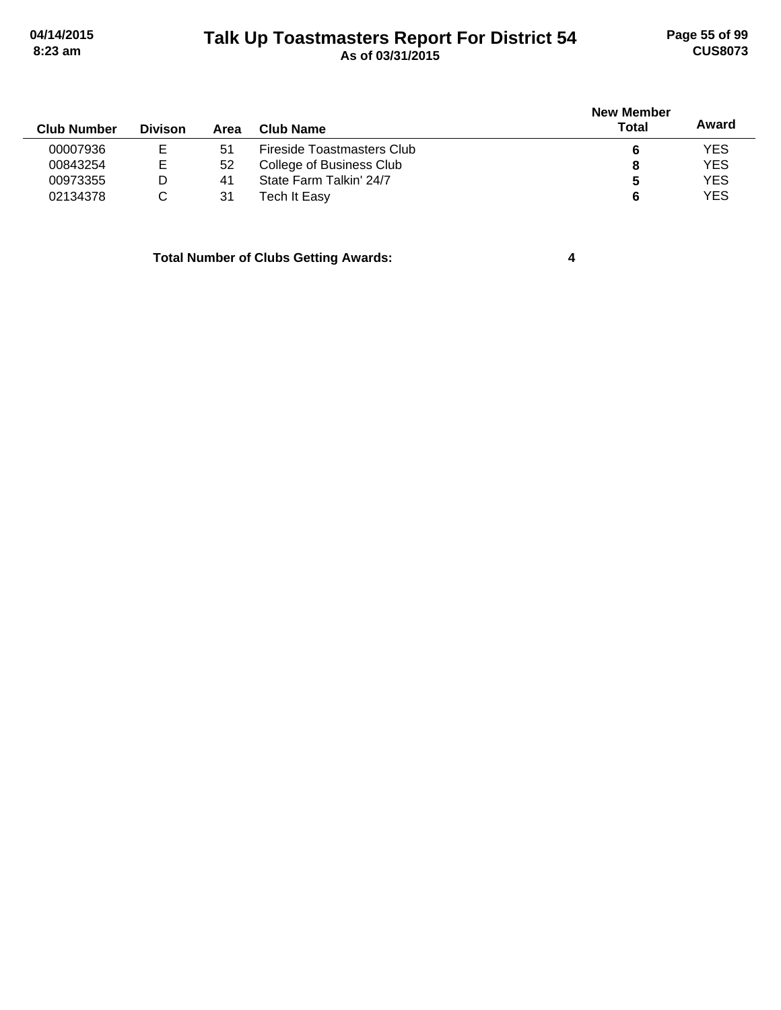# **Talk Up Toastmasters Report For District 54 04/14/2015 Page 55 of 99 8:23 am As of 03/31/2015 CUS8073**

|                    |                |      |                            | <b>New Member</b> |            |
|--------------------|----------------|------|----------------------------|-------------------|------------|
| <b>Club Number</b> | <b>Divison</b> | Area | <b>Club Name</b>           | Total             | Award      |
| 00007936           |                | -51  | Fireside Toastmasters Club |                   | <b>YES</b> |
| 00843254           | Е              | 52   | College of Business Club   |                   | <b>YES</b> |
| 00973355           | D              | 41   | State Farm Talkin' 24/7    | b                 | <b>YES</b> |
| 02134378           |                | 31   | Tech It Easy               |                   | <b>YES</b> |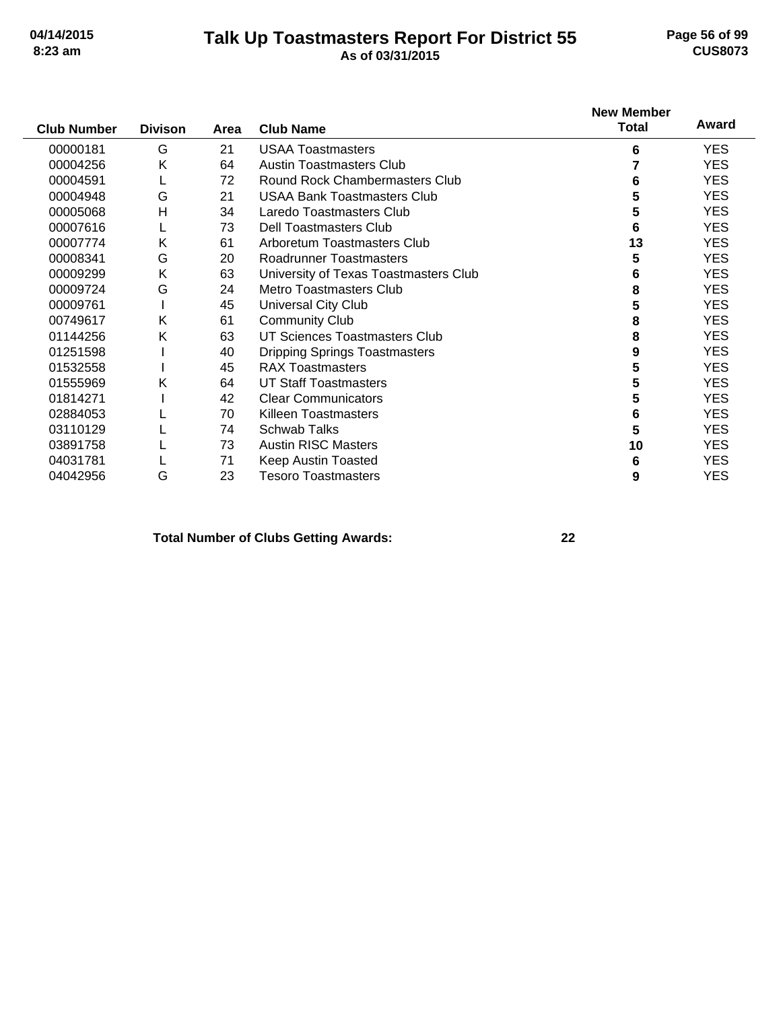# **Talk Up Toastmasters Report For District 55 04/14/2015 Page 56 of 99**

# **8:23 am As of 03/31/2015 CUS8073**

| <b>Club Number</b> | <b>Divison</b> | Area | <b>Club Name</b>                      | <b>New Member</b><br><b>Total</b> | Award      |
|--------------------|----------------|------|---------------------------------------|-----------------------------------|------------|
| 00000181           | G              | 21   | <b>USAA Toastmasters</b>              | 6                                 | <b>YES</b> |
| 00004256           | Κ              | 64   | <b>Austin Toastmasters Club</b>       |                                   | <b>YES</b> |
| 00004591           |                | 72   | Round Rock Chambermasters Club        | 6                                 | <b>YES</b> |
| 00004948           | G              | 21   | <b>USAA Bank Toastmasters Club</b>    | 5                                 | <b>YES</b> |
| 00005068           | Н              | 34   | Laredo Toastmasters Club              | 5                                 | <b>YES</b> |
| 00007616           |                | 73   | Dell Toastmasters Club                | 6                                 | <b>YES</b> |
| 00007774           | Κ              | 61   | Arboretum Toastmasters Club           | 13                                | <b>YES</b> |
| 00008341           | G              | 20   | <b>Roadrunner Toastmasters</b>        | 5                                 | <b>YES</b> |
| 00009299           | Κ              | 63   | University of Texas Toastmasters Club | 6                                 | <b>YES</b> |
| 00009724           | G              | 24   | <b>Metro Toastmasters Club</b>        | 8                                 | <b>YES</b> |
| 00009761           |                | 45   | Universal City Club                   | 5                                 | <b>YES</b> |
| 00749617           | Κ              | 61   | <b>Community Club</b>                 | 8                                 | <b>YES</b> |
| 01144256           | Κ              | 63   | UT Sciences Toastmasters Club         | 8                                 | <b>YES</b> |
| 01251598           |                | 40   | <b>Dripping Springs Toastmasters</b>  | 9                                 | <b>YES</b> |
| 01532558           |                | 45   | <b>RAX Toastmasters</b>               | 5                                 | <b>YES</b> |
| 01555969           | Κ              | 64   | <b>UT Staff Toastmasters</b>          | 5                                 | <b>YES</b> |
| 01814271           |                | 42   | <b>Clear Communicators</b>            | 5                                 | <b>YES</b> |
| 02884053           |                | 70   | Killeen Toastmasters                  | 6                                 | <b>YES</b> |
| 03110129           |                | 74   | <b>Schwab Talks</b>                   | 5                                 | <b>YES</b> |
| 03891758           |                | 73   | <b>Austin RISC Masters</b>            | 10                                | <b>YES</b> |
| 04031781           |                | 71   | Keep Austin Toasted                   | 6                                 | <b>YES</b> |
| 04042956           | G              | 23   | <b>Tesoro Toastmasters</b>            | 9                                 | <b>YES</b> |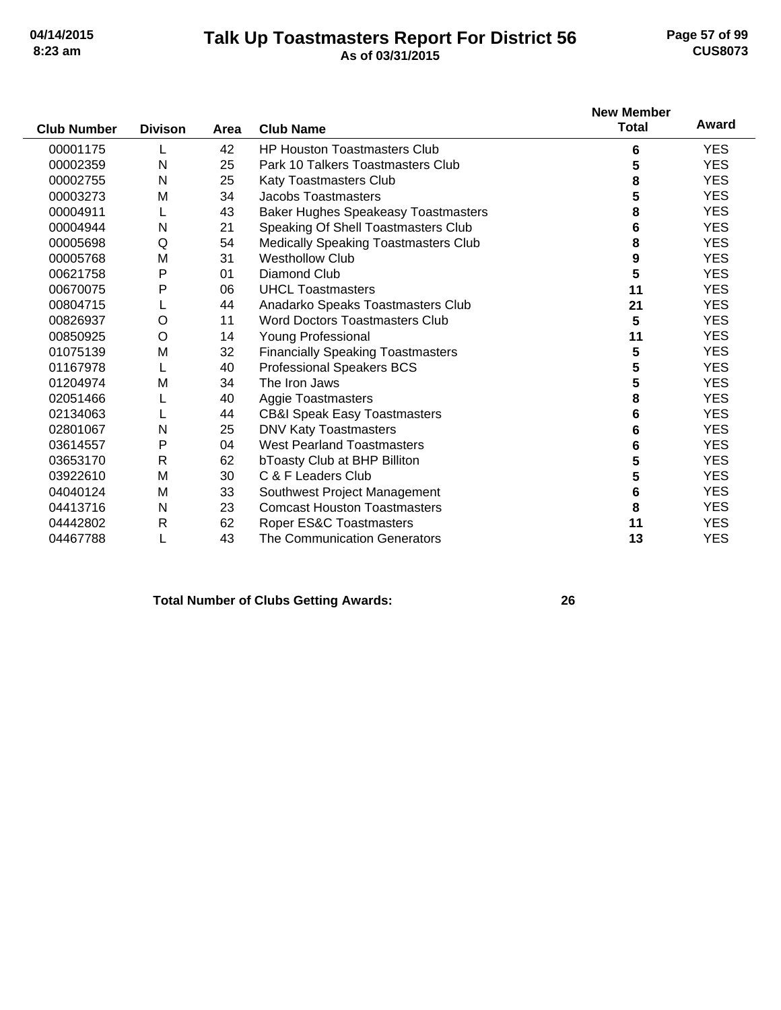### **Talk Up Toastmasters Report For District 56 04/14/2015 Page 57 of 99 8:23 am As of 03/31/2015 CUS8073**

|                    |                |      |                                            | <b>New Member</b> |            |
|--------------------|----------------|------|--------------------------------------------|-------------------|------------|
| <b>Club Number</b> | <b>Divison</b> | Area | <b>Club Name</b>                           | <b>Total</b>      | Award      |
| 00001175           |                | 42   | <b>HP Houston Toastmasters Club</b>        | 6                 | <b>YES</b> |
| 00002359           | N              | 25   | Park 10 Talkers Toastmasters Club          | 5                 | <b>YES</b> |
| 00002755           | N              | 25   | <b>Katy Toastmasters Club</b>              | 8                 | <b>YES</b> |
| 00003273           | M              | 34   | Jacobs Toastmasters                        | 5                 | <b>YES</b> |
| 00004911           |                | 43   | <b>Baker Hughes Speakeasy Toastmasters</b> | 8                 | <b>YES</b> |
| 00004944           | N              | 21   | Speaking Of Shell Toastmasters Club        | 6                 | <b>YES</b> |
| 00005698           | Q              | 54   | Medically Speaking Toastmasters Club       | 8                 | <b>YES</b> |
| 00005768           | M              | 31   | <b>Westhollow Club</b>                     | 9                 | <b>YES</b> |
| 00621758           | P              | 01   | <b>Diamond Club</b>                        | 5                 | <b>YES</b> |
| 00670075           | Ρ              | 06   | <b>UHCL Toastmasters</b>                   | 11                | <b>YES</b> |
| 00804715           |                | 44   | Anadarko Speaks Toastmasters Club          | 21                | <b>YES</b> |
| 00826937           | O              | 11   | <b>Word Doctors Toastmasters Club</b>      | 5                 | <b>YES</b> |
| 00850925           | O              | 14   | <b>Young Professional</b>                  | 11                | <b>YES</b> |
| 01075139           | M              | 32   | <b>Financially Speaking Toastmasters</b>   | 5                 | <b>YES</b> |
| 01167978           |                | 40   | <b>Professional Speakers BCS</b>           | 5                 | <b>YES</b> |
| 01204974           | M              | 34   | The Iron Jaws                              | 5                 | <b>YES</b> |
| 02051466           |                | 40   | <b>Aggie Toastmasters</b>                  | 8                 | <b>YES</b> |
| 02134063           |                | 44   | <b>CB&amp;I Speak Easy Toastmasters</b>    | 6                 | <b>YES</b> |
| 02801067           | N              | 25   | <b>DNV Katy Toastmasters</b>               | 6                 | <b>YES</b> |
| 03614557           | P              | 04   | <b>West Pearland Toastmasters</b>          | 6                 | <b>YES</b> |
| 03653170           | $\mathsf{R}$   | 62   | bToasty Club at BHP Billiton               | 5                 | <b>YES</b> |
| 03922610           | M              | 30   | C & F Leaders Club                         | 5                 | <b>YES</b> |
| 04040124           | M              | 33   | Southwest Project Management               | 6                 | <b>YES</b> |
| 04413716           | N              | 23   | <b>Comcast Houston Toastmasters</b>        | 8                 | <b>YES</b> |
| 04442802           | $\mathsf{R}$   | 62   | Roper ES&C Toastmasters                    | 11                | <b>YES</b> |
| 04467788           |                | 43   | The Communication Generators               | 13                | <b>YES</b> |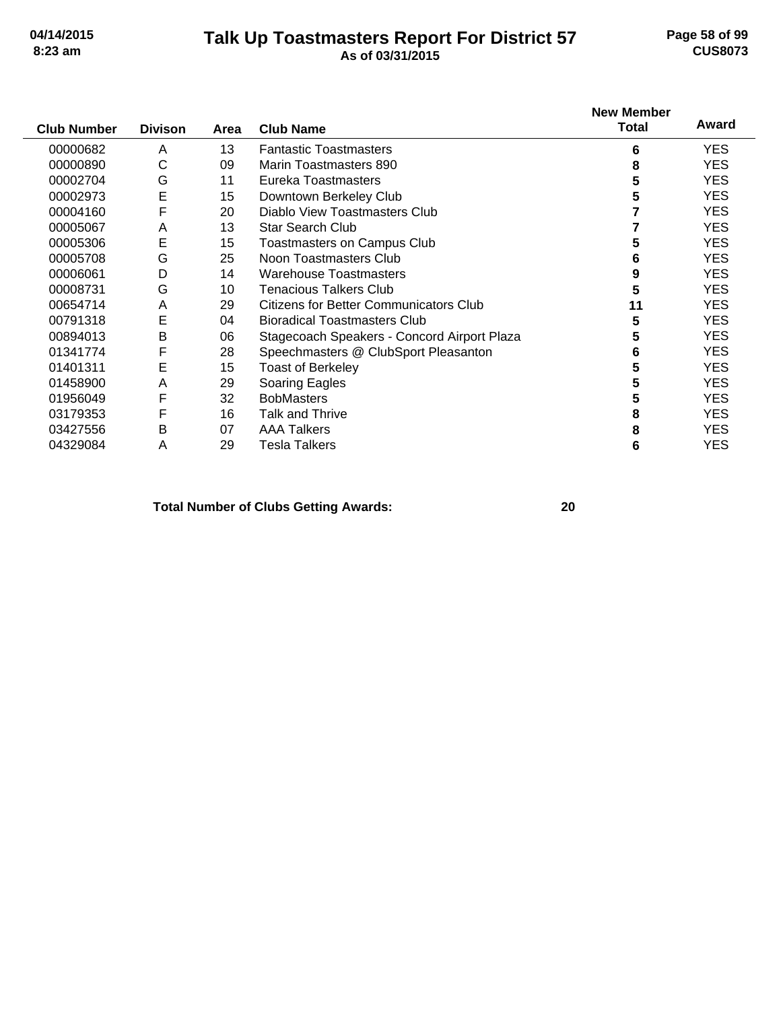### **Talk Up Toastmasters Report For District 57 04/14/2015 Page 58 of 99 8:23 am As of 03/31/2015 CUS8073**

| <b>Club Number</b> | <b>Divison</b> | Area | <b>Club Name</b>                            | <b>New Member</b><br><b>Total</b> | Award      |
|--------------------|----------------|------|---------------------------------------------|-----------------------------------|------------|
| 00000682           | A              | 13   | <b>Fantastic Toastmasters</b>               | 6                                 | <b>YES</b> |
| 00000890           | С              | 09   | Marin Toastmasters 890                      | 8                                 | <b>YES</b> |
| 00002704           | G              | 11   | Eureka Toastmasters                         | 5                                 | <b>YES</b> |
| 00002973           | E              | 15   | Downtown Berkeley Club                      | 5                                 | YES.       |
| 00004160           | F              | 20   | Diablo View Toastmasters Club               |                                   | <b>YES</b> |
| 00005067           | A              | 13   | <b>Star Search Club</b>                     |                                   | YES.       |
| 00005306           | Ε              | 15   | <b>Toastmasters on Campus Club</b>          | 5                                 | <b>YES</b> |
| 00005708           | G              | 25   | Noon Toastmasters Club                      | 6                                 | <b>YES</b> |
| 00006061           | D              | 14   | <b>Warehouse Toastmasters</b>               | 9                                 | <b>YES</b> |
| 00008731           | G              | 10   | Tenacious Talkers Club                      | 5                                 | <b>YES</b> |
| 00654714           | A              | 29   | Citizens for Better Communicators Club      | 11                                | <b>YES</b> |
| 00791318           | Ε              | 04   | <b>Bioradical Toastmasters Club</b>         | 5                                 | <b>YES</b> |
| 00894013           | B              | 06   | Stagecoach Speakers - Concord Airport Plaza | 5                                 | YES.       |
| 01341774           | F              | 28   | Speechmasters @ ClubSport Pleasanton        | 6                                 | <b>YES</b> |
| 01401311           | Ε              | 15   | <b>Toast of Berkeley</b>                    |                                   | <b>YES</b> |
| 01458900           | A              | 29   | Soaring Eagles                              | 5                                 | YES.       |
| 01956049           | F              | 32   | <b>BobMasters</b>                           | 5                                 | <b>YES</b> |
| 03179353           | F              | 16   | Talk and Thrive                             | 8                                 | <b>YES</b> |
| 03427556           | в              | 07   | <b>AAA Talkers</b>                          | 8                                 | YES.       |
| 04329084           | A              | 29   | Tesla Talkers                               | 6                                 | <b>YES</b> |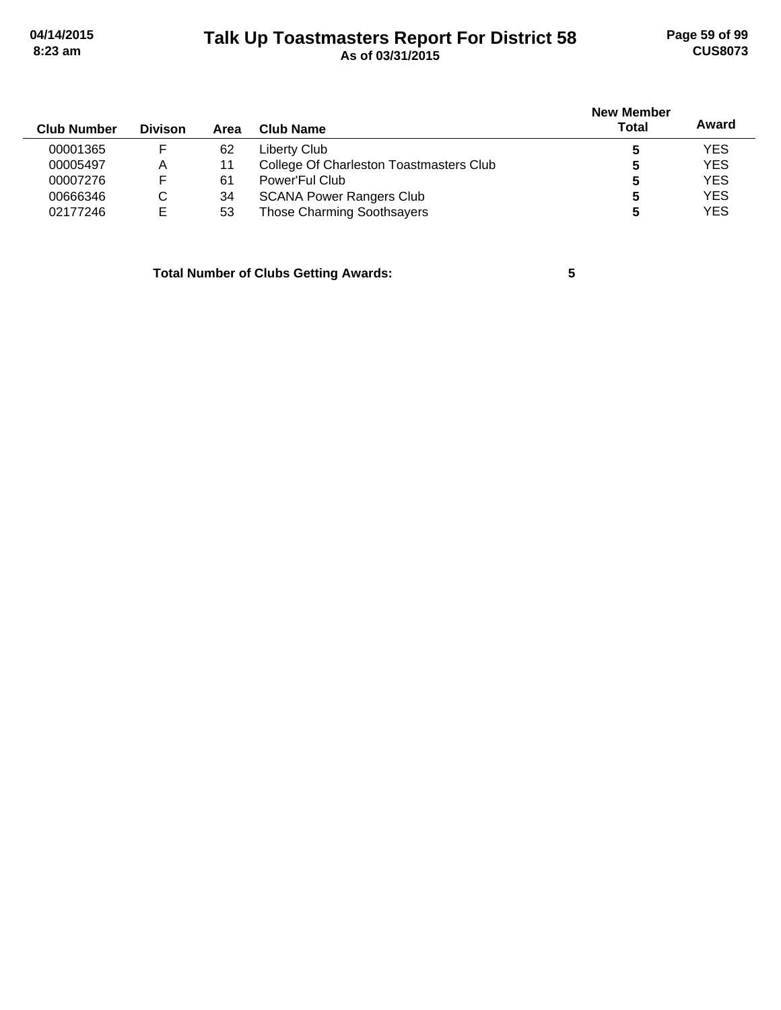# **Talk Up Toastmasters Report For District 58 04/14/2015 Page 59 of 99 8:23 am As of 03/31/2015 CUS8073**

| <b>Club Number</b> | <b>Divison</b> | Area | Club Name                               | <b>New Member</b><br>Total | Award      |
|--------------------|----------------|------|-----------------------------------------|----------------------------|------------|
| 00001365           |                | 62   | Liberty Club                            |                            | <b>YES</b> |
| 00005497           | Α              | 11   | College Of Charleston Toastmasters Club |                            | <b>YES</b> |
| 00007276           | F              | 61   | Power'Ful Club                          | 5                          | <b>YES</b> |
| 00666346           | C              | 34   | <b>SCANA Power Rangers Club</b>         | 5                          | <b>YES</b> |
| 02177246           | Е              | 53   | <b>Those Charming Soothsayers</b>       |                            | <b>YES</b> |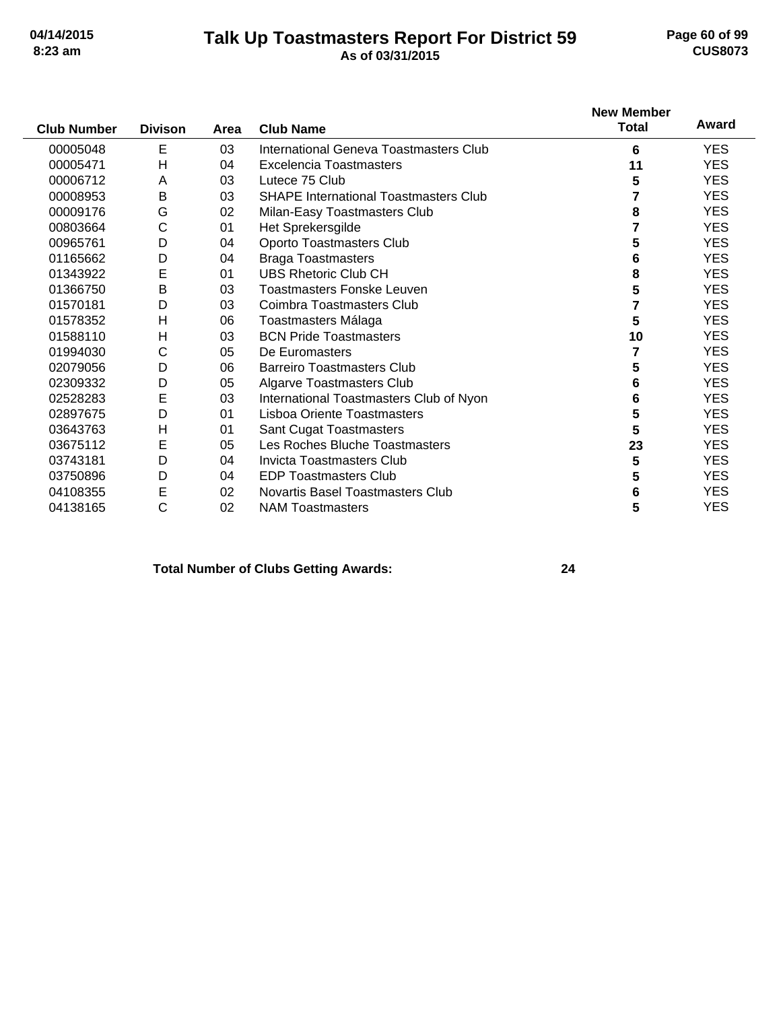### **Talk Up Toastmasters Report For District 59 04/14/2015 Page 60 of 99 8:23 am As of 03/31/2015 CUS8073**

|                    |                |      |                                              | <b>New Member</b> |            |
|--------------------|----------------|------|----------------------------------------------|-------------------|------------|
| <b>Club Number</b> | <b>Divison</b> | Area | <b>Club Name</b>                             | <b>Total</b>      | Award      |
| 00005048           | E              | 03   | International Geneva Toastmasters Club       | 6                 | <b>YES</b> |
| 00005471           | H              | 04   | <b>Excelencia Toastmasters</b>               | 11                | <b>YES</b> |
| 00006712           | A              | 03   | Lutece 75 Club                               | 5                 | <b>YES</b> |
| 00008953           | B              | 03   | <b>SHAPE International Toastmasters Club</b> |                   | <b>YES</b> |
| 00009176           | G              | 02   | Milan-Easy Toastmasters Club                 | 8                 | <b>YES</b> |
| 00803664           | С              | 01   | Het Sprekersgilde                            | 7                 | <b>YES</b> |
| 00965761           | D              | 04   | Oporto Toastmasters Club                     | 5                 | <b>YES</b> |
| 01165662           | D              | 04   | <b>Braga Toastmasters</b>                    | 6                 | <b>YES</b> |
| 01343922           | E              | 01   | <b>UBS Rhetoric Club CH</b>                  | 8                 | <b>YES</b> |
| 01366750           | B              | 03   | Toastmasters Fonske Leuven                   | 5                 | <b>YES</b> |
| 01570181           | D              | 03   | Coimbra Toastmasters Club                    | 7                 | <b>YES</b> |
| 01578352           | H              | 06   | Toastmasters Málaga                          | 5                 | <b>YES</b> |
| 01588110           | H              | 03   | <b>BCN Pride Toastmasters</b>                | 10                | <b>YES</b> |
| 01994030           | С              | 05   | De Euromasters                               | 7                 | <b>YES</b> |
| 02079056           | D              | 06   | <b>Barreiro Toastmasters Club</b>            | 5                 | <b>YES</b> |
| 02309332           | D              | 05   | Algarve Toastmasters Club                    | 6                 | <b>YES</b> |
| 02528283           | E              | 03   | International Toastmasters Club of Nyon      | 6                 | <b>YES</b> |
| 02897675           | D              | 01   | Lisboa Oriente Toastmasters                  | 5                 | <b>YES</b> |
| 03643763           | H              | 01   | <b>Sant Cugat Toastmasters</b>               | 5                 | <b>YES</b> |
| 03675112           | E              | 05   | Les Roches Bluche Toastmasters               | 23                | <b>YES</b> |
| 03743181           | D              | 04   | <b>Invicta Toastmasters Club</b>             | 5                 | <b>YES</b> |
| 03750896           | D              | 04   | <b>EDP Toastmasters Club</b>                 | 5                 | <b>YES</b> |
| 04108355           | E              | 02   | Novartis Basel Toastmasters Club             | 6                 | <b>YES</b> |
| 04138165           | C              | 02   | <b>NAM Toastmasters</b>                      | 5                 | <b>YES</b> |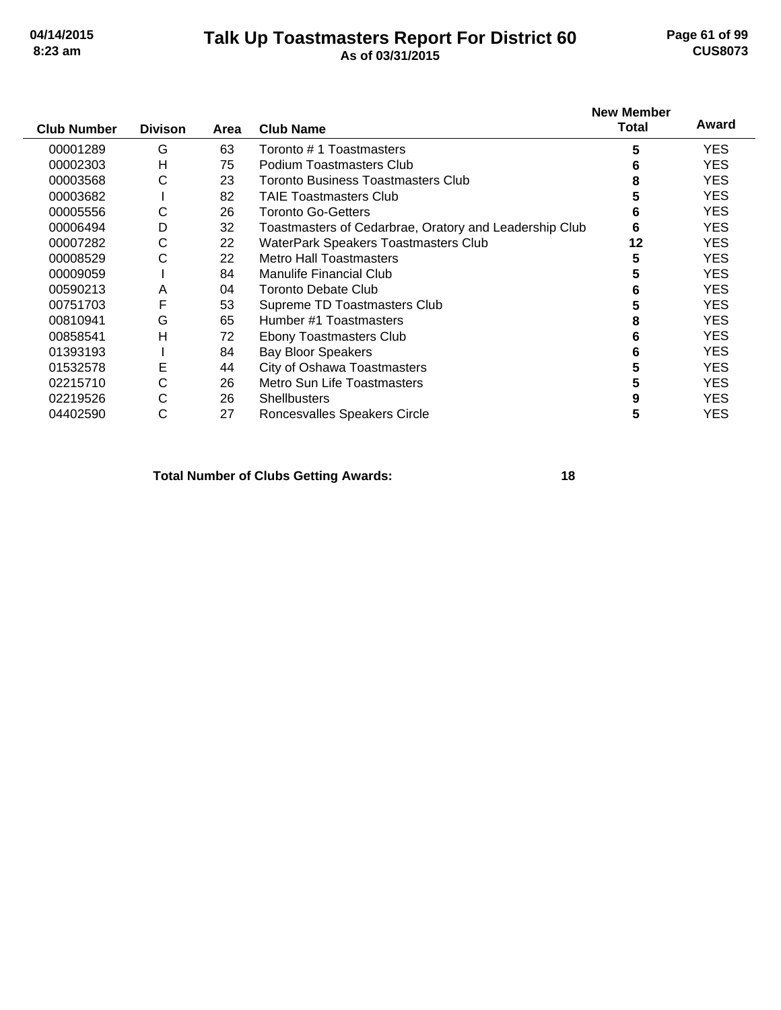### **Talk Up Toastmasters Report For District 60 04/14/2015 Page 61 of 99 8:23 am As of 03/31/2015 CUS8073**

| <b>Club Number</b> | <b>Divison</b> | Area | <b>Club Name</b>                                       | <b>New Member</b><br><b>Total</b> | Award      |
|--------------------|----------------|------|--------------------------------------------------------|-----------------------------------|------------|
| 00001289           | G              | 63   | Toronto #1 Toastmasters                                | 5                                 | <b>YES</b> |
| 00002303           | H              | 75   | Podium Toastmasters Club                               | 6                                 | <b>YES</b> |
| 00003568           | С              | 23   | Toronto Business Toastmasters Club                     | 8                                 | <b>YES</b> |
| 00003682           |                | 82   | <b>TAIE Toastmasters Club</b>                          | 5                                 | <b>YES</b> |
| 00005556           | С              | 26   | <b>Toronto Go-Getters</b>                              | 6                                 | <b>YES</b> |
| 00006494           | D              | 32   | Toastmasters of Cedarbrae, Oratory and Leadership Club | 6                                 | <b>YES</b> |
| 00007282           | С              | 22   | <b>WaterPark Speakers Toastmasters Club</b>            | 12                                | <b>YES</b> |
| 00008529           | С              | 22   | <b>Metro Hall Toastmasters</b>                         | 5                                 | <b>YES</b> |
| 00009059           |                | 84   | <b>Manulife Financial Club</b>                         | 5                                 | <b>YES</b> |
| 00590213           | A              | 04   | <b>Toronto Debate Club</b>                             | 6                                 | <b>YES</b> |
| 00751703           | F              | 53   | Supreme TD Toastmasters Club                           | 5                                 | <b>YES</b> |
| 00810941           | G              | 65   | Humber #1 Toastmasters                                 | 8                                 | <b>YES</b> |
| 00858541           | H              | 72   | <b>Ebony Toastmasters Club</b>                         | 6                                 | <b>YES</b> |
| 01393193           |                | 84   | <b>Bay Bloor Speakers</b>                              | 6                                 | <b>YES</b> |
| 01532578           | E              | 44   | City of Oshawa Toastmasters                            | 5                                 | <b>YES</b> |
| 02215710           | С              | 26   | Metro Sun Life Toastmasters                            | 5                                 | <b>YES</b> |
| 02219526           | С              | 26   | <b>Shellbusters</b>                                    | 9                                 | <b>YES</b> |
| 04402590           | С              | 27   | Roncesvalles Speakers Circle                           | 5                                 | YES        |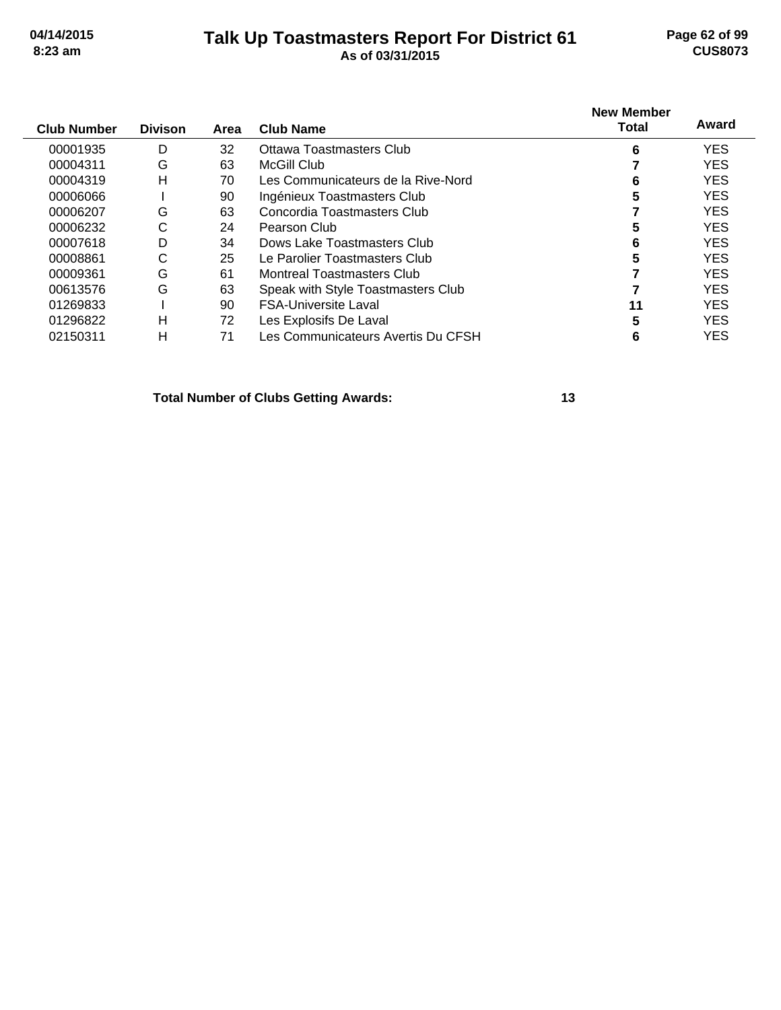### **Talk Up Toastmasters Report For District 61 04/14/2015 Page 62 of 99 8:23 am As of 03/31/2015 CUS8073**

| As of 03/31/2015 |  |
|------------------|--|
|                  |  |

| <b>Club Number</b> | <b>Divison</b> | Area | Club Name                          | <b>New Member</b><br>Total | Award      |
|--------------------|----------------|------|------------------------------------|----------------------------|------------|
| 00001935           | D              | 32   | Ottawa Toastmasters Club           | 6                          | <b>YES</b> |
| 00004311           | G              | 63   | <b>McGill Club</b>                 |                            | <b>YES</b> |
| 00004319           | Н              | 70   | Les Communicateurs de la Rive-Nord | 6                          | <b>YES</b> |
| 00006066           |                | 90   | Ingénieux Toastmasters Club        | 5                          | <b>YES</b> |
| 00006207           | G              | 63   | Concordia Toastmasters Club        |                            | <b>YES</b> |
| 00006232           | С              | 24   | Pearson Club                       | 5                          | <b>YES</b> |
| 00007618           | D              | 34   | Dows Lake Toastmasters Club        | 6                          | <b>YES</b> |
| 00008861           | С              | 25   | Le Parolier Toastmasters Club      | 5                          | <b>YES</b> |
| 00009361           | G              | 61   | Montreal Toastmasters Club         |                            | <b>YES</b> |
| 00613576           | G              | 63   | Speak with Style Toastmasters Club |                            | <b>YES</b> |
| 01269833           |                | 90   | <b>FSA-Universite Laval</b>        | 11                         | <b>YES</b> |
| 01296822           | н              | 72   | Les Explosifs De Laval             | 5                          | <b>YES</b> |
| 02150311           | н              | 71   | Les Communicateurs Avertis Du CFSH | 6                          | <b>YES</b> |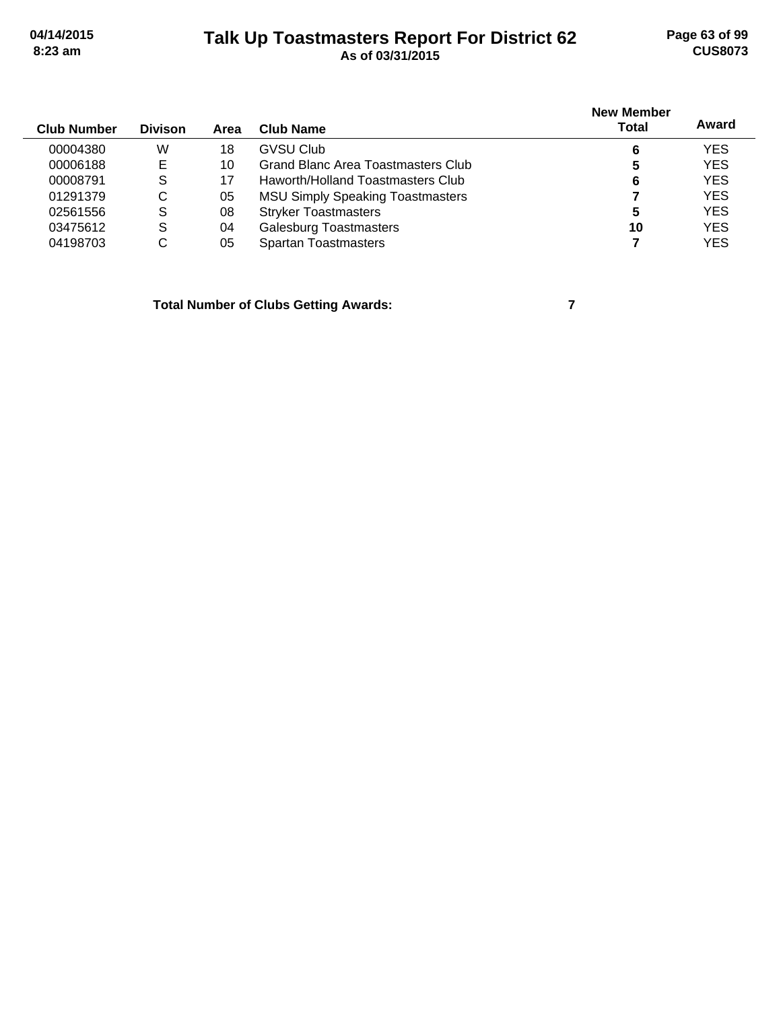### **Talk Up Toastmasters Report For District 62 04/14/2015 Page 63 of 99 8:23 am As of 03/31/2015 CUS8073**

| <b>Club Number</b> | <b>Divison</b> | Area | Club Name                               | <b>New Member</b><br><b>Total</b> | Award      |
|--------------------|----------------|------|-----------------------------------------|-----------------------------------|------------|
| 00004380           | W              | 18   | GVSU Club                               | 6                                 | <b>YES</b> |
| 00006188           | E              | 10   | Grand Blanc Area Toastmasters Club      | 5                                 | <b>YES</b> |
| 00008791           | S              |      | Haworth/Holland Toastmasters Club       | 6                                 | <b>YES</b> |
| 01291379           | C              | 05   | <b>MSU Simply Speaking Toastmasters</b> |                                   | <b>YES</b> |
| 02561556           | S              | 08   | <b>Stryker Toastmasters</b>             | 5                                 | <b>YES</b> |
| 03475612           | S              | 04   | <b>Galesburg Toastmasters</b>           | 10                                | <b>YES</b> |
| 04198703           | С              | 05   | <b>Spartan Toastmasters</b>             |                                   | <b>YES</b> |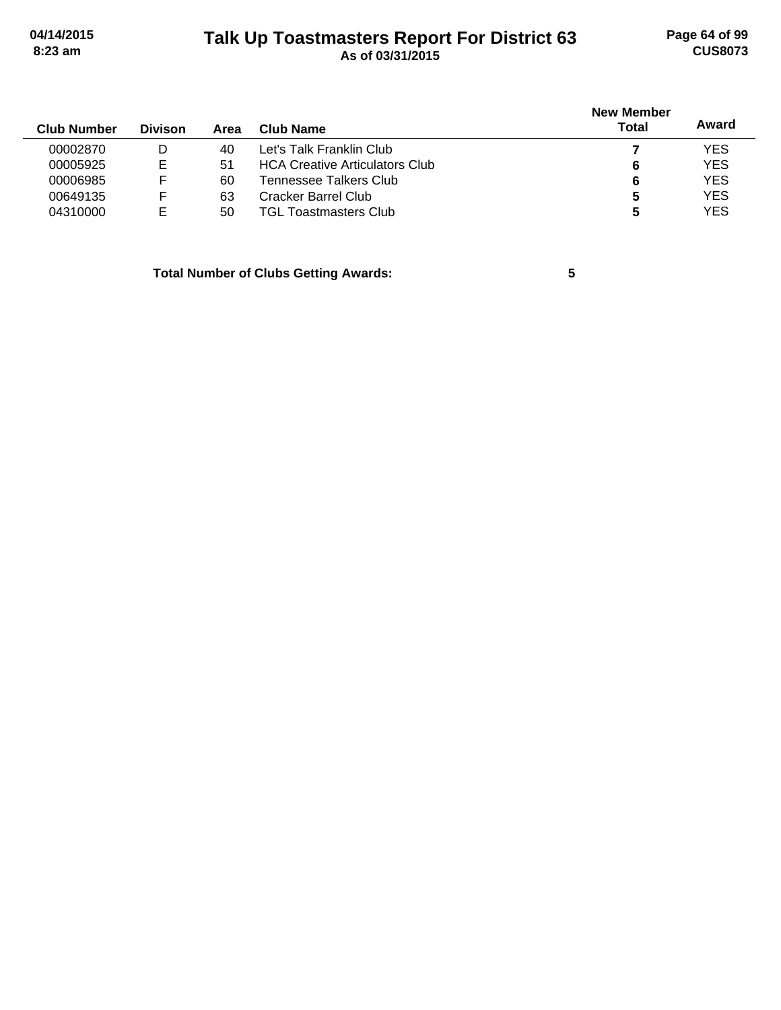# **Talk Up Toastmasters Report For District 63 04/14/2015 Page 64 of 99 8:23 am As of 03/31/2015 CUS8073**

| <b>Club Number</b> | <b>Divison</b> | Area | Club Name                             | <b>New Member</b><br>Total | Award      |
|--------------------|----------------|------|---------------------------------------|----------------------------|------------|
| 00002870           | D              | 40   | Let's Talk Franklin Club              |                            | <b>YES</b> |
| 00005925           | E              | 51   | <b>HCA Creative Articulators Club</b> | 6                          | <b>YES</b> |
| 00006985           | F              | 60   | Tennessee Talkers Club.               | 6                          | <b>YES</b> |
| 00649135           | F              | 63   | Cracker Barrel Club                   | 5                          | <b>YES</b> |
| 04310000           | E              | 50   | TGL Toastmasters Club.                | 5                          | <b>YES</b> |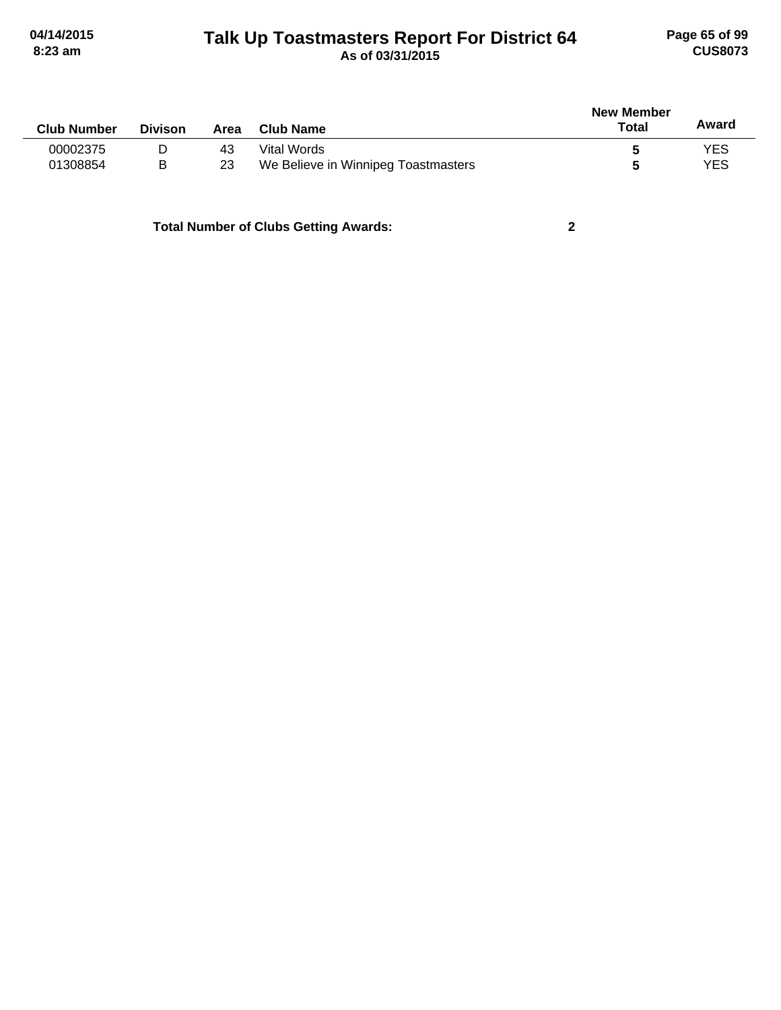# **Talk Up Toastmasters Report For District 64 04/14/2015 Page 65 of 99 8:23 am As of 03/31/2015 CUS8073**

| <b>Club Number</b> | <b>Divison</b> | Area | <b>Club Name</b>                    | New Member<br>Total | Award |
|--------------------|----------------|------|-------------------------------------|---------------------|-------|
| 00002375           | D              | 43   | Vital Words                         |                     | YES   |
| 01308854           | B              | 23   | We Believe in Winnipeg Toastmasters |                     | YES   |
|                    |                |      |                                     |                     |       |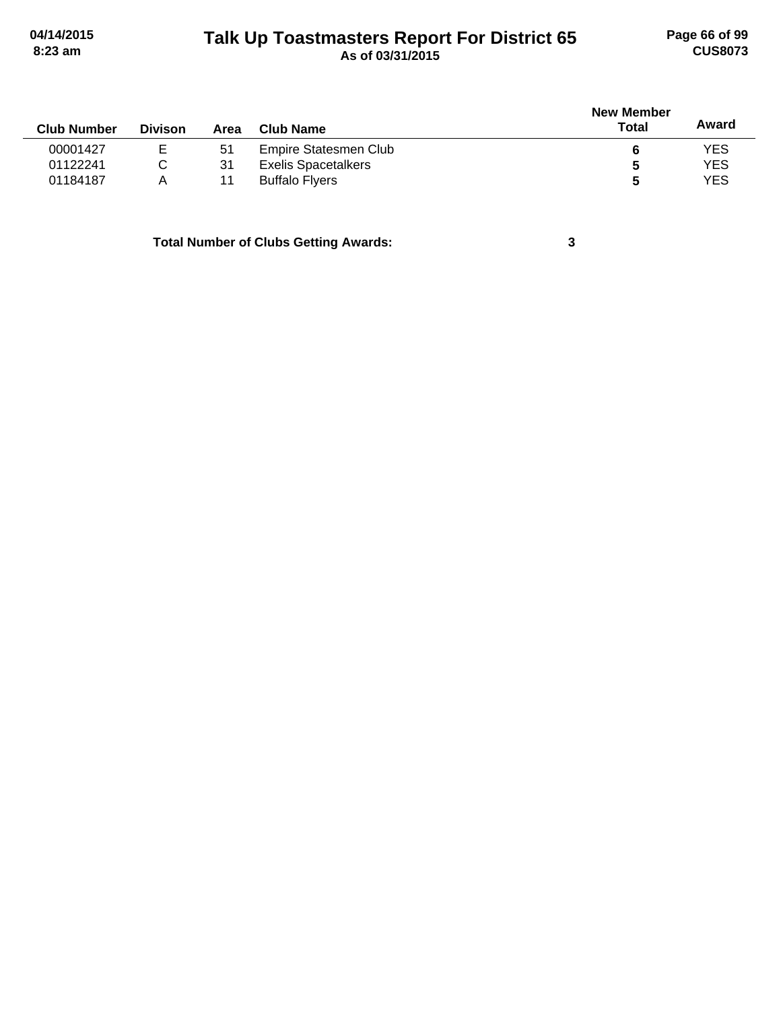# **Talk Up Toastmasters Report For District 65 04/14/2015 Page 66 of 99 8:23 am As of 03/31/2015 CUS8073**

|                    |                |      |                            | <b>New Member</b> |            |  |
|--------------------|----------------|------|----------------------------|-------------------|------------|--|
| <b>Club Number</b> | <b>Divison</b> | Area | Club Name                  | <b>Total</b>      | Award      |  |
| 00001427           | E              | 51   | Empire Statesmen Club      | 6                 | <b>YES</b> |  |
| 01122241           | С              | 31   | <b>Exelis Spacetalkers</b> | 5                 | <b>YES</b> |  |
| 01184187           | А              | 11   | <b>Buffalo Flyers</b>      | 5                 | <b>YES</b> |  |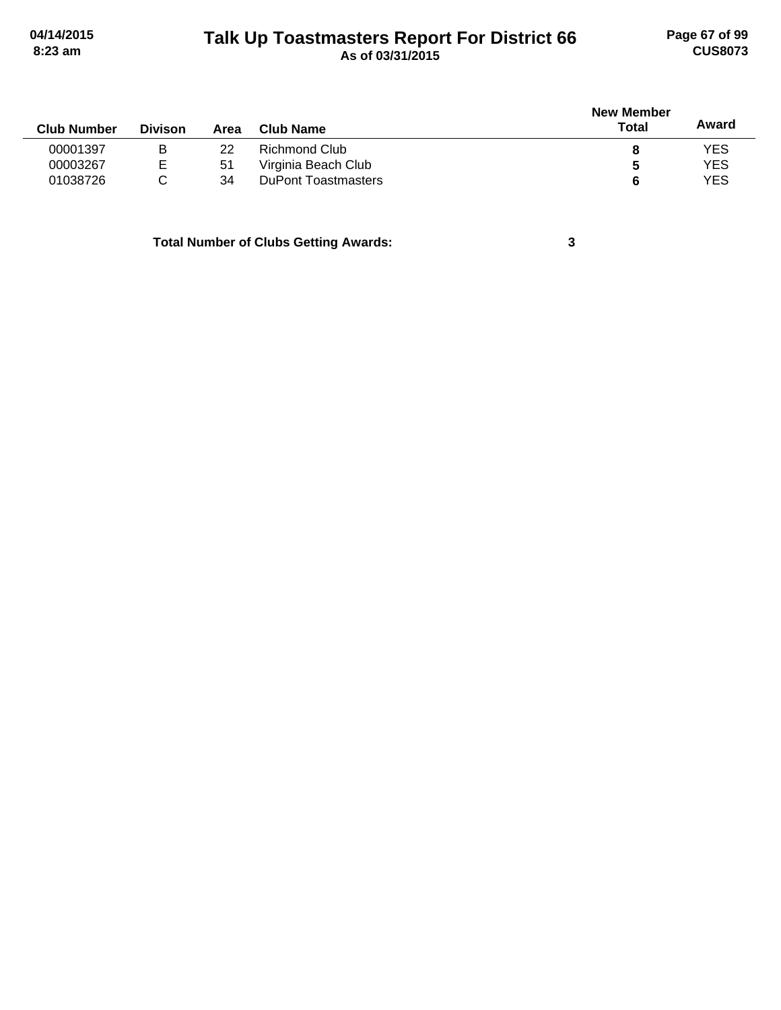# **Talk Up Toastmasters Report For District 66 04/14/2015 Page 67 of 99 8:23 am As of 03/31/2015 CUS8073**

|                    |                |      |                            | <b>New Member</b> |            |
|--------------------|----------------|------|----------------------------|-------------------|------------|
| <b>Club Number</b> | <b>Divison</b> | Area | Club Name                  | <b>Total</b>      | Award      |
| 00001397           | B              | 22   | Richmond Club              | 8                 | <b>YES</b> |
| 00003267           | E              | 51   | Virginia Beach Club        | 5                 | <b>YES</b> |
| 01038726           |                | 34   | <b>DuPont Toastmasters</b> | 6                 | <b>YES</b> |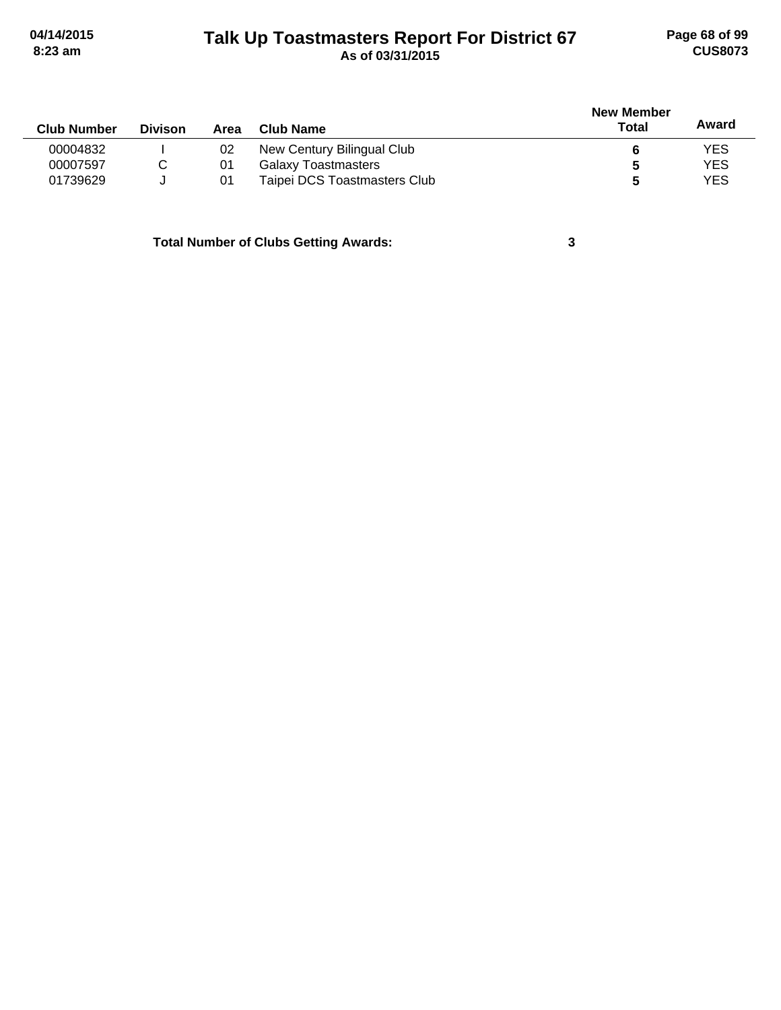# **Talk Up Toastmasters Report For District 67 04/14/2015 Page 68 of 99 8:23 am As of 03/31/2015 CUS8073**

| <b>Club Number</b> | <b>Divison</b> | Area | Club Name                    | <b>New Member</b><br>Total | Award      |
|--------------------|----------------|------|------------------------------|----------------------------|------------|
| 00004832           |                | 02   | New Century Bilingual Club   |                            | <b>YES</b> |
| 00007597           |                | 01   | <b>Galaxy Toastmasters</b>   |                            | <b>YES</b> |
| 01739629           |                | -01  | Taipei DCS Toastmasters Club |                            | <b>YES</b> |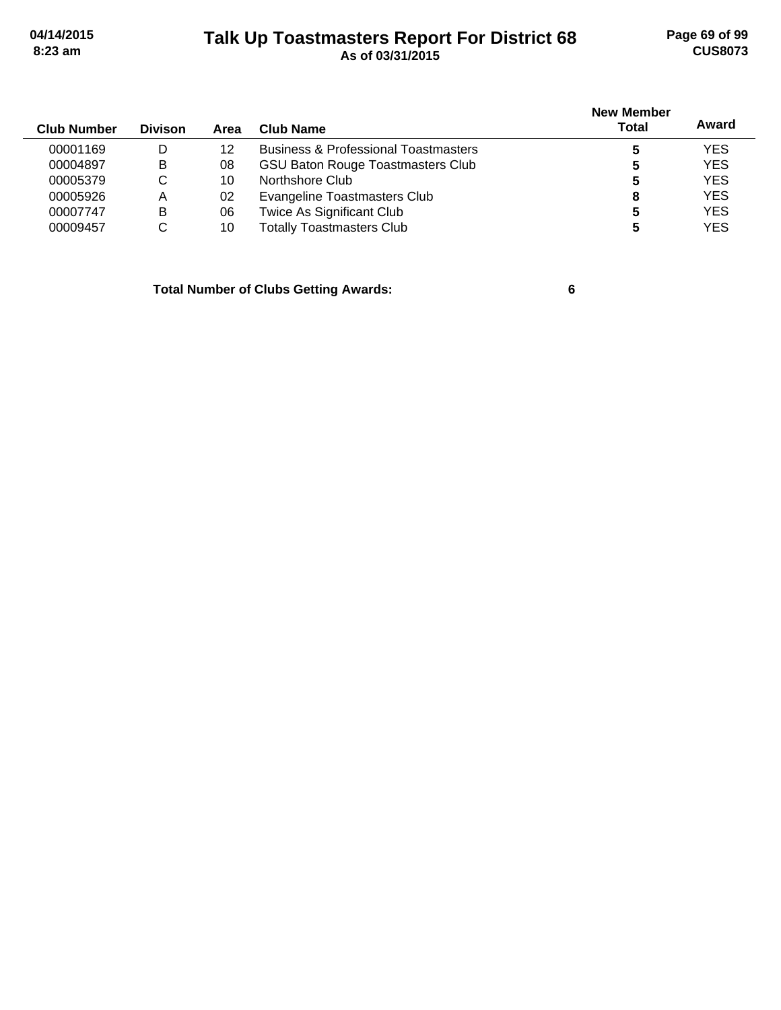# **Talk Up Toastmasters Report For District 68 04/14/2015 Page 69 of 99 8:23 am As of 03/31/2015 CUS8073**

| <b>Club Number</b> | <b>Divison</b> | Area | Club Name                                       | <b>New Member</b><br>Total | Award      |
|--------------------|----------------|------|-------------------------------------------------|----------------------------|------------|
| 00001169           | D              | 12   | <b>Business &amp; Professional Toastmasters</b> |                            | <b>YES</b> |
| 00004897           | B              | 08   | <b>GSU Baton Rouge Toastmasters Club</b>        | 5                          | <b>YES</b> |
| 00005379           | C              | 10   | Northshore Club                                 | 5                          | <b>YES</b> |
| 00005926           | A              | 02   | Evangeline Toastmasters Club                    | 8                          | <b>YES</b> |
| 00007747           | в              | 06   | Twice As Significant Club                       | 5                          | <b>YES</b> |
| 00009457           | C              | 10   | <b>Totally Toastmasters Club</b>                | 5                          | <b>YES</b> |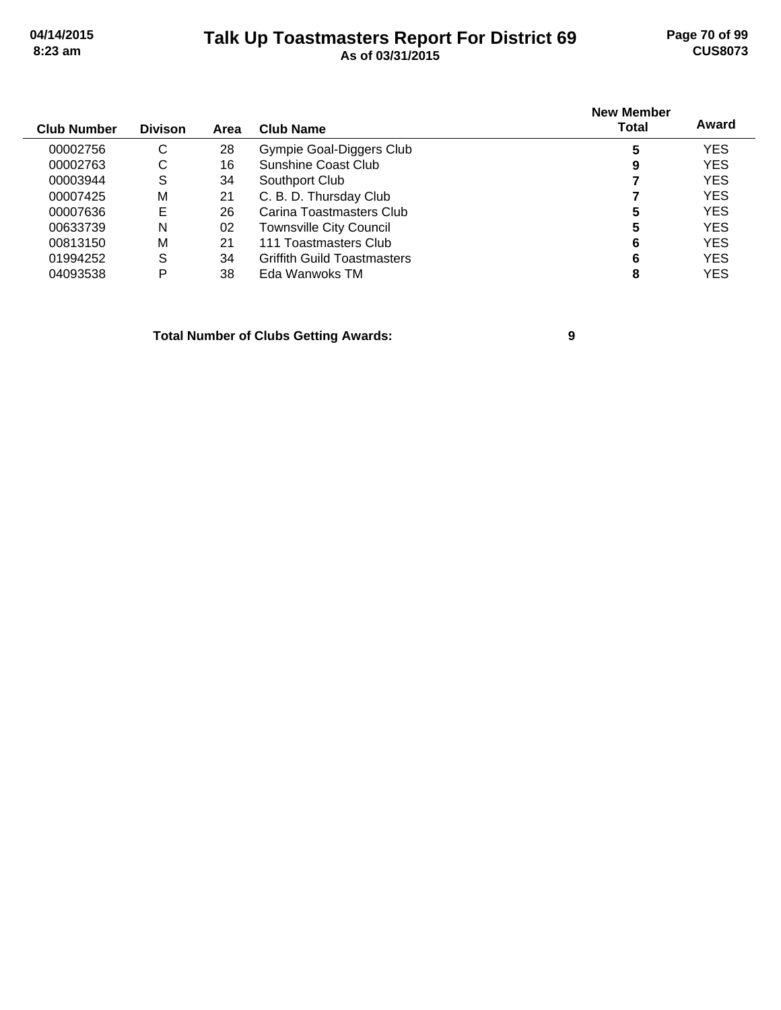### **Talk Up Toastmasters Report For District 69 04/14/2015 Page 70 of 99 8:23 am As of 03/31/2015 CUS8073**

| <b>Club Number</b> | <b>Divison</b> | Area | Club Name                          | <b>New Member</b><br><b>Total</b> | Award      |
|--------------------|----------------|------|------------------------------------|-----------------------------------|------------|
|                    |                |      |                                    |                                   |            |
| 00002756           | C              | 28   | Gympie Goal-Diggers Club           | 5                                 | <b>YES</b> |
| 00002763           | С              | 16   | Sunshine Coast Club                | 9                                 | <b>YES</b> |
| 00003944           | S              | 34   | Southport Club                     |                                   | <b>YES</b> |
| 00007425           | M              | 21   | C. B. D. Thursday Club             |                                   | <b>YES</b> |
| 00007636           | Е              | 26   | Carina Toastmasters Club           | 5                                 | <b>YES</b> |
| 00633739           | N              | 02   | <b>Townsville City Council</b>     | 5                                 | <b>YES</b> |
| 00813150           | М              | 21   | 111 Toastmasters Club              | 6                                 | <b>YES</b> |
| 01994252           | S              | 34   | <b>Griffith Guild Toastmasters</b> | 6                                 | <b>YES</b> |
| 04093538           | P              | 38   | Eda Wanwoks TM                     | 8                                 | YES        |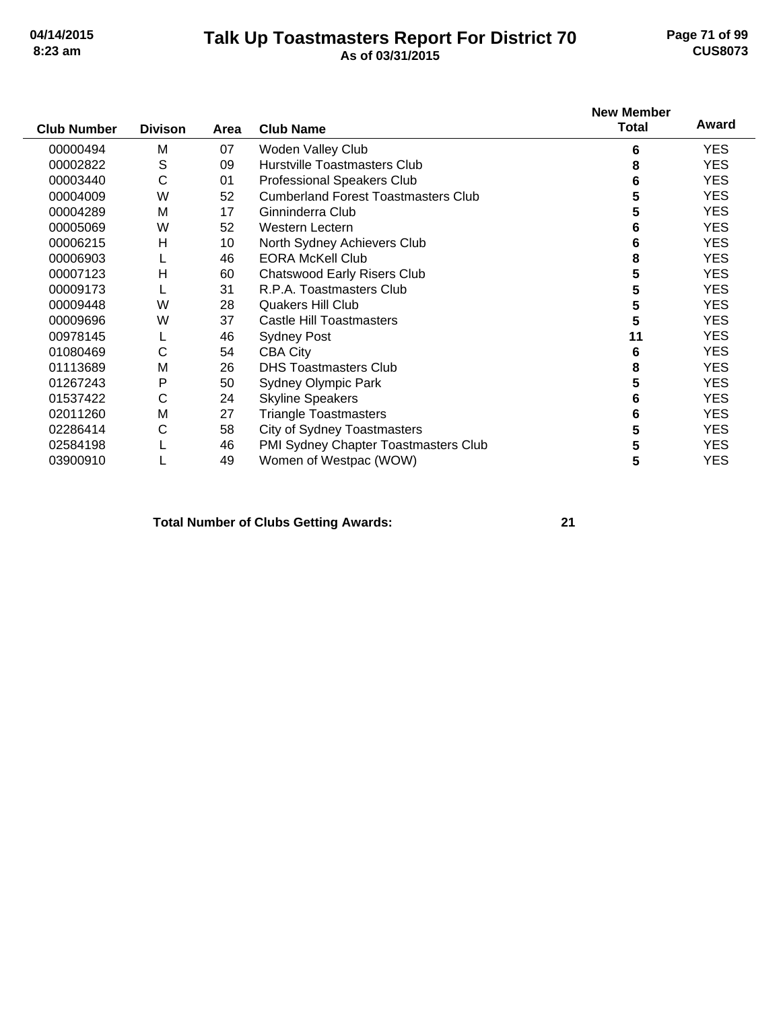### **Talk Up Toastmasters Report For District 70 04/14/2015 Page 71 of 99 8:23 am As of 03/31/2015 CUS8073**

|                    |                |      |                                            | <b>New Member</b> |            |
|--------------------|----------------|------|--------------------------------------------|-------------------|------------|
| <b>Club Number</b> | <b>Divison</b> | Area | <b>Club Name</b>                           | <b>Total</b>      | Award      |
| 00000494           | M              | 07   | Woden Valley Club                          | 6                 | YES.       |
| 00002822           | S              | 09   | Hurstville Toastmasters Club               | 8                 | <b>YES</b> |
| 00003440           | С              | 01   | <b>Professional Speakers Club</b>          | 6                 | <b>YES</b> |
| 00004009           | W              | 52   | <b>Cumberland Forest Toastmasters Club</b> | 5                 | <b>YES</b> |
| 00004289           | M              | 17   | Ginninderra Club                           | 5                 | <b>YES</b> |
| 00005069           | W              | 52   | <b>Western Lectern</b>                     | 6                 | <b>YES</b> |
| 00006215           | н              | 10   | North Sydney Achievers Club                | 6                 | <b>YES</b> |
| 00006903           |                | 46   | <b>EORA McKell Club</b>                    | 8                 | YES.       |
| 00007123           | н              | 60   | <b>Chatswood Early Risers Club</b>         | 5                 | <b>YES</b> |
| 00009173           |                | 31   | R.P.A. Toastmasters Club                   | 5                 | <b>YES</b> |
| 00009448           | W              | 28   | Quakers Hill Club                          | 5                 | <b>YES</b> |
| 00009696           | W              | 37   | <b>Castle Hill Toastmasters</b>            | 5                 | <b>YES</b> |
| 00978145           |                | 46   | <b>Sydney Post</b>                         | 11                | YES.       |
| 01080469           | C              | 54   | <b>CBA City</b>                            | 6                 | <b>YES</b> |
| 01113689           | M              | 26   | <b>DHS Toastmasters Club</b>               | 8                 | <b>YES</b> |
| 01267243           | P              | 50   | <b>Sydney Olympic Park</b>                 | 5                 | <b>YES</b> |
| 01537422           | $\mathsf C$    | 24   | <b>Skyline Speakers</b>                    | 6                 | YES.       |
| 02011260           | M              | 27   | <b>Triangle Toastmasters</b>               | 6                 | <b>YES</b> |
| 02286414           | C              | 58   | <b>City of Sydney Toastmasters</b>         | 5                 | YES.       |
| 02584198           |                | 46   | PMI Sydney Chapter Toastmasters Club       | 5                 | YES.       |
| 03900910           |                | 49   | Women of Westpac (WOW)                     | 5                 | <b>YES</b> |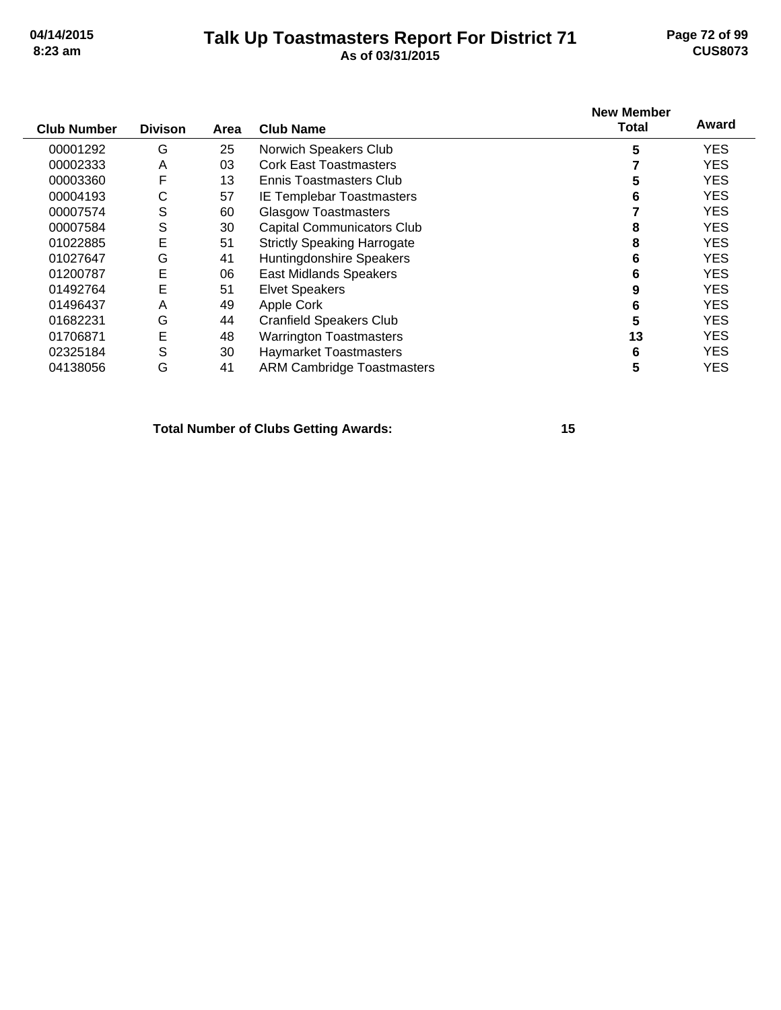### **Talk Up Toastmasters Report For District 71 04/14/2015 Page 72 of 99 8:23 am As of 03/31/2015 CUS8073**

| <b>Club Number</b> | <b>Divison</b> | Area | <b>Club Name</b>                   | <b>New Member</b><br>Total | Award      |
|--------------------|----------------|------|------------------------------------|----------------------------|------------|
| 00001292           | G              | 25   | Norwich Speakers Club              | 5                          | <b>YES</b> |
| 00002333           | A              | 03   | <b>Cork East Toastmasters</b>      |                            | <b>YES</b> |
| 00003360           | F              | 13   | Ennis Toastmasters Club            | 5                          | <b>YES</b> |
| 00004193           | С              | 57   | IE Templebar Toastmasters          | 6                          | <b>YES</b> |
| 00007574           | S              | 60   | <b>Glasgow Toastmasters</b>        |                            | <b>YES</b> |
| 00007584           | S              | 30   | <b>Capital Communicators Club</b>  | 8                          | <b>YES</b> |
| 01022885           | E              | 51   | <b>Strictly Speaking Harrogate</b> | 8                          | <b>YES</b> |
| 01027647           | G              | 41   | Huntingdonshire Speakers           | 6                          | <b>YES</b> |
| 01200787           | E              | 06   | East Midlands Speakers             | 6                          | <b>YES</b> |
| 01492764           | E              | 51   | <b>Elvet Speakers</b>              | 9                          | <b>YES</b> |
| 01496437           | A              | 49   | Apple Cork                         | 6                          | <b>YES</b> |
| 01682231           | G              | 44   | <b>Cranfield Speakers Club</b>     | 5                          | <b>YES</b> |
| 01706871           | E              | 48   | <b>Warrington Toastmasters</b>     | 13                         | <b>YES</b> |
| 02325184           | S              | 30   | <b>Haymarket Toastmasters</b>      | 6                          | <b>YES</b> |
| 04138056           | G              | 41   | <b>ARM Cambridge Toastmasters</b>  | 5                          | <b>YES</b> |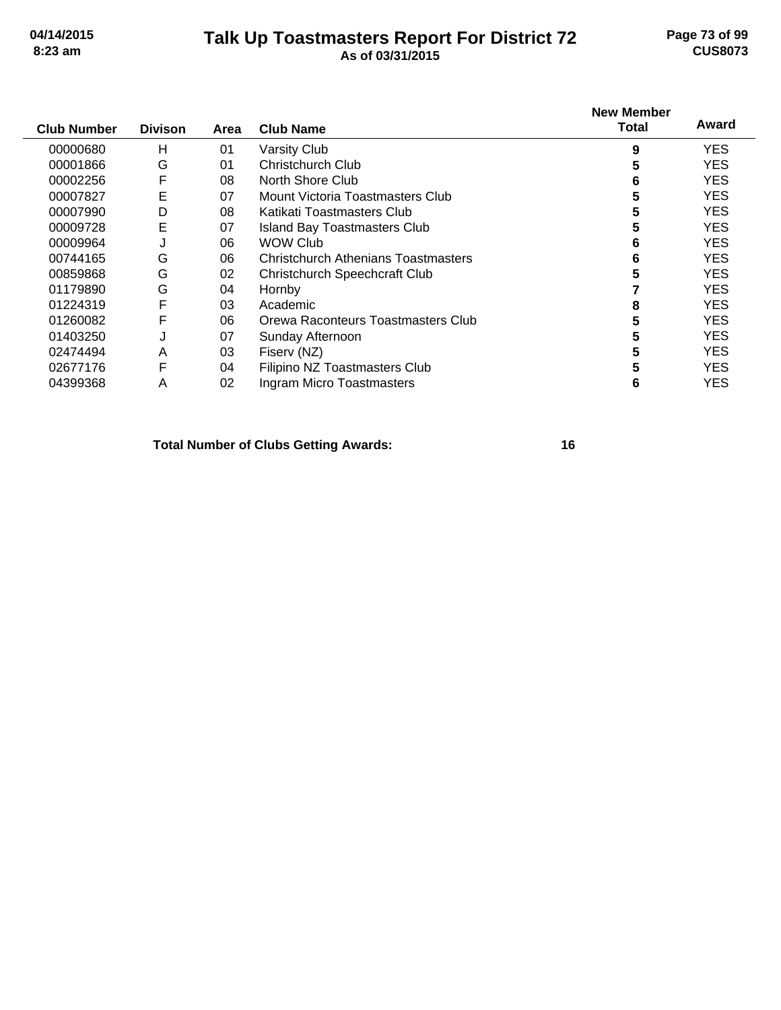## **Talk Up Toastmasters Report For District 72 04/14/2015 Page 73 of 99 8:23 am As of 03/31/2015 CUS8073**

| <b>Club Number</b> | <b>Divison</b> | Area | <b>Club Name</b>                     | <b>New Member</b><br>Total | Award      |
|--------------------|----------------|------|--------------------------------------|----------------------------|------------|
| 00000680           | н              | 01   | Varsity Club                         | 9                          | YES.       |
| 00001866           | G              | 01   | Christchurch Club                    | 5                          | YES.       |
| 00002256           | F              | 08   | North Shore Club                     | 6                          | YES.       |
| 00007827           | E              | 07   | Mount Victoria Toastmasters Club     | 5                          | <b>YES</b> |
| 00007990           | D              | 08   | Katikati Toastmasters Club           | 5                          | <b>YES</b> |
| 00009728           | E              | 07   | Island Bay Toastmasters Club         | 5                          | <b>YES</b> |
| 00009964           | J              | 06   | <b>WOW Club</b>                      | 6                          | YES.       |
| 00744165           | G              | 06   | Christchurch Athenians Toastmasters  | 6                          | YES.       |
| 00859868           | G              | 02   | <b>Christchurch Speechcraft Club</b> | 5                          | YES.       |
| 01179890           | G              | 04   | Hornby                               |                            | YES.       |
| 01224319           | F              | 03   | Academic                             | 8                          | <b>YES</b> |
| 01260082           | F              | 06   | Orewa Raconteurs Toastmasters Club   | 5                          | <b>YES</b> |
| 01403250           | J              | 07   | Sunday Afternoon                     | 5                          | <b>YES</b> |
| 02474494           | A              | 03   | Fiserv (NZ)                          | 5                          | YES.       |
| 02677176           | F              | 04   | Filipino NZ Toastmasters Club        | 5                          | YES.       |
| 04399368           | A              | 02   | Ingram Micro Toastmasters            | 6                          | YES        |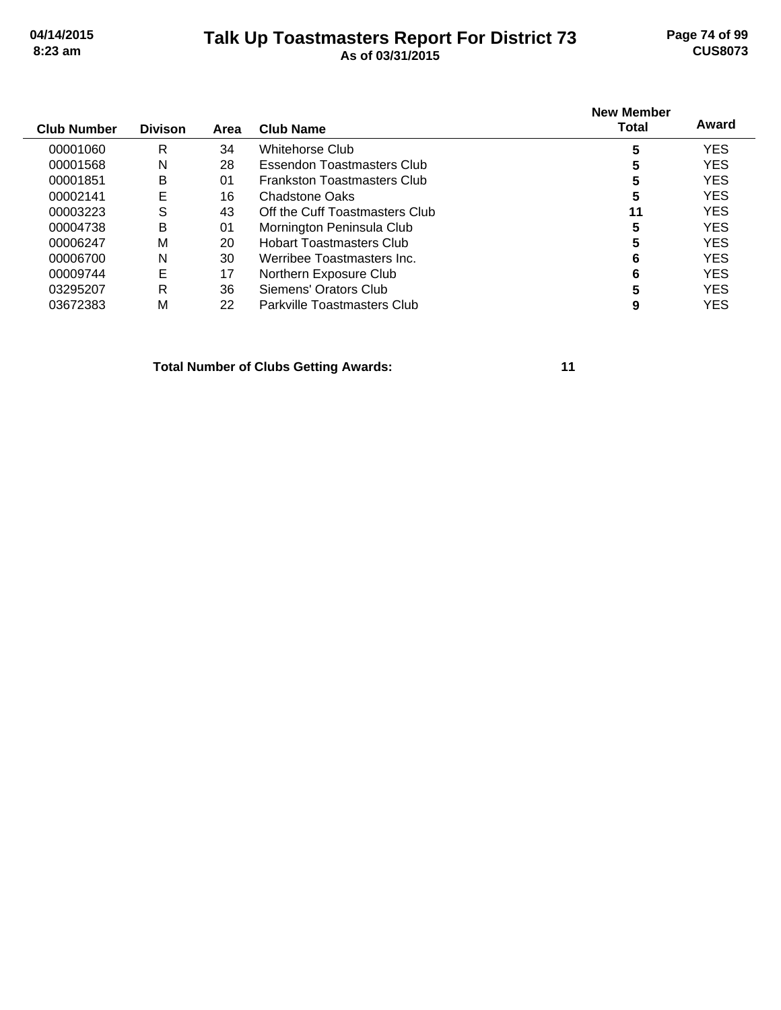## **Talk Up Toastmasters Report For District 73 04/14/2015 Page 74 of 99 8:23 am As of 03/31/2015 CUS8073**

| <b>Club Number</b> | <b>Divison</b> | Area | <b>Club Name</b>                   | <b>New Member</b><br><b>Total</b> | Award      |
|--------------------|----------------|------|------------------------------------|-----------------------------------|------------|
| 00001060           | R              | 34   | Whitehorse Club                    | 5                                 | <b>YES</b> |
| 00001568           | N              | 28   | Essendon Toastmasters Club         | 5                                 | <b>YES</b> |
| 00001851           | B              | 01   | <b>Frankston Toastmasters Club</b> | 5                                 | <b>YES</b> |
| 00002141           | Е              | 16   | <b>Chadstone Oaks</b>              | 5                                 | <b>YES</b> |
| 00003223           | S              | 43   | Off the Cuff Toastmasters Club     | 11                                | <b>YES</b> |
| 00004738           | B              | 01   | Mornington Peninsula Club          | 5                                 | <b>YES</b> |
| 00006247           | М              | 20   | <b>Hobart Toastmasters Club</b>    | 5                                 | <b>YES</b> |
| 00006700           | N              | 30   | Werribee Toastmasters Inc.         | 6                                 | <b>YES</b> |
| 00009744           | E              | 17   | Northern Exposure Club             | 6                                 | <b>YES</b> |
| 03295207           | R              | 36   | Siemens' Orators Club              | 5                                 | <b>YES</b> |
| 03672383           | M              | 22   | Parkville Toastmasters Club        | 9                                 | YES        |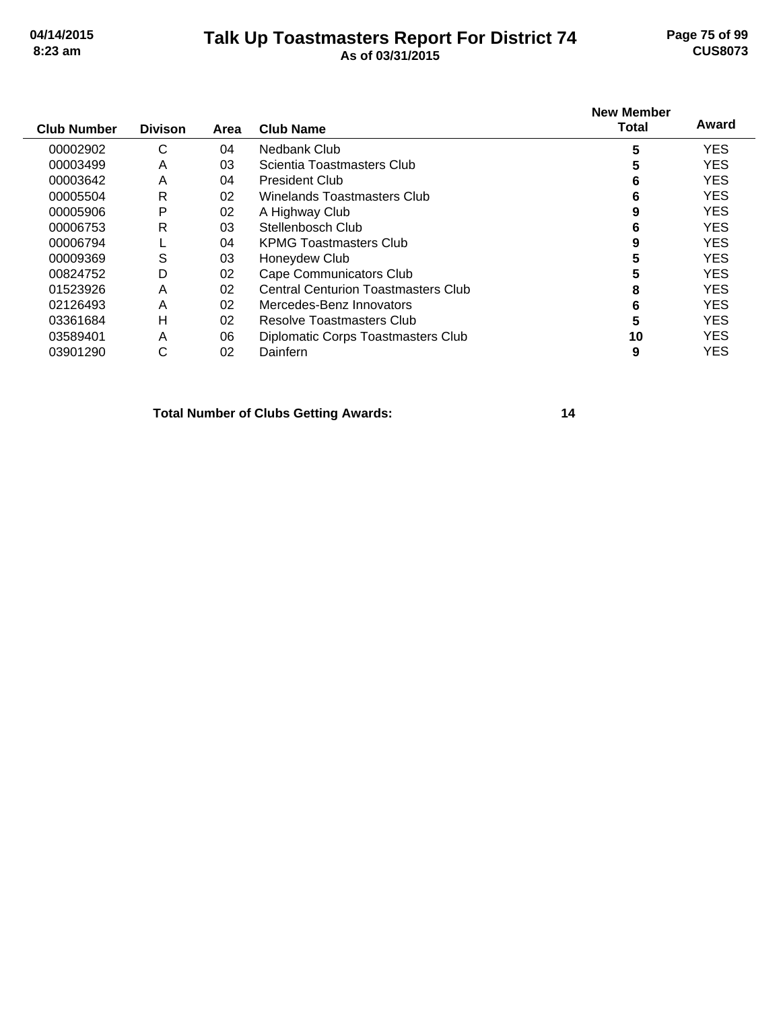## **Talk Up Toastmasters Report For District 74 04/14/2015 Page 75 of 99 8:23 am As of 03/31/2015 CUS8073**

| <b>Club Number</b> | <b>Divison</b> | Area | Club Name                                  | <b>New Member</b><br><b>Total</b> | Award      |
|--------------------|----------------|------|--------------------------------------------|-----------------------------------|------------|
| 00002902           | С              | 04   | Nedbank Club                               | 5                                 | <b>YES</b> |
| 00003499           | A              | 03   | Scientia Toastmasters Club                 | 5                                 | <b>YES</b> |
| 00003642           | A              | 04   | <b>President Club</b>                      | 6                                 | <b>YES</b> |
| 00005504           | R              | 02   | Winelands Toastmasters Club                | 6                                 | <b>YES</b> |
| 00005906           | P              | 02   | A Highway Club                             | 9                                 | <b>YES</b> |
| 00006753           | R              | 03   | Stellenbosch Club                          | 6                                 | <b>YES</b> |
| 00006794           |                | 04   | <b>KPMG Toastmasters Club</b>              | 9                                 | <b>YES</b> |
| 00009369           | S              | 03   | Honeydew Club                              | 5                                 | <b>YES</b> |
| 00824752           | D              | 02   | Cape Communicators Club                    | 5                                 | <b>YES</b> |
| 01523926           | A              | 02   | <b>Central Centurion Toastmasters Club</b> | 8                                 | <b>YES</b> |
| 02126493           | A              | 02   | Mercedes-Benz Innovators                   | 6                                 | <b>YES</b> |
| 03361684           | н              | 02   | Resolve Toastmasters Club                  | 5                                 | <b>YES</b> |
| 03589401           | A              | 06   | Diplomatic Corps Toastmasters Club         | 10                                | <b>YES</b> |
| 03901290           | С              | 02   | Dainfern                                   | 9                                 | <b>YES</b> |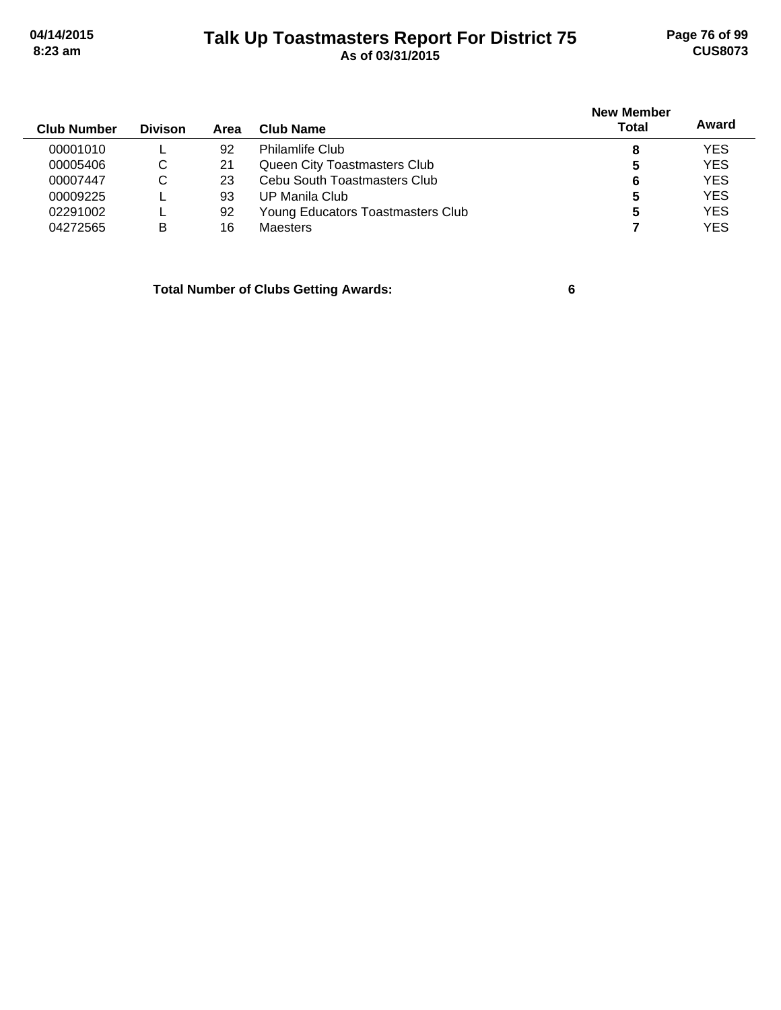# **Talk Up Toastmasters Report For District 75 04/14/2015 Page 76 of 99 8:23 am As of 03/31/2015 CUS8073**

| <b>Club Number</b> | <b>Divison</b> | Area | Club Name                         | <b>New Member</b><br><b>Total</b> | Award      |
|--------------------|----------------|------|-----------------------------------|-----------------------------------|------------|
| 00001010           |                | 92   | <b>Philamlife Club</b>            | 8                                 | <b>YES</b> |
| 00005406           | C              | 21   | Queen City Toastmasters Club      | 5                                 | <b>YES</b> |
| 00007447           | C              | 23   | Cebu South Toastmasters Club      | 6                                 | <b>YES</b> |
| 00009225           |                | 93   | UP Manila Club                    | 5                                 | <b>YES</b> |
| 02291002           |                | 92   | Young Educators Toastmasters Club | 5                                 | <b>YES</b> |
| 04272565           | в              | 16   | <b>Maesters</b>                   |                                   | <b>YES</b> |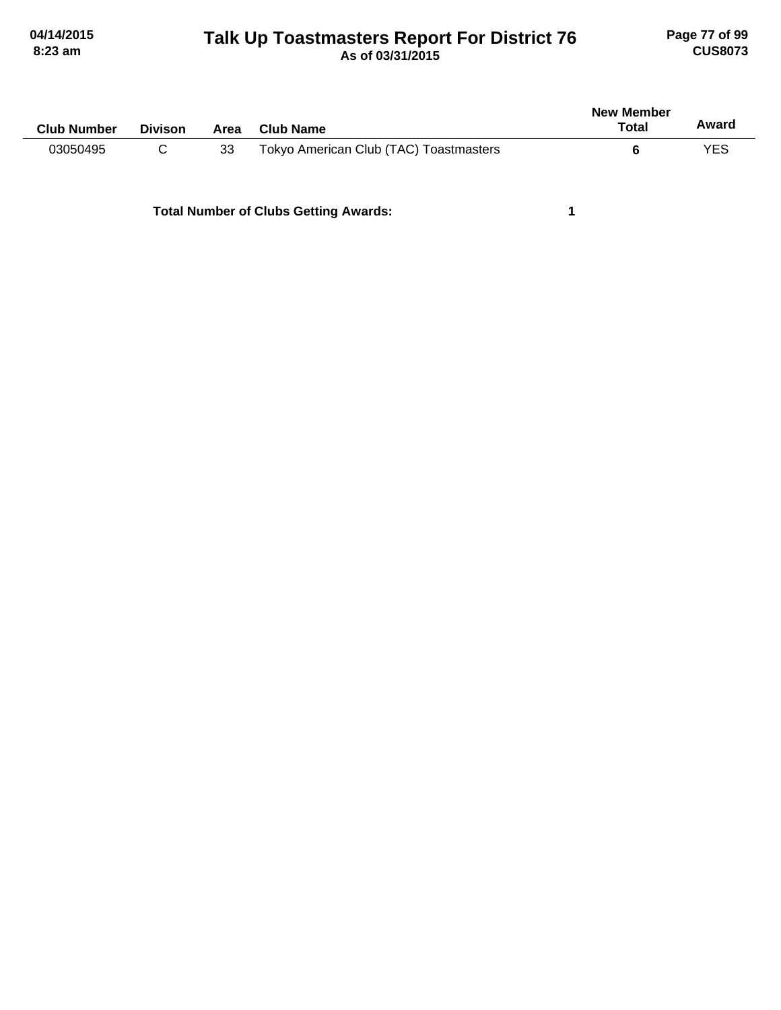# **Talk Up Toastmasters Report For District 76 04/14/2015 Page 77 of 99 8:23 am As of 03/31/2015 CUS8073**

| <b>Club Number</b> | <b>Divison</b> | Area | <b>Club Name</b>                       | <b>New Member</b><br>Total | Award |
|--------------------|----------------|------|----------------------------------------|----------------------------|-------|
| 03050495           |                | 33   | Tokyo American Club (TAC) Toastmasters |                            | YES   |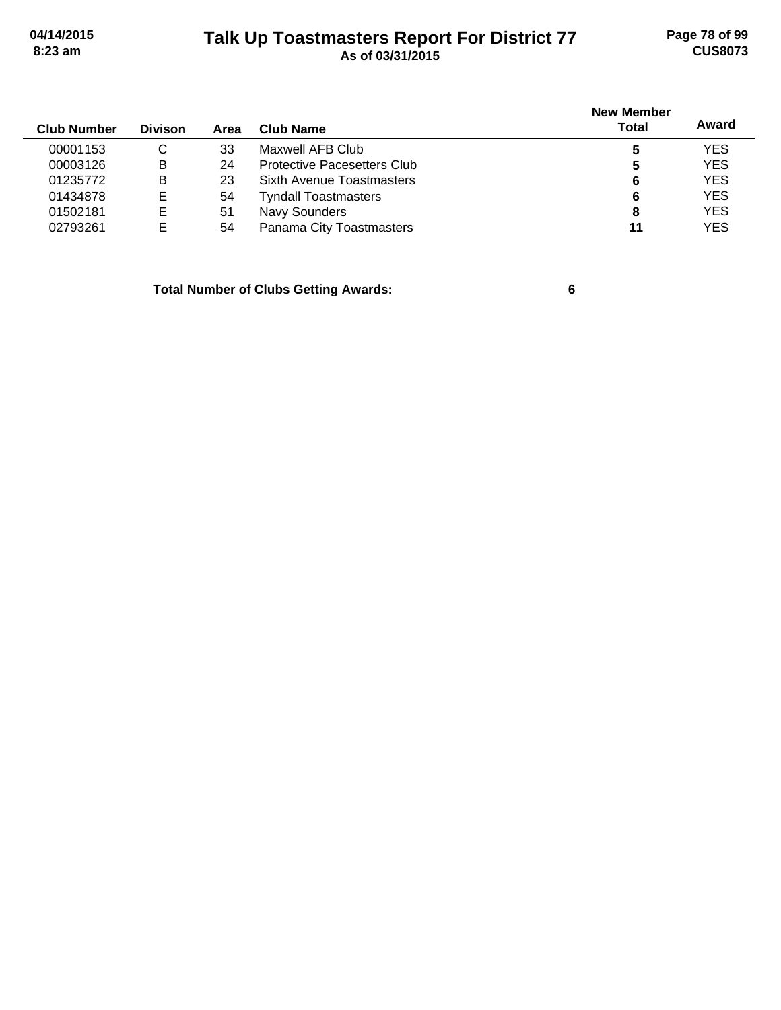# **Talk Up Toastmasters Report For District 77 04/14/2015 Page 78 of 99 8:23 am As of 03/31/2015 CUS8073**

|                |      |                                    | <b>New Member</b> |            |
|----------------|------|------------------------------------|-------------------|------------|
| <b>Divison</b> | Area | Club Name                          | Total             | Award      |
| C              | 33   | Maxwell AFB Club                   | 5                 | <b>YES</b> |
| B              | 24   | <b>Protective Pacesetters Club</b> | 5                 | <b>YES</b> |
| B              | 23   | Sixth Avenue Toastmasters          | 6                 | <b>YES</b> |
| E              | 54   | <b>Tyndall Toastmasters</b>        | 6                 | <b>YES</b> |
| E              | 51   | Navy Sounders                      | 8                 | <b>YES</b> |
| E              | 54   | Panama City Toastmasters           | 11                | <b>YES</b> |
|                |      |                                    |                   |            |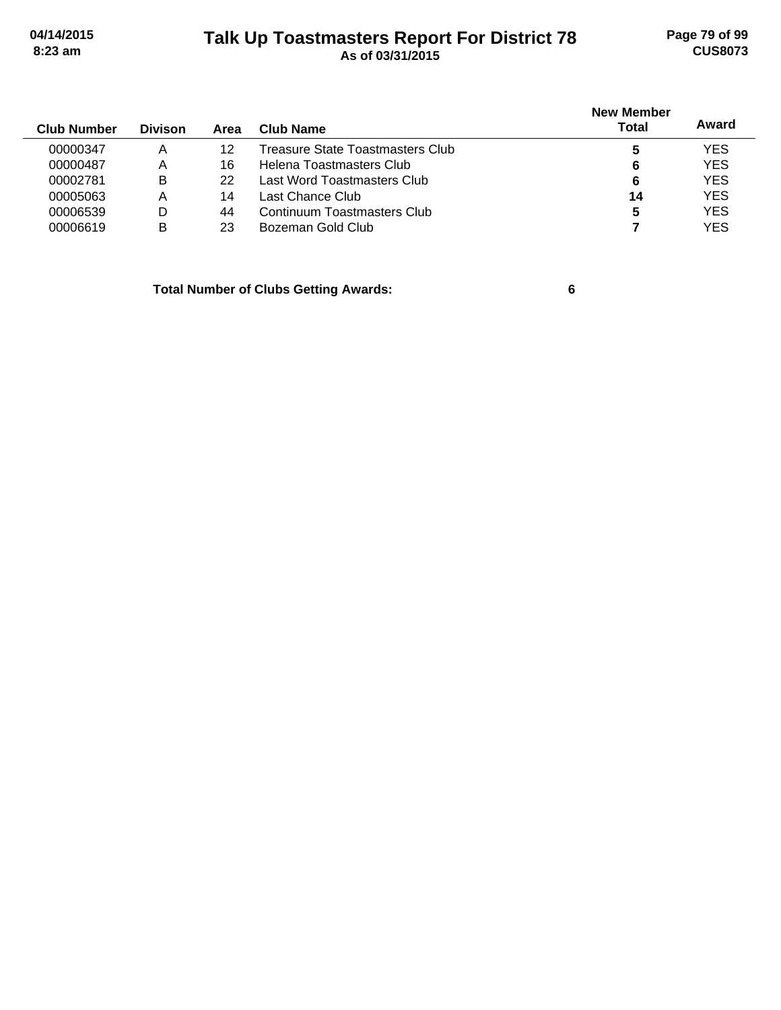# **Talk Up Toastmasters Report For District 78 04/14/2015 Page 79 of 99 8:23 am As of 03/31/2015 CUS8073**

| <b>Club Number</b> | <b>Divison</b> | Area | Club Name                        | <b>New Member</b><br><b>Total</b> | Award      |
|--------------------|----------------|------|----------------------------------|-----------------------------------|------------|
| 00000347           | Α              | 12   | Treasure State Toastmasters Club |                                   | <b>YES</b> |
| 00000487           | Α              | 16   | Helena Toastmasters Club         | 6                                 | <b>YES</b> |
| 00002781           | B              | 22   | Last Word Toastmasters Club      | 6                                 | <b>YES</b> |
| 00005063           | Α              | 14   | Last Chance Club                 | 14                                | <b>YES</b> |
| 00006539           | D              | 44   | Continuum Toastmasters Club      | 5                                 | <b>YES</b> |
| 00006619           | в              | 23   | Bozeman Gold Club                |                                   | <b>YES</b> |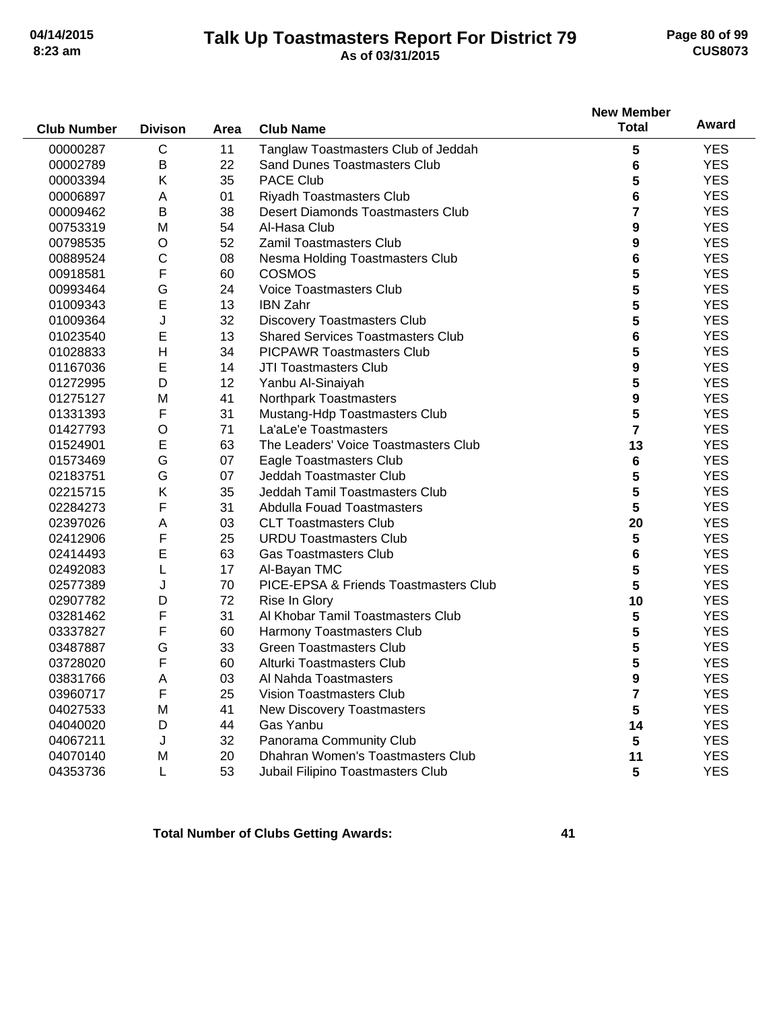## **Talk Up Toastmasters Report For District 79 04/14/2015 Page 80 of 99 8:23 am As of 03/31/2015 CUS8073**

|                    |                |      |                                          | <b>New Member</b> |            |
|--------------------|----------------|------|------------------------------------------|-------------------|------------|
| <b>Club Number</b> | <b>Divison</b> | Area | <b>Club Name</b>                         | <b>Total</b>      | Award      |
| 00000287           | C              | 11   | Tanglaw Toastmasters Club of Jeddah      | 5                 | <b>YES</b> |
| 00002789           | B              | 22   | <b>Sand Dunes Toastmasters Club</b>      | 6                 | <b>YES</b> |
| 00003394           | Κ              | 35   | <b>PACE Club</b>                         | 5                 | <b>YES</b> |
| 00006897           | Α              | 01   | Riyadh Toastmasters Club                 | 6                 | <b>YES</b> |
| 00009462           | B              | 38   | <b>Desert Diamonds Toastmasters Club</b> | 7                 | <b>YES</b> |
| 00753319           | M              | 54   | Al-Hasa Club                             | 9                 | <b>YES</b> |
| 00798535           | O              | 52   | <b>Zamil Toastmasters Club</b>           | 9                 | <b>YES</b> |
| 00889524           | С              | 08   | Nesma Holding Toastmasters Club          | 6                 | <b>YES</b> |
| 00918581           | F              | 60   | <b>COSMOS</b>                            | 5                 | <b>YES</b> |
| 00993464           | G              | 24   | <b>Voice Toastmasters Club</b>           | 5                 | <b>YES</b> |
| 01009343           | E              | 13   | <b>IBN Zahr</b>                          | 5                 | <b>YES</b> |
| 01009364           | J              | 32   | <b>Discovery Toastmasters Club</b>       | 5                 | <b>YES</b> |
| 01023540           | E              | 13   | <b>Shared Services Toastmasters Club</b> | 6                 | <b>YES</b> |
| 01028833           | $\mathsf{H}$   | 34   | <b>PICPAWR Toastmasters Club</b>         | 5                 | <b>YES</b> |
| 01167036           | E              | 14   | <b>JTI Toastmasters Club</b>             | 9                 | <b>YES</b> |
| 01272995           | D              | 12   | Yanbu Al-Sinaiyah                        | 5                 | <b>YES</b> |
| 01275127           | M              | 41   | Northpark Toastmasters                   | 9                 | <b>YES</b> |
| 01331393           | F              | 31   | Mustang-Hdp Toastmasters Club            | 5                 | <b>YES</b> |
| 01427793           | $\circ$        | 71   | La'aLe'e Toastmasters                    | $\overline{7}$    | <b>YES</b> |
| 01524901           | E              | 63   | The Leaders' Voice Toastmasters Club     | 13                | <b>YES</b> |
| 01573469           | G              | 07   | Eagle Toastmasters Club                  | 6                 | <b>YES</b> |
| 02183751           | G              | 07   | Jeddah Toastmaster Club                  | 5                 | <b>YES</b> |
| 02215715           | Κ              | 35   | Jeddah Tamil Toastmasters Club           | 5                 | <b>YES</b> |
| 02284273           | F              | 31   | <b>Abdulla Fouad Toastmasters</b>        | 5                 | <b>YES</b> |
| 02397026           | Α              | 03   | <b>CLT Toastmasters Club</b>             | 20                | <b>YES</b> |
| 02412906           | F              | 25   | <b>URDU Toastmasters Club</b>            | 5                 | <b>YES</b> |
| 02414493           | E              | 63   | <b>Gas Toastmasters Club</b>             | 6                 | <b>YES</b> |
| 02492083           | L              | 17   | Al-Bayan TMC                             | 5                 | <b>YES</b> |
| 02577389           | J              | 70   | PICE-EPSA & Friends Toastmasters Club    | 5                 | <b>YES</b> |
| 02907782           | D              | 72   | Rise In Glory                            | 10                | <b>YES</b> |
| 03281462           | F              | 31   | Al Khobar Tamil Toastmasters Club        | 5                 | <b>YES</b> |
| 03337827           | F              | 60   | Harmony Toastmasters Club                | 5                 | <b>YES</b> |
| 03487887           | G              | 33   | <b>Green Toastmasters Club</b>           | 5                 | <b>YES</b> |
| 03728020           | F              | 60   | Alturki Toastmasters Club                | 5                 | <b>YES</b> |
| 03831766           | Δ              | 03   | Al Nahda Toastmasters                    | 9                 | <b>YES</b> |
| 03960717           | F              | 25   | <b>Vision Toastmasters Club</b>          | 7                 | <b>YES</b> |
| 04027533           | M              | 41   | New Discovery Toastmasters               | 5                 | <b>YES</b> |
| 04040020           | D              | 44   | Gas Yanbu                                | 14                | <b>YES</b> |
| 04067211           | J              | 32   | Panorama Community Club                  | 5                 | <b>YES</b> |
| 04070140           | M              | 20   | Dhahran Women's Toastmasters Club        | 11                | <b>YES</b> |
| 04353736           | L              | 53   | Jubail Filipino Toastmasters Club        | 5                 | <b>YES</b> |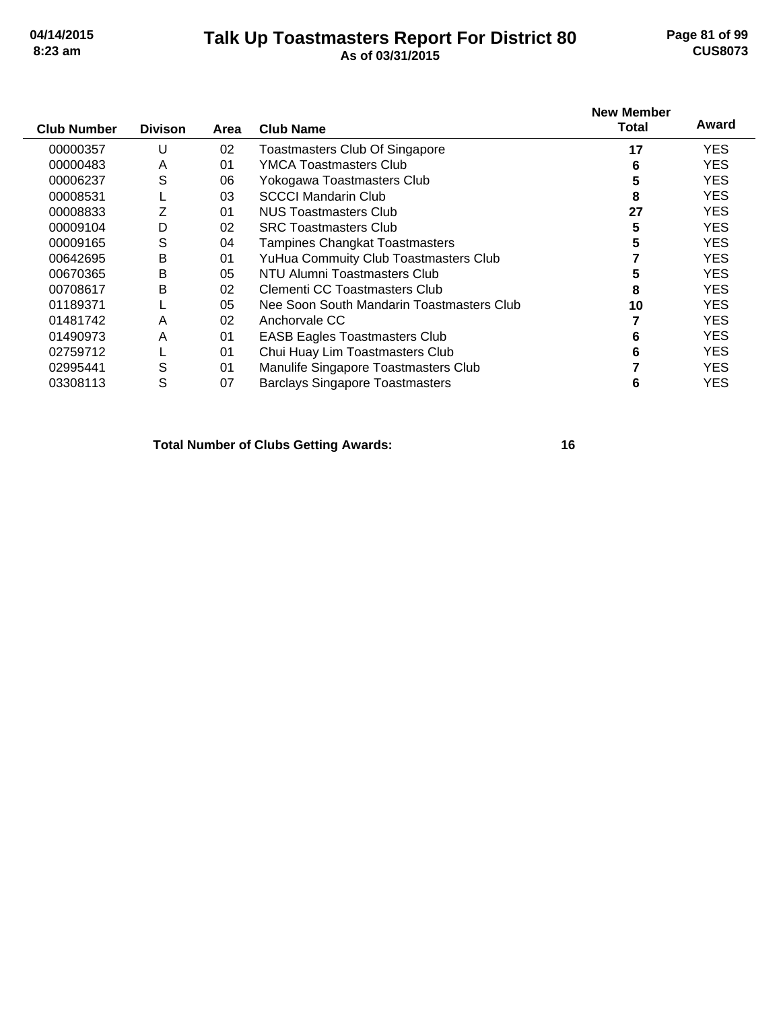## **Talk Up Toastmasters Report For District 80 04/14/2015 Page 81 of 99 8:23 am As of 03/31/2015 CUS8073**

| <b>Club Number</b> | <b>Divison</b> | Area | <b>Club Name</b>                          | <b>New Member</b><br>Total | Award      |
|--------------------|----------------|------|-------------------------------------------|----------------------------|------------|
| 00000357           |                | 02   | Toastmasters Club Of Singapore            | 17                         | <b>YES</b> |
| 00000483           | A              | 01   | YMCA Toastmasters Club                    | 6                          | YES.       |
| 00006237           | S              | 06   | Yokogawa Toastmasters Club                | 5                          | YES.       |
| 00008531           |                | 03   | <b>SCCCI Mandarin Club</b>                | 8                          | YES.       |
| 00008833           |                | 01   | NUS Toastmasters Club                     | 27                         | YES.       |
| 00009104           | D              | 02   | <b>SRC Toastmasters Club</b>              | 5                          | <b>YES</b> |
| 00009165           | S              | 04   | <b>Tampines Changkat Toastmasters</b>     | 5                          | YES.       |
| 00642695           | B              | 01   | YuHua Commuity Club Toastmasters Club     |                            | YES.       |
| 00670365           | B              | 05   | NTU Alumni Toastmasters Club              |                            | <b>YES</b> |
| 00708617           | B              | 02   | <b>Clementi CC Toastmasters Club</b>      | 8                          | YES.       |
| 01189371           |                | 05   | Nee Soon South Mandarin Toastmasters Club | 10                         | YES.       |
| 01481742           | A              | 02   | Anchorvale CC                             |                            | YES.       |
| 01490973           | A              | 01   | <b>EASB Eagles Toastmasters Club</b>      | 6                          | YES.       |
| 02759712           |                | 01   | Chui Huay Lim Toastmasters Club           | 6                          | YES.       |
| 02995441           | S              | 01   | Manulife Singapore Toastmasters Club      |                            | <b>YES</b> |
| 03308113           | S              | 07   | <b>Barclays Singapore Toastmasters</b>    | 6                          | <b>YES</b> |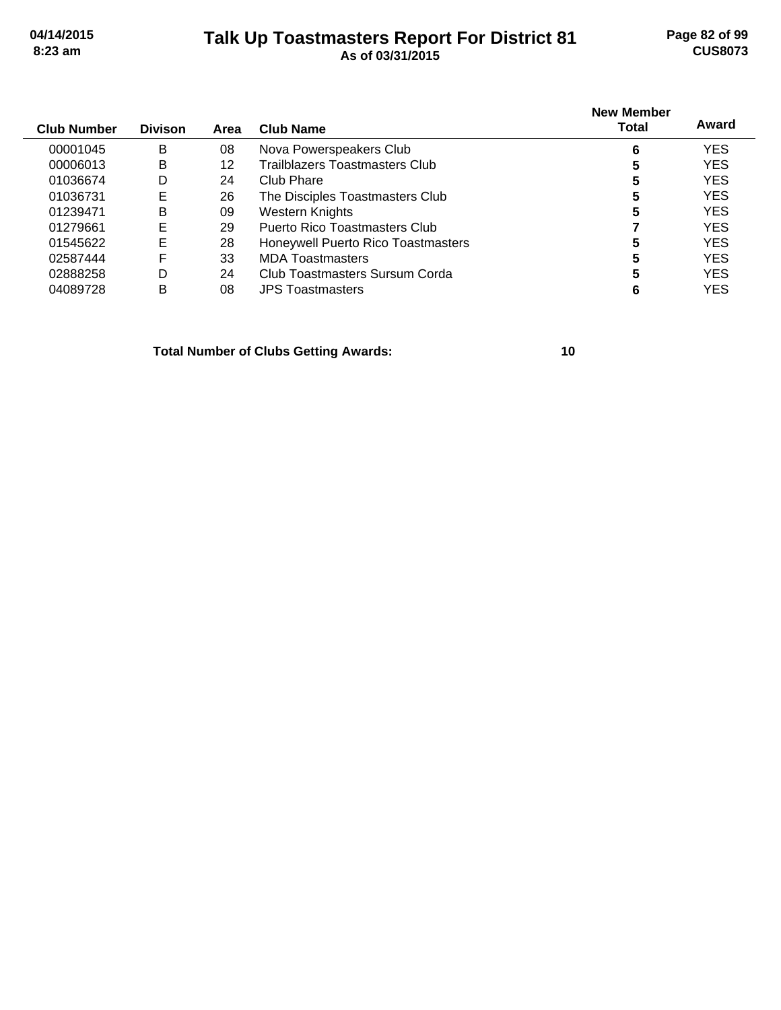## **Talk Up Toastmasters Report For District 81 04/14/2015 Page 82 of 99 8:23 am As of 03/31/2015 CUS8073**

| <b>Club Number</b> | <b>Divison</b> | Area | Club Name                          | <b>New Member</b><br>Total | Award      |
|--------------------|----------------|------|------------------------------------|----------------------------|------------|
| 00001045           | B              | 08   | Nova Powerspeakers Club            | 6                          | <b>YES</b> |
| 00006013           | B              | 12   | Trailblazers Toastmasters Club     | 5                          | <b>YES</b> |
| 01036674           | D              | 24   | Club Phare                         | 5                          | <b>YES</b> |
| 01036731           | Е              | 26   | The Disciples Toastmasters Club    | 5                          | <b>YES</b> |
| 01239471           | B              | 09   | Western Knights                    | 5                          | <b>YES</b> |
| 01279661           | Е              | 29   | Puerto Rico Toastmasters Club      |                            | <b>YES</b> |
| 01545622           | Е              | 28   | Honeywell Puerto Rico Toastmasters |                            | <b>YES</b> |
| 02587444           | F              | 33   | <b>MDA Toastmasters</b>            |                            | <b>YES</b> |
| 02888258           | D              | 24   | Club Toastmasters Sursum Corda     |                            | <b>YES</b> |
| 04089728           | в              | 08   | <b>JPS Toastmasters</b>            | 6                          | YES        |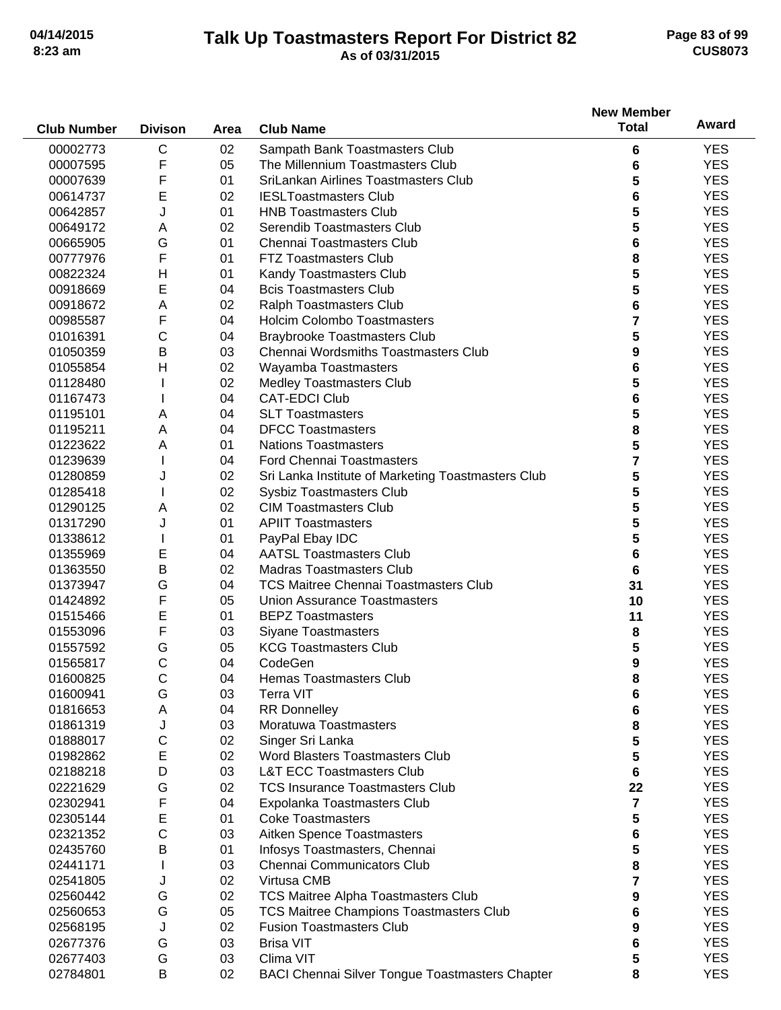## **Talk Up Toastmasters Report For District 82 04/14/2015 Page 83 of 99 8:23 am As of 03/31/2015 CUS8073**

|                    |                |      |                                                                    | <b>New Member</b> |            |
|--------------------|----------------|------|--------------------------------------------------------------------|-------------------|------------|
| <b>Club Number</b> | <b>Divison</b> | Area | <b>Club Name</b>                                                   | <b>Total</b>      | Award      |
| 00002773           | C              | 02   |                                                                    |                   | <b>YES</b> |
| 00007595           | F              | 05   | Sampath Bank Toastmasters Club<br>The Millennium Toastmasters Club | 6                 | <b>YES</b> |
|                    |                |      | SriLankan Airlines Toastmasters Club                               | 6                 |            |
| 00007639           | F              | 01   |                                                                    | 5                 | <b>YES</b> |
| 00614737           | E              | 02   | <b>IESLToastmasters Club</b>                                       | 6                 | <b>YES</b> |
| 00642857           | J              | 01   | <b>HNB Toastmasters Club</b>                                       | 5                 | <b>YES</b> |
| 00649172           | Α              | 02   | Serendib Toastmasters Club                                         | 5                 | <b>YES</b> |
| 00665905           | G              | 01   | Chennai Toastmasters Club                                          | 6                 | <b>YES</b> |
| 00777976           | F              | 01   | <b>FTZ Toastmasters Club</b>                                       | 8                 | <b>YES</b> |
| 00822324           | Н              | 01   | Kandy Toastmasters Club                                            | 5                 | <b>YES</b> |
| 00918669           | E              | 04   | <b>Bcis Toastmasters Club</b>                                      | 5                 | <b>YES</b> |
| 00918672           | Α              | 02   | Ralph Toastmasters Club                                            | 6                 | <b>YES</b> |
| 00985587           | F              | 04   | <b>Holcim Colombo Toastmasters</b>                                 | 7                 | <b>YES</b> |
| 01016391           | С              | 04   | <b>Braybrooke Toastmasters Club</b>                                | 5                 | <b>YES</b> |
| 01050359           | B              | 03   | <b>Chennai Wordsmiths Toastmasters Club</b>                        | 9                 | <b>YES</b> |
| 01055854           | $\mathsf{H}$   | 02   | Wayamba Toastmasters                                               | 6                 | <b>YES</b> |
| 01128480           |                | 02   | <b>Medley Toastmasters Club</b>                                    | 5                 | <b>YES</b> |
| 01167473           |                | 04   | <b>CAT-EDCI Club</b>                                               | 6                 | <b>YES</b> |
| 01195101           | Α              | 04   | <b>SLT Toastmasters</b>                                            | 5                 | <b>YES</b> |
| 01195211           | Α              | 04   | <b>DFCC Toastmasters</b>                                           | 8                 | <b>YES</b> |
| 01223622           | Α              | 01   | <b>Nations Toastmasters</b>                                        | 5                 | <b>YES</b> |
| 01239639           |                | 04   | <b>Ford Chennai Toastmasters</b>                                   | 7                 | <b>YES</b> |
| 01280859           | J              | 02   | Sri Lanka Institute of Marketing Toastmasters Club                 | 5                 | <b>YES</b> |
| 01285418           |                | 02   | Sysbiz Toastmasters Club                                           | 5                 | <b>YES</b> |
| 01290125           | Α              | 02   | <b>CIM Toastmasters Club</b>                                       | 5                 | <b>YES</b> |
| 01317290           | J              | 01   | <b>APIIT Toastmasters</b>                                          | 5                 | <b>YES</b> |
| 01338612           |                | 01   |                                                                    |                   | <b>YES</b> |
|                    |                |      | PayPal Ebay IDC                                                    | 5                 |            |
| 01355969           | Е              | 04   | <b>AATSL Toastmasters Club</b>                                     | 6                 | <b>YES</b> |
| 01363550           | В              | 02   | <b>Madras Toastmasters Club</b>                                    | 6                 | <b>YES</b> |
| 01373947           | G              | 04   | <b>TCS Maitree Chennai Toastmasters Club</b>                       | 31                | <b>YES</b> |
| 01424892           | F              | 05   | Union Assurance Toastmasters                                       | 10                | <b>YES</b> |
| 01515466           | E              | 01   | <b>BEPZ Toastmasters</b>                                           | 11                | <b>YES</b> |
| 01553096           | F              | 03   | <b>Siyane Toastmasters</b>                                         | 8                 | <b>YES</b> |
| 01557592           | G              | 05   | <b>KCG Toastmasters Club</b>                                       | 5                 | <b>YES</b> |
| 01565817           | С              | 04   | CodeGen                                                            | 9                 | <b>YES</b> |
| 01600825           | С              | 04   | Hemas Toastmasters Club                                            | 8                 | <b>YES</b> |
| 01600941           | G              | 03   | Terra VIT                                                          | 6                 | <b>YES</b> |
| 01816653           | Α              | 04   | <b>RR Donnelley</b>                                                | 6                 | <b>YES</b> |
| 01861319           | J              | 03   | Moratuwa Toastmasters                                              | 8                 | <b>YES</b> |
| 01888017           | С              | 02   | Singer Sri Lanka                                                   | 5                 | <b>YES</b> |
| 01982862           | Ε              | 02   | Word Blasters Toastmasters Club                                    | 5                 | <b>YES</b> |
| 02188218           | D              | 03   | <b>L&amp;T ECC Toastmasters Club</b>                               | 6                 | <b>YES</b> |
| 02221629           | G              | 02   | <b>TCS Insurance Toastmasters Club</b>                             | 22                | <b>YES</b> |
| 02302941           | F              | 04   | Expolanka Toastmasters Club                                        | $\overline{7}$    | <b>YES</b> |
| 02305144           | Ε              | 01   | <b>Coke Toastmasters</b>                                           | 5                 | <b>YES</b> |
| 02321352           | C              | 03   | Aitken Spence Toastmasters                                         | 6                 | <b>YES</b> |
| 02435760           | В              | 01   | Infosys Toastmasters, Chennai                                      | 5                 | <b>YES</b> |
| 02441171           |                | 03   | Chennai Communicators Club                                         | 8                 | <b>YES</b> |
| 02541805           | J              | 02   | Virtusa CMB                                                        | 7                 | <b>YES</b> |
| 02560442           | G              | 02   | TCS Maitree Alpha Toastmasters Club                                | 9                 | <b>YES</b> |
| 02560653           | G              | 05   | <b>TCS Maitree Champions Toastmasters Club</b>                     | 6                 | <b>YES</b> |
| 02568195           | J              | 02   | <b>Fusion Toastmasters Club</b>                                    | 9                 | <b>YES</b> |
| 02677376           | G              | 03   | <b>Brisa VIT</b>                                                   | 6                 | <b>YES</b> |
| 02677403           | G              | 03   | Clima VIT                                                          | 5                 | <b>YES</b> |
|                    | B              |      |                                                                    |                   | <b>YES</b> |
| 02784801           |                | 02   | <b>BACI Chennai Silver Tongue Toastmasters Chapter</b>             | 8                 |            |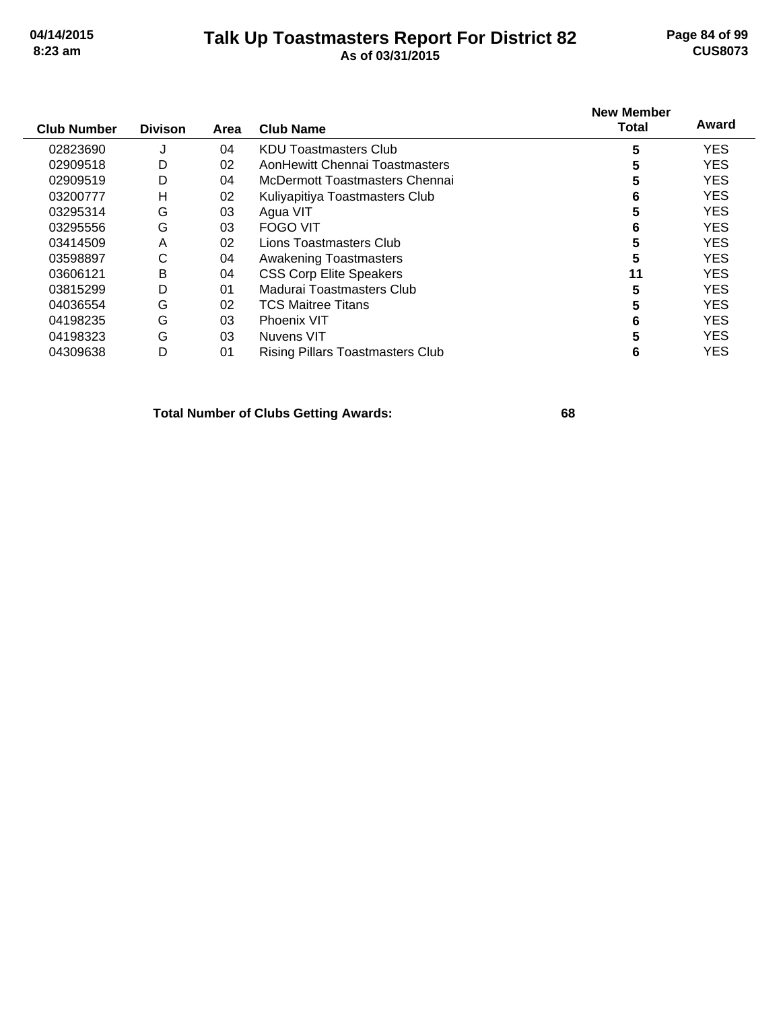## **Talk Up Toastmasters Report For District 82 04/14/2015 Page 84 of 99 8:23 am As of 03/31/2015 CUS8073**

| <b>Club Number</b> | <b>Divison</b> | Area | <b>Club Name</b>                        | <b>New Member</b><br>Total | Award      |
|--------------------|----------------|------|-----------------------------------------|----------------------------|------------|
| 02823690           | J              | 04   | <b>KDU Toastmasters Club</b>            | 5                          | <b>YES</b> |
| 02909518           | D              | 02   | AonHewitt Chennai Toastmasters          | 5                          | <b>YES</b> |
| 02909519           | D              | 04   | McDermott Toastmasters Chennai          | 5                          | <b>YES</b> |
| 03200777           | H              | 02   | Kuliyapitiya Toastmasters Club          | 6                          | <b>YES</b> |
| 03295314           | G              | 03   | Agua VIT                                | 5                          | <b>YES</b> |
| 03295556           | G              | 03   | <b>FOGO VIT</b>                         | 6                          | <b>YES</b> |
| 03414509           | A              | 02   | Lions Toastmasters Club                 | 5                          | <b>YES</b> |
| 03598897           | C              | 04   | <b>Awakening Toastmasters</b>           | 5                          | <b>YES</b> |
| 03606121           | B              | 04   | <b>CSS Corp Elite Speakers</b>          | 11                         | <b>YES</b> |
| 03815299           | D              | 01   | Madurai Toastmasters Club               | 5                          | <b>YES</b> |
| 04036554           | G              | 02   | <b>TCS Maitree Titans</b>               | 5                          | <b>YES</b> |
| 04198235           | G              | 03   | <b>Phoenix VIT</b>                      | 6                          | <b>YES</b> |
| 04198323           | G              | 03   | Nuvens VIT                              | 5                          | <b>YES</b> |
| 04309638           | D              | 01   | <b>Rising Pillars Toastmasters Club</b> | 6                          | <b>YES</b> |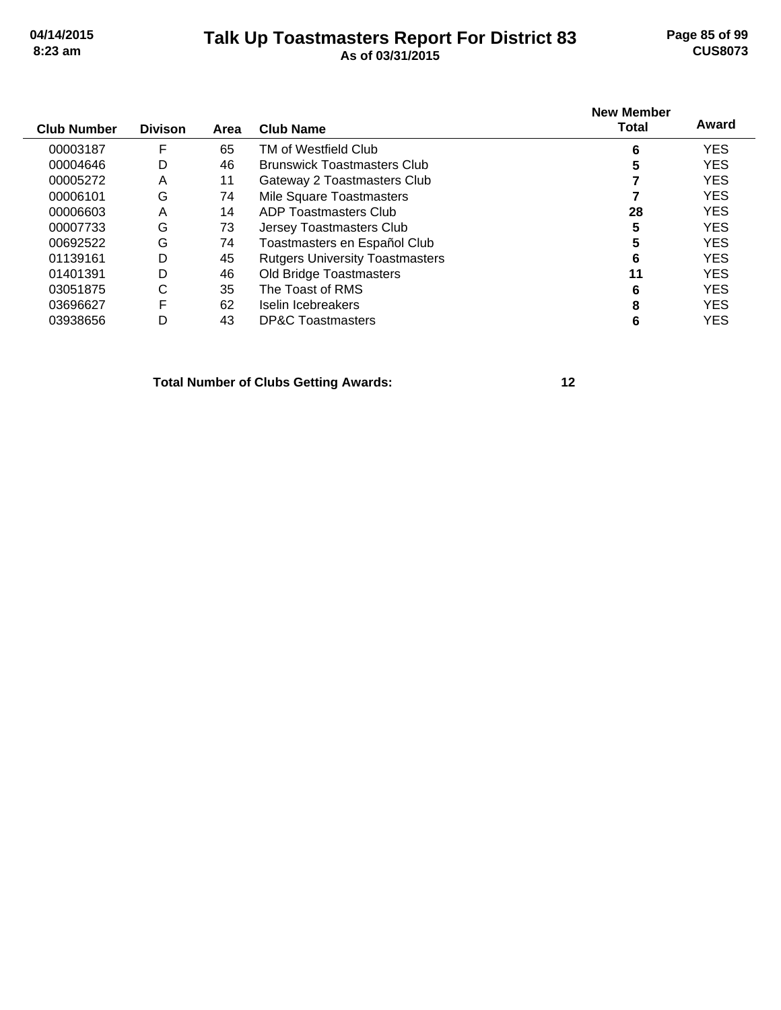# **Talk Up Toastmasters Report For District 83 04/14/2015 Page 85 of 99 8:23 am As of 03/31/2015 CUS8073**

| <b>Club Number</b> | <b>Divison</b> | Area | <b>Club Name</b>                       | <b>New Member</b><br>Total | Award      |
|--------------------|----------------|------|----------------------------------------|----------------------------|------------|
| 00003187           | F              | 65   | TM of Westfield Club                   | 6                          | <b>YES</b> |
| 00004646           | D              | 46   | <b>Brunswick Toastmasters Club</b>     | 5                          | <b>YES</b> |
| 00005272           | Α              | 11   | Gateway 2 Toastmasters Club            |                            | <b>YES</b> |
| 00006101           | G              | 74   | Mile Square Toastmasters               |                            | <b>YES</b> |
| 00006603           | A              | 14   | ADP Toastmasters Club                  | 28                         | <b>YES</b> |
| 00007733           | G              | 73   | Jersey Toastmasters Club               | 5                          | <b>YES</b> |
| 00692522           | G              | 74   | Toastmasters en Español Club           | 5                          | <b>YES</b> |
| 01139161           | D              | 45   | <b>Rutgers University Toastmasters</b> | 6                          | <b>YES</b> |
| 01401391           | D              | 46   | Old Bridge Toastmasters                | 11                         | <b>YES</b> |
| 03051875           | С              | 35   | The Toast of RMS                       | 6                          | <b>YES</b> |
| 03696627           | F              | 62   | Iselin Icebreakers                     | 8                          | <b>YES</b> |
| 03938656           | D              | 43   | <b>DP&amp;C Toastmasters</b>           | 6                          | <b>YES</b> |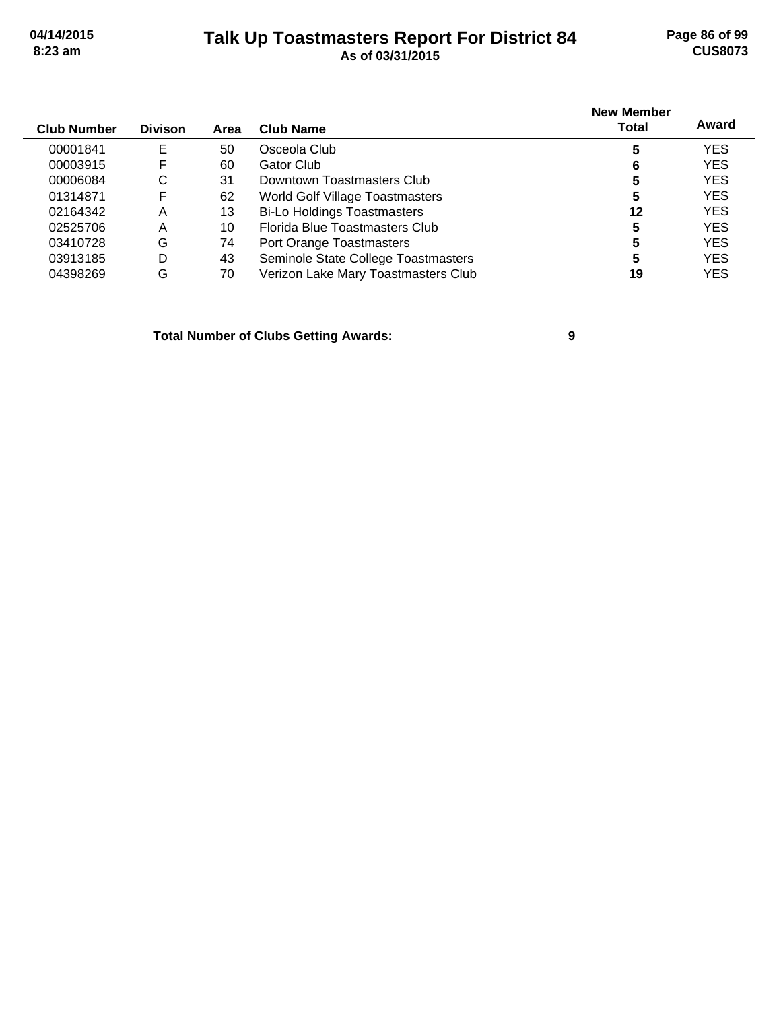## **Talk Up Toastmasters Report For District 84 04/14/2015 Page 86 of 99 8:23 am As of 03/31/2015 CUS8073**

|                    |                |      |                                     | <b>New Member</b> |            |
|--------------------|----------------|------|-------------------------------------|-------------------|------------|
| <b>Club Number</b> | <b>Divison</b> | Area | <b>Club Name</b>                    | Total             | Award      |
| 00001841           | Е              | 50   | Osceola Club                        | 5                 | <b>YES</b> |
| 00003915           | F              | 60   | Gator Club                          | 6                 | <b>YES</b> |
| 00006084           | С              | 31   | Downtown Toastmasters Club          | 5                 | <b>YES</b> |
| 01314871           | F              | 62   | World Golf Village Toastmasters     | 5                 | <b>YES</b> |
| 02164342           | A              | 13   | <b>Bi-Lo Holdings Toastmasters</b>  | 12                | <b>YES</b> |
| 02525706           | Α              | 10   | Florida Blue Toastmasters Club      | 5                 | <b>YES</b> |
| 03410728           | G              | 74   | Port Orange Toastmasters            | 5                 | <b>YES</b> |
| 03913185           | D              | 43   | Seminole State College Toastmasters | 5                 | <b>YES</b> |
| 04398269           | G              | 70   | Verizon Lake Mary Toastmasters Club | 19                | YES        |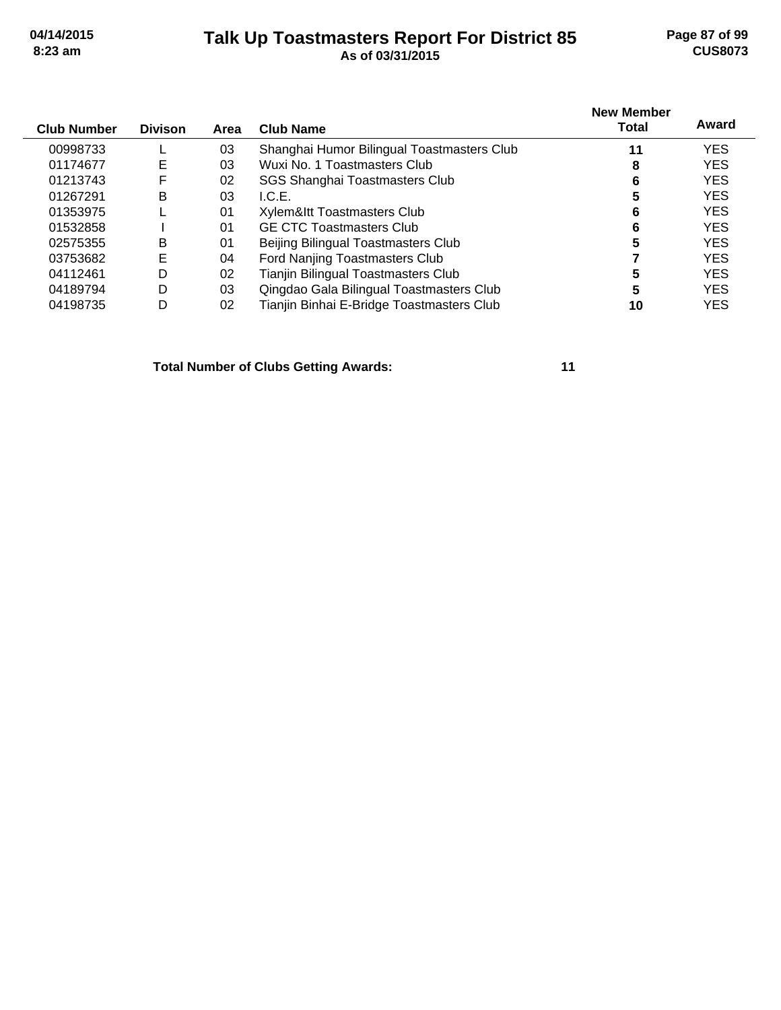## **Talk Up Toastmasters Report For District 85 04/14/2015 Page 87 of 99 8:23 am As of 03/31/2015 CUS8073**

| <b>Club Number</b> | <b>Divison</b> | Area | Club Name                                  | <b>New Member</b><br>Total | Award      |
|--------------------|----------------|------|--------------------------------------------|----------------------------|------------|
| 00998733           |                | 03   | Shanghai Humor Bilingual Toastmasters Club | 11                         | <b>YES</b> |
| 01174677           | E              | 03   | Wuxi No. 1 Toastmasters Club               | 8                          | <b>YES</b> |
| 01213743           | F              | 02   | SGS Shanghai Toastmasters Club             | 6                          | <b>YES</b> |
| 01267291           | B              | 03   | L.C.E.                                     | 5                          | <b>YES</b> |
| 01353975           |                | 01   | Xylem&Itt Toastmasters Club                | 6                          | <b>YES</b> |
| 01532858           |                | 01   | <b>GE CTC Toastmasters Club</b>            | 6                          | <b>YES</b> |
| 02575355           | В              | 01   | Beijing Bilingual Toastmasters Club        | 5                          | <b>YES</b> |
| 03753682           | Е              | 04   | Ford Nanjing Toastmasters Club             |                            | <b>YES</b> |
| 04112461           | D              | 02   | Tianjin Bilingual Toastmasters Club        | 5                          | <b>YES</b> |
| 04189794           | D              | 03   | Qingdao Gala Bilingual Toastmasters Club   | 5                          | <b>YES</b> |
| 04198735           | D              | 02   | Tianjin Binhai E-Bridge Toastmasters Club  | 10                         | <b>YES</b> |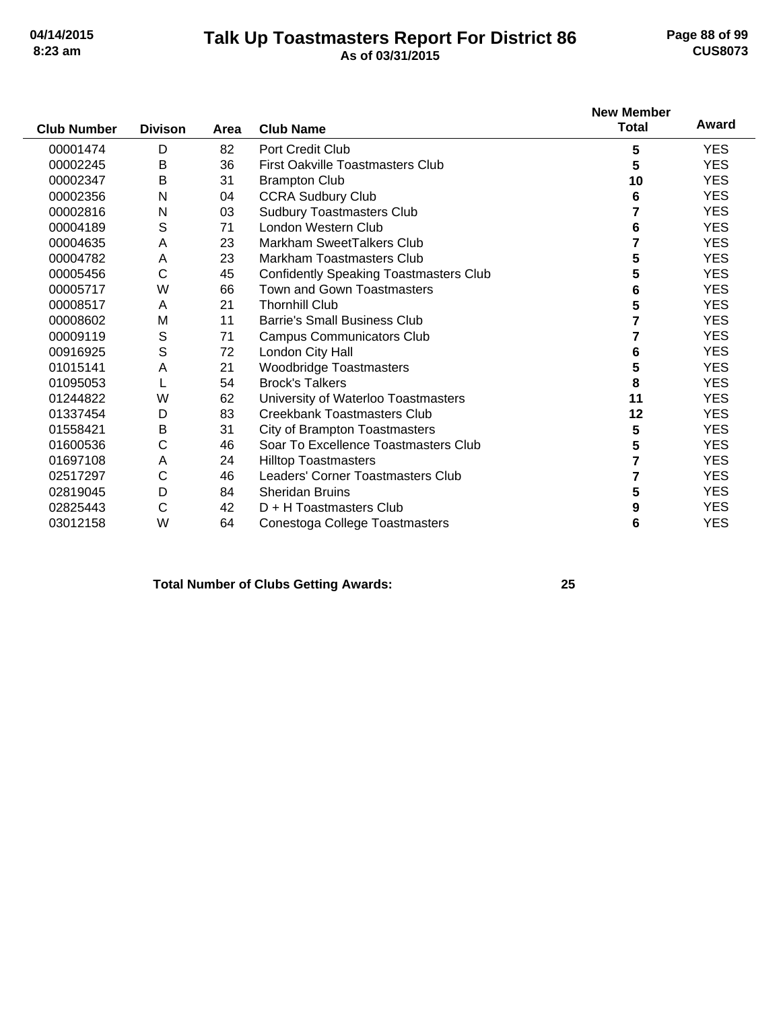### **Talk Up Toastmasters Report For District 86 04/14/2015 Page 88 of 99 8:23 am As of 03/31/2015 CUS8073**

|                    |                |      |                                               | <b>New Member</b> |            |
|--------------------|----------------|------|-----------------------------------------------|-------------------|------------|
| <b>Club Number</b> | <b>Divison</b> | Area | <b>Club Name</b>                              | <b>Total</b>      | Award      |
| 00001474           | D              | 82   | Port Credit Club                              | 5                 | <b>YES</b> |
| 00002245           | B              | 36   | <b>First Oakville Toastmasters Club</b>       | 5                 | <b>YES</b> |
| 00002347           | B              | 31   | <b>Brampton Club</b>                          | 10                | <b>YES</b> |
| 00002356           | N              | 04   | <b>CCRA Sudbury Club</b>                      | 6                 | <b>YES</b> |
| 00002816           | N              | 03   | <b>Sudbury Toastmasters Club</b>              | 7                 | <b>YES</b> |
| 00004189           | S              | 71   | London Western Club                           | 6                 | <b>YES</b> |
| 00004635           | Α              | 23   | Markham SweetTalkers Club                     |                   | <b>YES</b> |
| 00004782           | A              | 23   | Markham Toastmasters Club                     | 5                 | <b>YES</b> |
| 00005456           | C              | 45   | <b>Confidently Speaking Toastmasters Club</b> | 5                 | <b>YES</b> |
| 00005717           | W              | 66   | <b>Town and Gown Toastmasters</b>             | 6                 | <b>YES</b> |
| 00008517           | A              | 21   | <b>Thornhill Club</b>                         | 5                 | <b>YES</b> |
| 00008602           | M              | 11   | <b>Barrie's Small Business Club</b>           |                   | <b>YES</b> |
| 00009119           | S              | 71   | <b>Campus Communicators Club</b>              |                   | <b>YES</b> |
| 00916925           | S              | 72   | London City Hall                              | 6                 | <b>YES</b> |
| 01015141           | A              | 21   | <b>Woodbridge Toastmasters</b>                | 5                 | <b>YES</b> |
| 01095053           |                | 54   | <b>Brock's Talkers</b>                        | 8                 | <b>YES</b> |
| 01244822           | W              | 62   | University of Waterloo Toastmasters           | 11                | <b>YES</b> |
| 01337454           | D              | 83   | <b>Creekbank Toastmasters Club</b>            | 12                | <b>YES</b> |
| 01558421           | B              | 31   | City of Brampton Toastmasters                 | 5                 | <b>YES</b> |
| 01600536           | С              | 46   | Soar To Excellence Toastmasters Club          | 5                 | <b>YES</b> |
| 01697108           | Α              | 24   | <b>Hilltop Toastmasters</b>                   | 7                 | <b>YES</b> |
| 02517297           | С              | 46   | Leaders' Corner Toastmasters Club             | 7                 | <b>YES</b> |
| 02819045           | D              | 84   | <b>Sheridan Bruins</b>                        | 5                 | <b>YES</b> |
| 02825443           | С              | 42   | D + H Toastmasters Club                       | 9                 | <b>YES</b> |
| 03012158           | W              | 64   | Conestoga College Toastmasters                | 6                 | <b>YES</b> |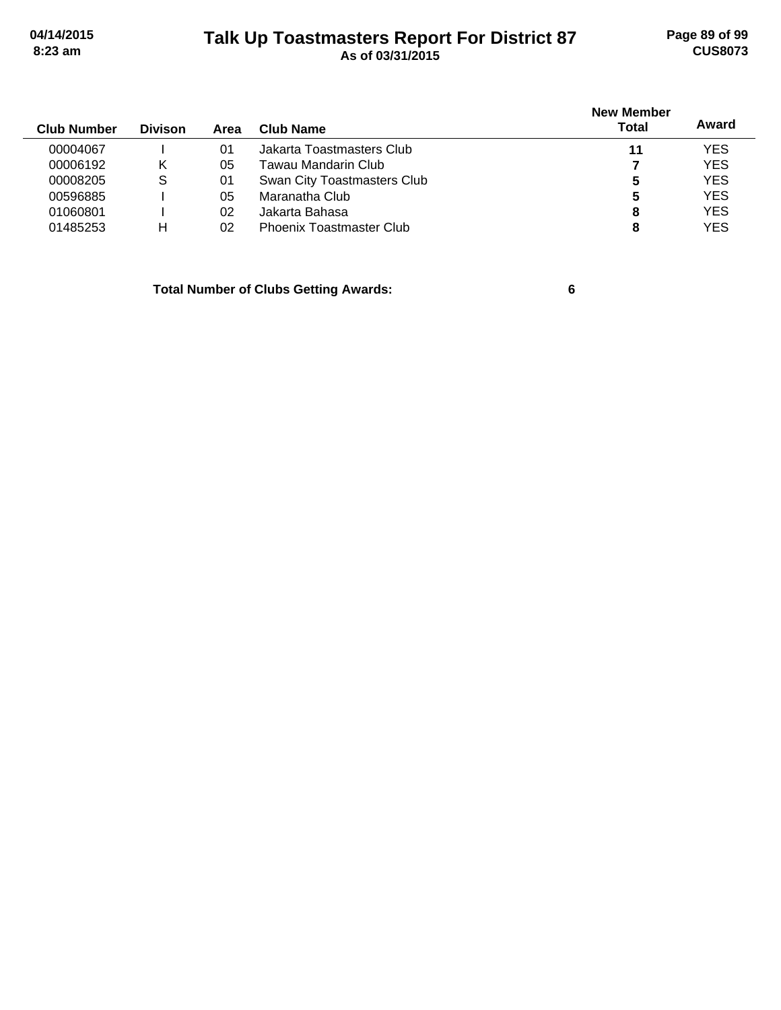# **Talk Up Toastmasters Report For District 87 04/14/2015 Page 89 of 99 8:23 am As of 03/31/2015 CUS8073**

| <b>Club Number</b> | <b>Divison</b> | Area | Club Name                       | <b>New Member</b><br><b>Total</b> | Award      |
|--------------------|----------------|------|---------------------------------|-----------------------------------|------------|
| 00004067           |                | 01   | Jakarta Toastmasters Club       | 11                                | <b>YES</b> |
| 00006192           | κ              | 05   | Tawau Mandarin Club.            |                                   | <b>YES</b> |
| 00008205           | S              | 01   | Swan City Toastmasters Club     | 5                                 | <b>YES</b> |
| 00596885           |                | 05   | Maranatha Club                  | 5                                 | <b>YES</b> |
| 01060801           |                | 02   | Jakarta Bahasa                  | 8                                 | <b>YES</b> |
| 01485253           | н              | 02   | <b>Phoenix Toastmaster Club</b> | 8                                 | <b>YES</b> |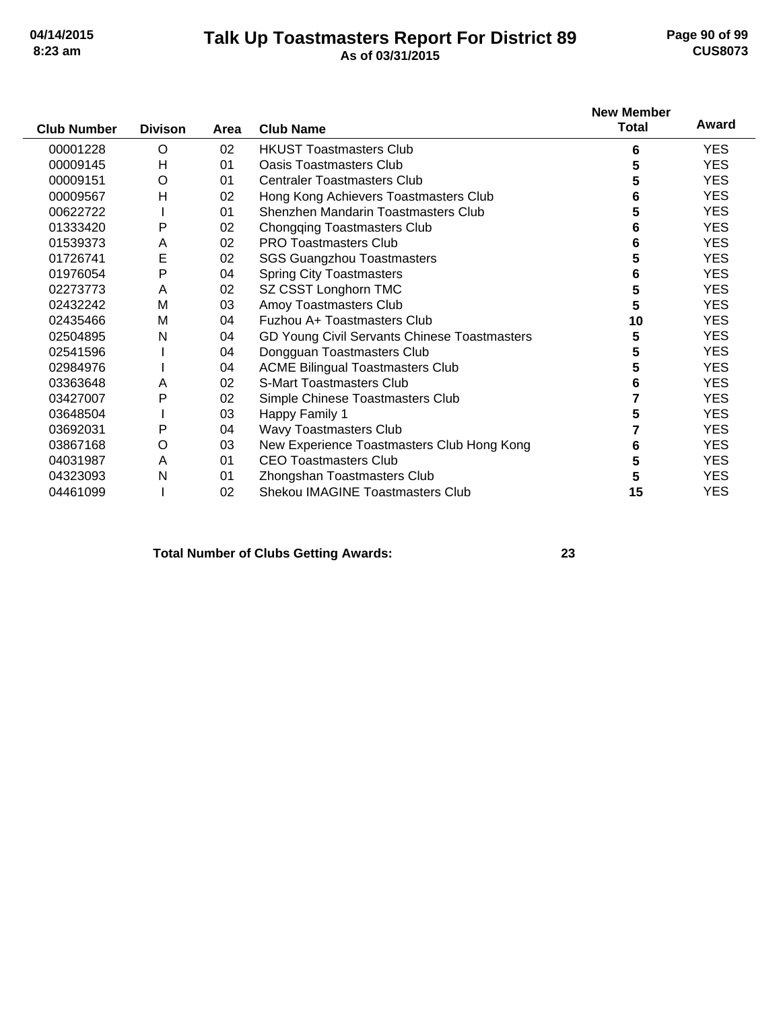## **Talk Up Toastmasters Report For District 89 04/14/2015 Page 90 of 99 8:23 am As of 03/31/2015 CUS8073**

|                    |                |      |                                              | <b>New Member</b> |            |
|--------------------|----------------|------|----------------------------------------------|-------------------|------------|
| <b>Club Number</b> | <b>Divison</b> | Area | <b>Club Name</b>                             | <b>Total</b>      | Award      |
| 00001228           | O              | 02   | <b>HKUST Toastmasters Club</b>               | 6                 | YES.       |
| 00009145           | Н              | 01   | Oasis Toastmasters Club                      | 5                 | <b>YES</b> |
| 00009151           | O              | 01   | <b>Centraler Toastmasters Club</b>           | 5                 | YES.       |
| 00009567           | H              | 02   | Hong Kong Achievers Toastmasters Club        | 6                 | <b>YES</b> |
| 00622722           |                | 01   | Shenzhen Mandarin Toastmasters Club          | 5                 | <b>YES</b> |
| 01333420           | Ρ              | 02   | <b>Chongqing Toastmasters Club</b>           | 6                 | <b>YES</b> |
| 01539373           | Α              | 02   | <b>PRO Toastmasters Club</b>                 | 6                 | <b>YES</b> |
| 01726741           | Е              | 02   | <b>SGS Guangzhou Toastmasters</b>            | 5                 | <b>YES</b> |
| 01976054           | P              | 04   | <b>Spring City Toastmasters</b>              | 6                 | <b>YES</b> |
| 02273773           | Α              | 02   | SZ CSST Longhorn TMC                         | 5                 | <b>YES</b> |
| 02432242           | M              | 03   | Amoy Toastmasters Club                       | 5                 | <b>YES</b> |
| 02435466           | M              | 04   | Fuzhou A+ Toastmasters Club                  | 10                | <b>YES</b> |
| 02504895           | N              | 04   | GD Young Civil Servants Chinese Toastmasters | 5                 | <b>YES</b> |
| 02541596           |                | 04   | Dongguan Toastmasters Club                   | 5                 | <b>YES</b> |
| 02984976           |                | 04   | <b>ACME Bilingual Toastmasters Club</b>      | 5                 | <b>YES</b> |
| 03363648           | A              | 02   | <b>S-Mart Toastmasters Club</b>              | 6                 | <b>YES</b> |
| 03427007           | P              | 02   | Simple Chinese Toastmasters Club             |                   | <b>YES</b> |
| 03648504           |                | 03   | Happy Family 1                               | 5                 | <b>YES</b> |
| 03692031           | P              | 04   | Wavy Toastmasters Club                       |                   | <b>YES</b> |
| 03867168           | O              | 03   | New Experience Toastmasters Club Hong Kong   | 6                 | <b>YES</b> |
| 04031987           | A              | 01   | <b>CEO Toastmasters Club</b>                 | 5                 | <b>YES</b> |
| 04323093           | Ν              | 01   | Zhongshan Toastmasters Club                  | 5                 | <b>YES</b> |
| 04461099           |                | 02   | <b>Shekou IMAGINE Toastmasters Club</b>      | 15                | <b>YES</b> |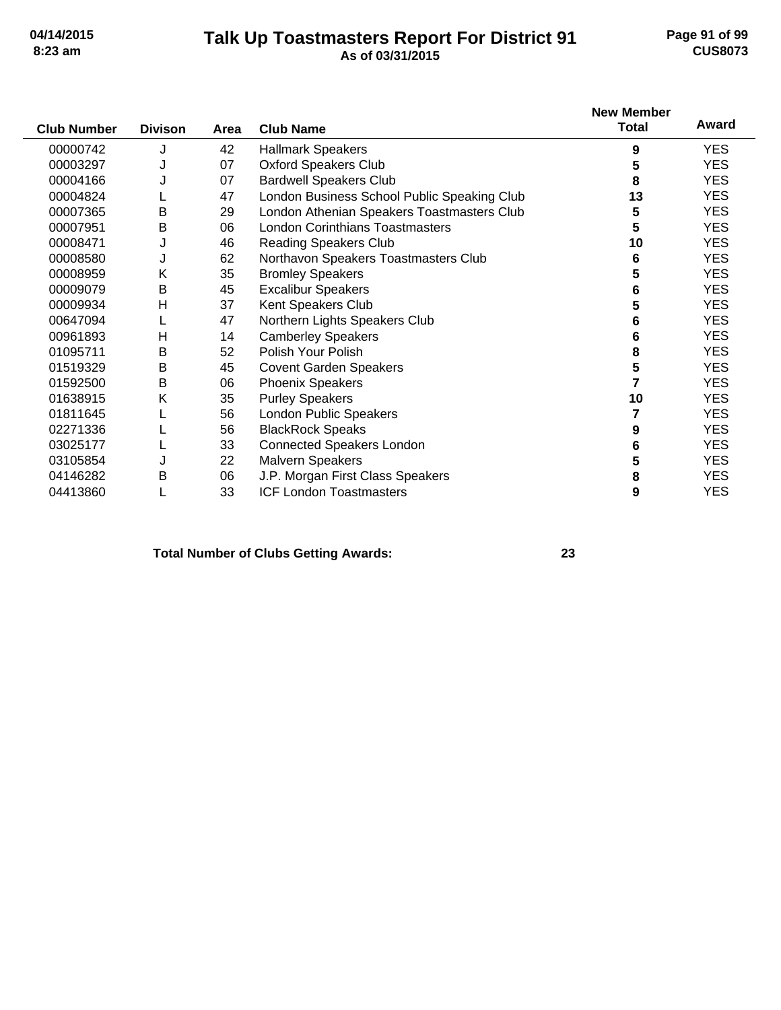## **Talk Up Toastmasters Report For District 91 04/14/2015 Page 91 of 99 8:23 am As of 03/31/2015 CUS8073**

| <b>Club Number</b> | <b>Divison</b> | Area | <b>Club Name</b>                            | <b>New Member</b><br><b>Total</b> | Award      |
|--------------------|----------------|------|---------------------------------------------|-----------------------------------|------------|
| 00000742           | J              | 42   | <b>Hallmark Speakers</b>                    | 9                                 | <b>YES</b> |
| 00003297           | J              | 07   | <b>Oxford Speakers Club</b>                 | 5                                 | <b>YES</b> |
| 00004166           |                | 07   | <b>Bardwell Speakers Club</b>               | 8                                 | <b>YES</b> |
| 00004824           |                | 47   | London Business School Public Speaking Club | 13                                | <b>YES</b> |
| 00007365           | Β              | 29   | London Athenian Speakers Toastmasters Club  | 5                                 | <b>YES</b> |
| 00007951           | B              | 06   | <b>London Corinthians Toastmasters</b>      | 5                                 | <b>YES</b> |
| 00008471           | J              | 46   | <b>Reading Speakers Club</b>                | 10                                | <b>YES</b> |
| 00008580           | J              | 62   | Northavon Speakers Toastmasters Club        | 6                                 | <b>YES</b> |
| 00008959           | Κ              | 35   | <b>Bromley Speakers</b>                     | 5                                 | <b>YES</b> |
| 00009079           | Β              | 45   | <b>Excalibur Speakers</b>                   | 6                                 | <b>YES</b> |
| 00009934           | H              | 37   | Kent Speakers Club                          | 5                                 | <b>YES</b> |
| 00647094           |                | 47   | Northern Lights Speakers Club               | 6                                 | <b>YES</b> |
| 00961893           | H              | 14   | <b>Camberley Speakers</b>                   | 6                                 | <b>YES</b> |
| 01095711           | Β              | 52   | Polish Your Polish                          | 8                                 | <b>YES</b> |
| 01519329           | B              | 45   | <b>Covent Garden Speakers</b>               | 5                                 | <b>YES</b> |
| 01592500           | B              | 06   | <b>Phoenix Speakers</b>                     | 7                                 | <b>YES</b> |
| 01638915           | Κ              | 35   | <b>Purley Speakers</b>                      | 10                                | <b>YES</b> |
| 01811645           |                | 56   | London Public Speakers                      | 7                                 | <b>YES</b> |
| 02271336           |                | 56   | <b>BlackRock Speaks</b>                     | 9                                 | <b>YES</b> |
| 03025177           |                | 33   | <b>Connected Speakers London</b>            | 6                                 | <b>YES</b> |
| 03105854           |                | 22   | <b>Malvern Speakers</b>                     | 5                                 | <b>YES</b> |
| 04146282           | В              | 06   | J.P. Morgan First Class Speakers            | 8                                 | <b>YES</b> |
| 04413860           |                | 33   | <b>ICF London Toastmasters</b>              | 9                                 | <b>YES</b> |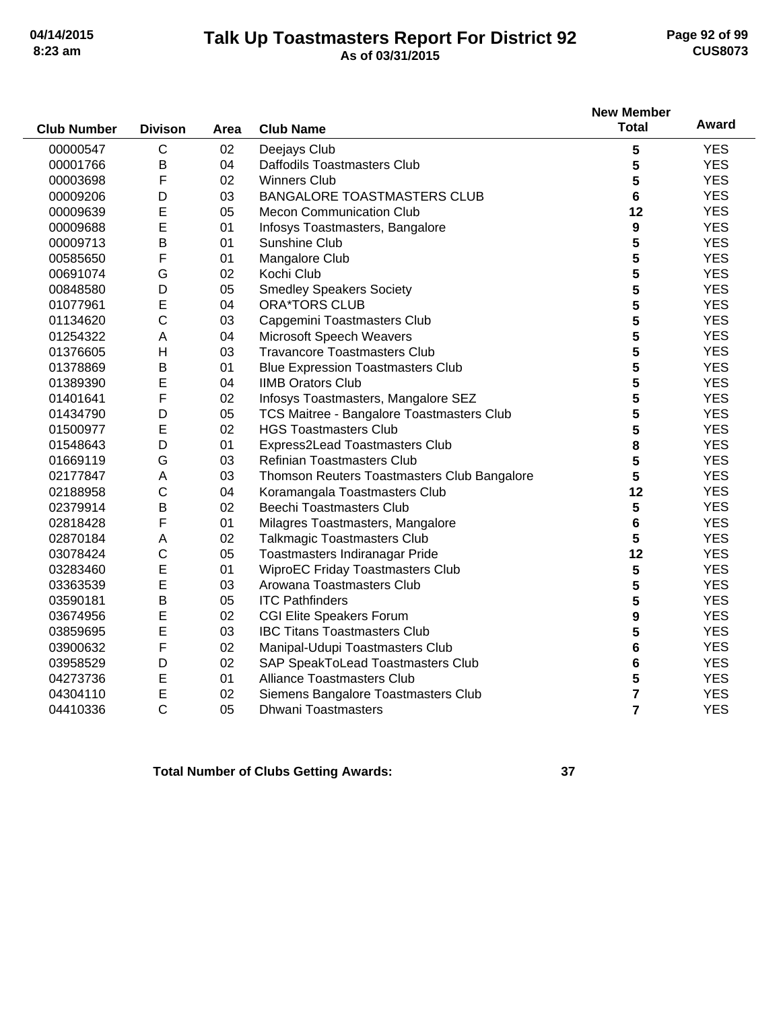## **Talk Up Toastmasters Report For District 92 04/14/2015 Page 92 of 99 8:23 am As of 03/31/2015 CUS8073**

|                    |                |      |                                             | <b>New Member</b> | Award      |
|--------------------|----------------|------|---------------------------------------------|-------------------|------------|
| <b>Club Number</b> | <b>Divison</b> | Area | <b>Club Name</b>                            | <b>Total</b>      |            |
| 00000547           | $\mathsf C$    | 02   | Deejays Club                                | 5                 | <b>YES</b> |
| 00001766           | $\sf B$        | 04   | Daffodils Toastmasters Club                 | 5                 | <b>YES</b> |
| 00003698           | F              | 02   | <b>Winners Club</b>                         | 5                 | <b>YES</b> |
| 00009206           | D              | 03   | <b>BANGALORE TOASTMASTERS CLUB</b>          | 6                 | <b>YES</b> |
| 00009639           | E              | 05   | <b>Mecon Communication Club</b>             | 12                | <b>YES</b> |
| 00009688           | E              | 01   | Infosys Toastmasters, Bangalore             | 9                 | <b>YES</b> |
| 00009713           | B              | 01   | Sunshine Club                               | 5                 | <b>YES</b> |
| 00585650           | F              | 01   | Mangalore Club                              | 5                 | <b>YES</b> |
| 00691074           | G              | 02   | Kochi Club                                  | 5                 | <b>YES</b> |
| 00848580           | D              | 05   | <b>Smedley Speakers Society</b>             | 5                 | <b>YES</b> |
| 01077961           | E              | 04   | <b>ORA*TORS CLUB</b>                        | 5                 | <b>YES</b> |
| 01134620           | $\mathsf C$    | 03   | Capgemini Toastmasters Club                 | 5                 | <b>YES</b> |
| 01254322           | A              | 04   | Microsoft Speech Weavers                    | 5                 | <b>YES</b> |
| 01376605           | H              | 03   | <b>Travancore Toastmasters Club</b>         | 5                 | <b>YES</b> |
| 01378869           | B              | 01   | <b>Blue Expression Toastmasters Club</b>    | 5                 | <b>YES</b> |
| 01389390           | E              | 04   | <b>IIMB Orators Club</b>                    | 5                 | <b>YES</b> |
| 01401641           | F              | 02   | Infosys Toastmasters, Mangalore SEZ         | 5                 | <b>YES</b> |
| 01434790           | D              | 05   | TCS Maitree - Bangalore Toastmasters Club   | 5                 | <b>YES</b> |
| 01500977           | E              | 02   | <b>HGS Toastmasters Club</b>                | 5                 | <b>YES</b> |
| 01548643           | D              | 01   | Express2Lead Toastmasters Club              | 8                 | <b>YES</b> |
| 01669119           | G              | 03   | <b>Refinian Toastmasters Club</b>           | 5                 | <b>YES</b> |
| 02177847           | A              | 03   | Thomson Reuters Toastmasters Club Bangalore | 5                 | <b>YES</b> |
| 02188958           | $\mathsf{C}$   | 04   | Koramangala Toastmasters Club               | 12                | <b>YES</b> |
| 02379914           | $\sf B$        | 02   | <b>Beechi Toastmasters Club</b>             | 5                 | <b>YES</b> |
| 02818428           | F              | 01   | Milagres Toastmasters, Mangalore            | 6                 | <b>YES</b> |
| 02870184           | A              | 02   | <b>Talkmagic Toastmasters Club</b>          | 5                 | <b>YES</b> |
| 03078424           | $\mathsf C$    | 05   | Toastmasters Indiranagar Pride              | 12                | <b>YES</b> |
| 03283460           | E              | 01   | <b>WiproEC Friday Toastmasters Club</b>     | 5                 | <b>YES</b> |
| 03363539           | E              | 03   | Arowana Toastmasters Club                   | 5                 | <b>YES</b> |
| 03590181           | $\sf B$        | 05   | <b>ITC Pathfinders</b>                      | 5                 | <b>YES</b> |
| 03674956           | E              | 02   | <b>CGI Elite Speakers Forum</b>             | 9                 | <b>YES</b> |
| 03859695           | E              | 03   | <b>IBC Titans Toastmasters Club</b>         | 5                 | <b>YES</b> |
| 03900632           | F              | 02   | Manipal-Udupi Toastmasters Club             | 6                 | <b>YES</b> |
| 03958529           | D              | 02   | <b>SAP SpeakToLead Toastmasters Club</b>    | 6                 | <b>YES</b> |
| 04273736           | Е              | 01   | <b>Alliance Toastmasters Club</b>           | 5                 | <b>YES</b> |
| 04304110           | E              | 02   | Siemens Bangalore Toastmasters Club         | 7                 | <b>YES</b> |
| 04410336           | $\mathsf{C}$   | 05   | <b>Dhwani Toastmasters</b>                  | $\overline{7}$    | <b>YES</b> |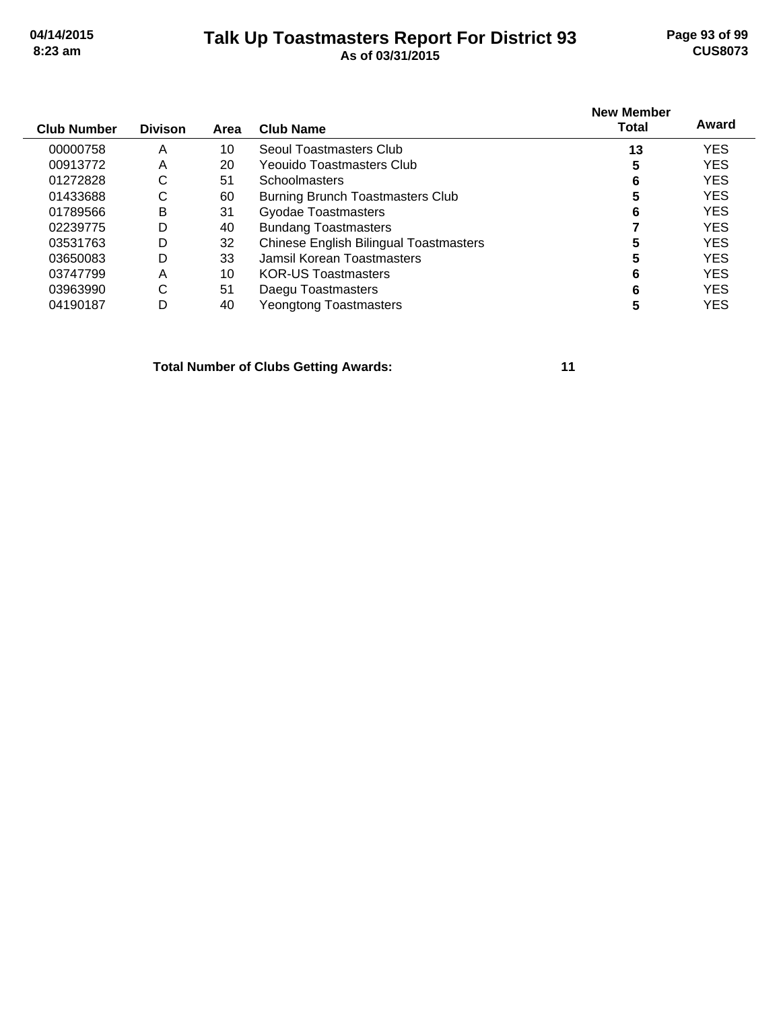## **Talk Up Toastmasters Report For District 93 04/14/2015 Page 93 of 99 8:23 am As of 03/31/2015 CUS8073**

| <b>Club Number</b> | <b>Divison</b> | Area | <b>Club Name</b>                              | <b>New Member</b><br><b>Total</b> | Award      |
|--------------------|----------------|------|-----------------------------------------------|-----------------------------------|------------|
|                    |                |      |                                               |                                   |            |
| 00000758           | A              | 10   | Seoul Toastmasters Club                       | 13                                | <b>YES</b> |
| 00913772           | A              | 20   | Yeouido Toastmasters Club                     | 5                                 | <b>YES</b> |
| 01272828           | С              | 51   | Schoolmasters                                 | 6                                 | <b>YES</b> |
| 01433688           | С              | 60   | Burning Brunch Toastmasters Club              | 5                                 | <b>YES</b> |
| 01789566           | B              | 31   | Gyodae Toastmasters                           | 6                                 | <b>YES</b> |
| 02239775           | D              | 40   | <b>Bundang Toastmasters</b>                   |                                   | <b>YES</b> |
| 03531763           | D              | 32   | <b>Chinese English Bilingual Toastmasters</b> | 5                                 | <b>YES</b> |
| 03650083           | D              | 33   | Jamsil Korean Toastmasters                    | 5                                 | <b>YES</b> |
| 03747799           | A              | 10   | <b>KOR-US Toastmasters</b>                    | 6                                 | <b>YES</b> |
| 03963990           | С              | 51   | Daegu Toastmasters                            | 6                                 | <b>YES</b> |
| 04190187           | D              | 40   | Yeongtong Toastmasters                        |                                   | <b>YES</b> |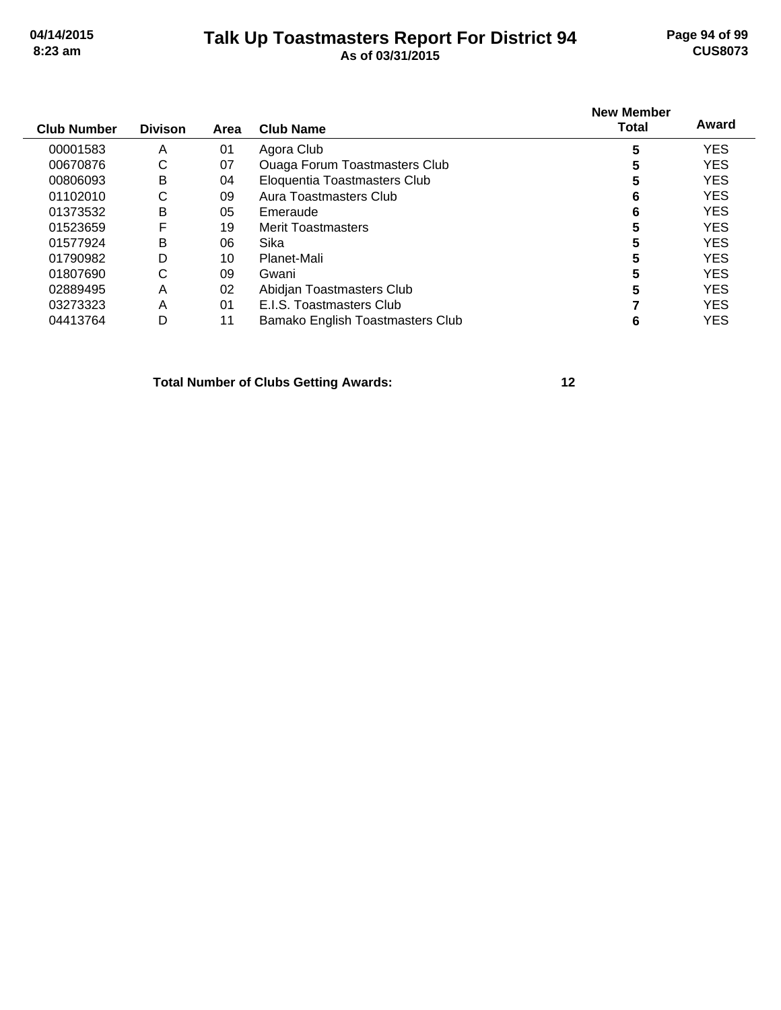# **Talk Up Toastmasters Report For District 94 04/14/2015 Page 94 of 99 8:23 am As of 03/31/2015 CUS8073**

| <b>Club Number</b> | <b>Divison</b> | Area           | <b>Club Name</b>                     | <b>New Member</b><br>Total | Award      |
|--------------------|----------------|----------------|--------------------------------------|----------------------------|------------|
| 00001583           | A              | 01             | Agora Club                           | 5                          | <b>YES</b> |
| 00670876           | С              | 07             | <b>Ouaga Forum Toastmasters Club</b> | 5                          | <b>YES</b> |
| 00806093           | B              | 04             | Eloquentia Toastmasters Club         | 5                          | <b>YES</b> |
| 01102010           | С              | 09             | Aura Toastmasters Club               | 6                          | <b>YES</b> |
| 01373532           | В              | 05             | Emeraude                             | 6                          | <b>YES</b> |
| 01523659           | F              | 19             | <b>Merit Toastmasters</b>            | 5                          | <b>YES</b> |
| 01577924           | Β              | 06             | Sika                                 | 5                          | <b>YES</b> |
| 01790982           | D              | 10             | Planet-Mali                          | 5                          | <b>YES</b> |
| 01807690           | С              | 09             | Gwani                                | 5                          | <b>YES</b> |
| 02889495           | Α              | 02             | Abidjan Toastmasters Club            | 5                          | <b>YES</b> |
| 03273323           | Α              | 0 <sub>1</sub> | E.I.S. Toastmasters Club             |                            | <b>YES</b> |
| 04413764           | D              | 11             | Bamako English Toastmasters Club     | 6                          | <b>YES</b> |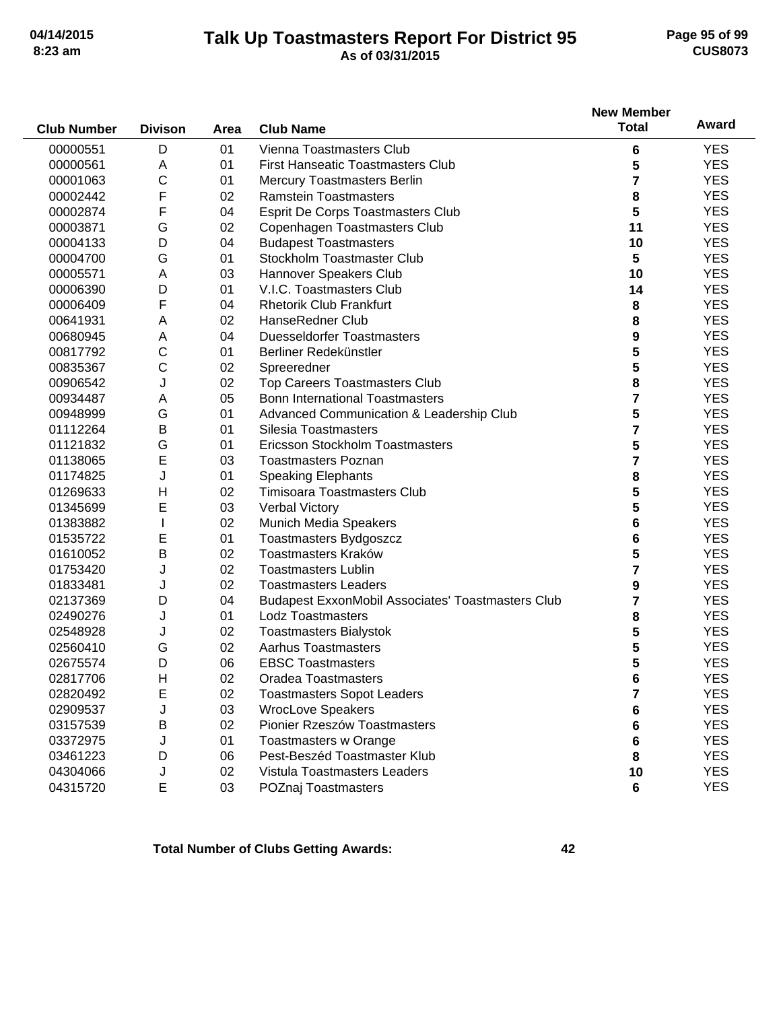## **Talk Up Toastmasters Report For District 95 04/14/2015 Page 95 of 99 8:23 am As of 03/31/2015 CUS8073**

|                    |                |      |                                                          | <b>New Member</b>       |            |
|--------------------|----------------|------|----------------------------------------------------------|-------------------------|------------|
| <b>Club Number</b> | <b>Divison</b> | Area | <b>Club Name</b>                                         | <b>Total</b>            | Award      |
| 00000551           | D              | 01   | Vienna Toastmasters Club                                 | 6                       | <b>YES</b> |
| 00000561           | A              | 01   | <b>First Hanseatic Toastmasters Club</b>                 | 5                       | <b>YES</b> |
| 00001063           | С              | 01   | <b>Mercury Toastmasters Berlin</b>                       | 7                       | <b>YES</b> |
| 00002442           | F              | 02   | <b>Ramstein Toastmasters</b>                             | 8                       | <b>YES</b> |
| 00002874           | F              | 04   | Esprit De Corps Toastmasters Club                        | 5                       | <b>YES</b> |
| 00003871           | G              | 02   | Copenhagen Toastmasters Club                             | 11                      | <b>YES</b> |
| 00004133           | D              | 04   | <b>Budapest Toastmasters</b>                             | 10                      | <b>YES</b> |
| 00004700           | G              | 01   | Stockholm Toastmaster Club                               | 5                       | <b>YES</b> |
| 00005571           | Α              | 03   | Hannover Speakers Club                                   | 10                      | <b>YES</b> |
| 00006390           | D              | 01   | V.I.C. Toastmasters Club                                 | 14                      | <b>YES</b> |
| 00006409           | F              | 04   | <b>Rhetorik Club Frankfurt</b>                           | 8                       | <b>YES</b> |
| 00641931           | A              | 02   | HanseRedner Club                                         | 8                       | <b>YES</b> |
| 00680945           | Α              | 04   | <b>Duesseldorfer Toastmasters</b>                        | 9                       | <b>YES</b> |
| 00817792           | $\mathsf C$    | 01   | Berliner Redekünstler                                    | 5                       | <b>YES</b> |
| 00835367           | C              | 02   | Spreeredner                                              | 5                       | <b>YES</b> |
| 00906542           | J              | 02   | Top Careers Toastmasters Club                            | 8                       | <b>YES</b> |
| 00934487           | A              | 05   | <b>Bonn International Toastmasters</b>                   | 7                       | <b>YES</b> |
| 00948999           | G              | 01   | Advanced Communication & Leadership Club                 | 5                       | <b>YES</b> |
| 01112264           | B              | 01   | Silesia Toastmasters                                     | $\overline{\mathbf{r}}$ | <b>YES</b> |
| 01121832           | G              | 01   | Ericsson Stockholm Toastmasters                          | 5                       | <b>YES</b> |
| 01138065           | E              | 03   | <b>Toastmasters Poznan</b>                               | $\overline{\mathbf{r}}$ | <b>YES</b> |
| 01174825           | J              | 01   | <b>Speaking Elephants</b>                                | 8                       | <b>YES</b> |
| 01269633           | H              | 02   | Timisoara Toastmasters Club                              | 5                       | <b>YES</b> |
| 01345699           | E              | 03   | <b>Verbal Victory</b>                                    | 5                       | <b>YES</b> |
| 01383882           | T              | 02   | Munich Media Speakers                                    | 6                       | <b>YES</b> |
| 01535722           | E              | 01   | Toastmasters Bydgoszcz                                   | 6                       | <b>YES</b> |
| 01610052           | Β              | 02   | Toastmasters Kraków                                      | 5                       | <b>YES</b> |
| 01753420           | J              | 02   | <b>Toastmasters Lublin</b>                               | 7                       | <b>YES</b> |
| 01833481           | J              | 02   | <b>Toastmasters Leaders</b>                              | 9                       | <b>YES</b> |
| 02137369           | D              | 04   | <b>Budapest ExxonMobil Associates' Toastmasters Club</b> | 7                       | <b>YES</b> |
| 02490276           | J              | 01   | <b>Lodz Toastmasters</b>                                 | 8                       | <b>YES</b> |
| 02548928           | J              | 02   | <b>Toastmasters Bialystok</b>                            | 5                       | <b>YES</b> |
| 02560410           | G              | 02   | <b>Aarhus Toastmasters</b>                               | 5                       | <b>YES</b> |
| 02675574           | D              | 06   | <b>EBSC Toastmasters</b>                                 | 5                       | <b>YES</b> |
| 02817706           | $\mathsf{H}$   | 02   | <b>Oradea Toastmasters</b>                               | 6                       | <b>YES</b> |
| 02820492           | E              | 02   | <b>Toastmasters Sopot Leaders</b>                        | 7                       | <b>YES</b> |
| 02909537           | J              | 03   | <b>WrocLove Speakers</b>                                 | 6                       | <b>YES</b> |
| 03157539           | В              | 02   | Pionier Rzeszów Toastmasters                             | 6                       | <b>YES</b> |
| 03372975           | J              | 01   | <b>Toastmasters w Orange</b>                             | 6                       | <b>YES</b> |
| 03461223           | D              | 06   | Pest-Beszéd Toastmaster Klub                             | 8                       | <b>YES</b> |
| 04304066           | J              | 02   | Vistula Toastmasters Leaders                             | 10                      | <b>YES</b> |
| 04315720           | E              | 03   | POZnaj Toastmasters                                      | 6                       | <b>YES</b> |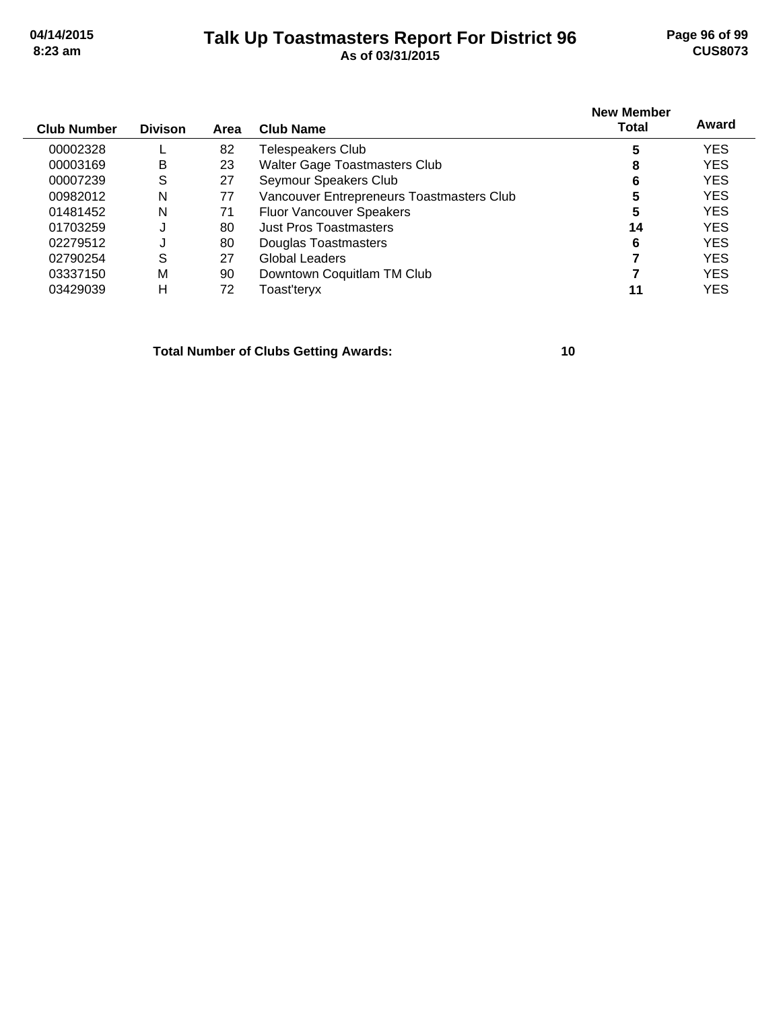## **Talk Up Toastmasters Report For District 96 04/14/2015 Page 96 of 99 8:23 am As of 03/31/2015 CUS8073**

| <b>Club Number</b> | <b>Divison</b> | Area | Club Name                                 | <b>New Member</b><br>Total | Award      |
|--------------------|----------------|------|-------------------------------------------|----------------------------|------------|
| 00002328           |                | 82   | Telespeakers Club                         | 5                          | <b>YES</b> |
| 00003169           | B              | 23   | <b>Walter Gage Toastmasters Club</b>      | 8                          | <b>YES</b> |
| 00007239           | S              | 27   | Seymour Speakers Club                     | 6                          | <b>YES</b> |
| 00982012           | N              | 77   | Vancouver Entrepreneurs Toastmasters Club | 5                          | <b>YES</b> |
| 01481452           | N              | 71   | <b>Fluor Vancouver Speakers</b>           | 5                          | <b>YES</b> |
| 01703259           | ĸ.             | 80   | Just Pros Toastmasters                    | 14                         | <b>YES</b> |
| 02279512           | J              | 80   | Douglas Toastmasters                      | 6                          | <b>YES</b> |
| 02790254           | S              | 27   | Global Leaders                            |                            | <b>YES</b> |
| 03337150           | M              | 90   | Downtown Coquitlam TM Club                |                            | <b>YES</b> |
| 03429039           | н              | 72   | Toast'teryx                               | 11                         | <b>YES</b> |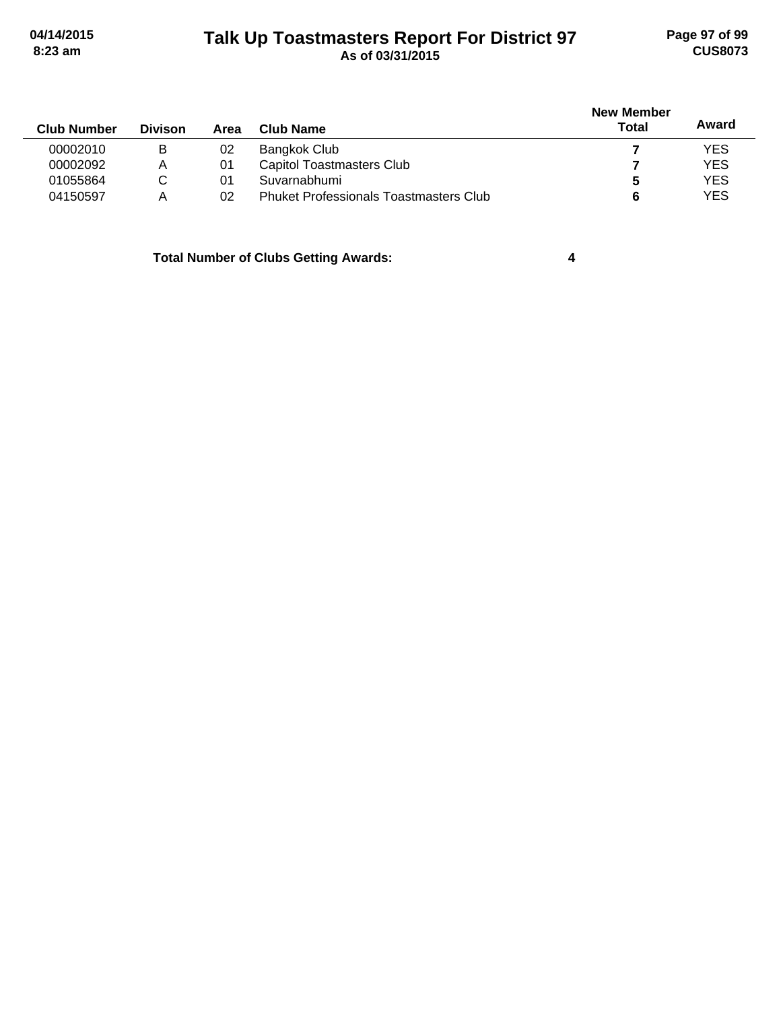# **Talk Up Toastmasters Report For District 97 04/14/2015 Page 97 of 99 8:23 am As of 03/31/2015 CUS8073**

|                    |                |      |                                               | <b>New Member</b> |            |
|--------------------|----------------|------|-----------------------------------------------|-------------------|------------|
| <b>Club Number</b> | <b>Divison</b> | Area | Club Name                                     | Total             | Award      |
| 00002010           | В              | 02   | Bangkok Club                                  |                   | <b>YES</b> |
| 00002092           | Α              | 01   | <b>Capitol Toastmasters Club</b>              |                   | <b>YES</b> |
| 01055864           | С              | 01   | Suvarnabhumi                                  | C                 | <b>YES</b> |
| 04150597           | Α              | 02   | <b>Phuket Professionals Toastmasters Club</b> |                   | <b>YES</b> |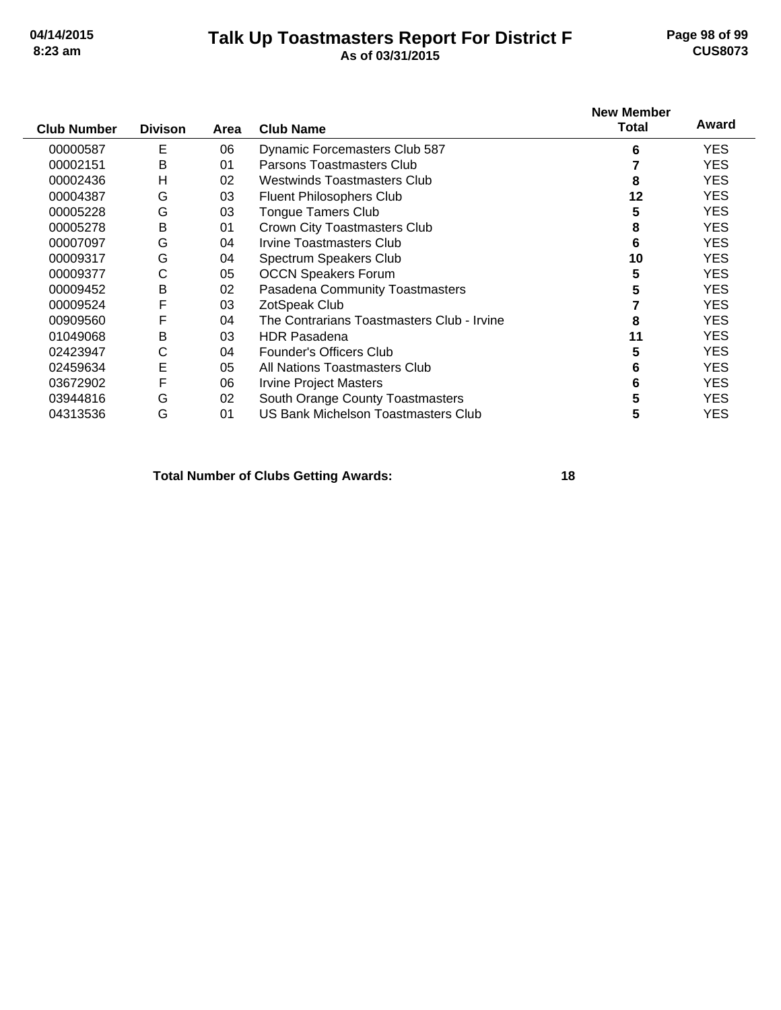# **Talk Up Toastmasters Report For District F 04/14/2015 Page 98 of 99 8:23 am As of 03/31/2015 CUS8073**

| <b>Club Number</b> | <b>Divison</b> | Area | <b>Club Name</b>                           | <b>New Member</b><br><b>Total</b> | Award      |
|--------------------|----------------|------|--------------------------------------------|-----------------------------------|------------|
| 00000587           | E              | 06   | <b>Dynamic Forcemasters Club 587</b>       | 6                                 | <b>YES</b> |
| 00002151           | В              | 01   | Parsons Toastmasters Club                  |                                   | <b>YES</b> |
| 00002436           | н              | 02   | Westwinds Toastmasters Club                | 8                                 | <b>YES</b> |
| 00004387           | G              | 03   | <b>Fluent Philosophers Club</b>            | 12                                | <b>YES</b> |
| 00005228           | G              | 03   | <b>Tongue Tamers Club</b>                  | 5                                 | <b>YES</b> |
| 00005278           | B              | 01   | Crown City Toastmasters Club               | 8                                 | <b>YES</b> |
| 00007097           | G              | 04   | Irvine Toastmasters Club                   | 6                                 | <b>YES</b> |
| 00009317           | G              | 04   | Spectrum Speakers Club                     | 10                                | <b>YES</b> |
| 00009377           | C              | 05   | <b>OCCN Speakers Forum</b>                 | 5                                 | <b>YES</b> |
| 00009452           | B              | 02   | Pasadena Community Toastmasters            | 5                                 | <b>YES</b> |
| 00009524           | F              | 03   | ZotSpeak Club                              |                                   | <b>YES</b> |
| 00909560           | F              | 04   | The Contrarians Toastmasters Club - Irvine | 8                                 | YES.       |
| 01049068           | B              | 03   | <b>HDR Pasadena</b>                        | 11                                | <b>YES</b> |
| 02423947           | C              | 04   | Founder's Officers Club                    | 5                                 | <b>YES</b> |
| 02459634           | E              | 05   | All Nations Toastmasters Club              | 6                                 | <b>YES</b> |
| 03672902           | F              | 06   | <b>Irvine Project Masters</b>              | 6                                 | <b>YES</b> |
| 03944816           | G              | 02   | South Orange County Toastmasters           | 5                                 | <b>YES</b> |
| 04313536           | G              | 01   | <b>US Bank Michelson Toastmasters Club</b> | 5                                 | YES        |